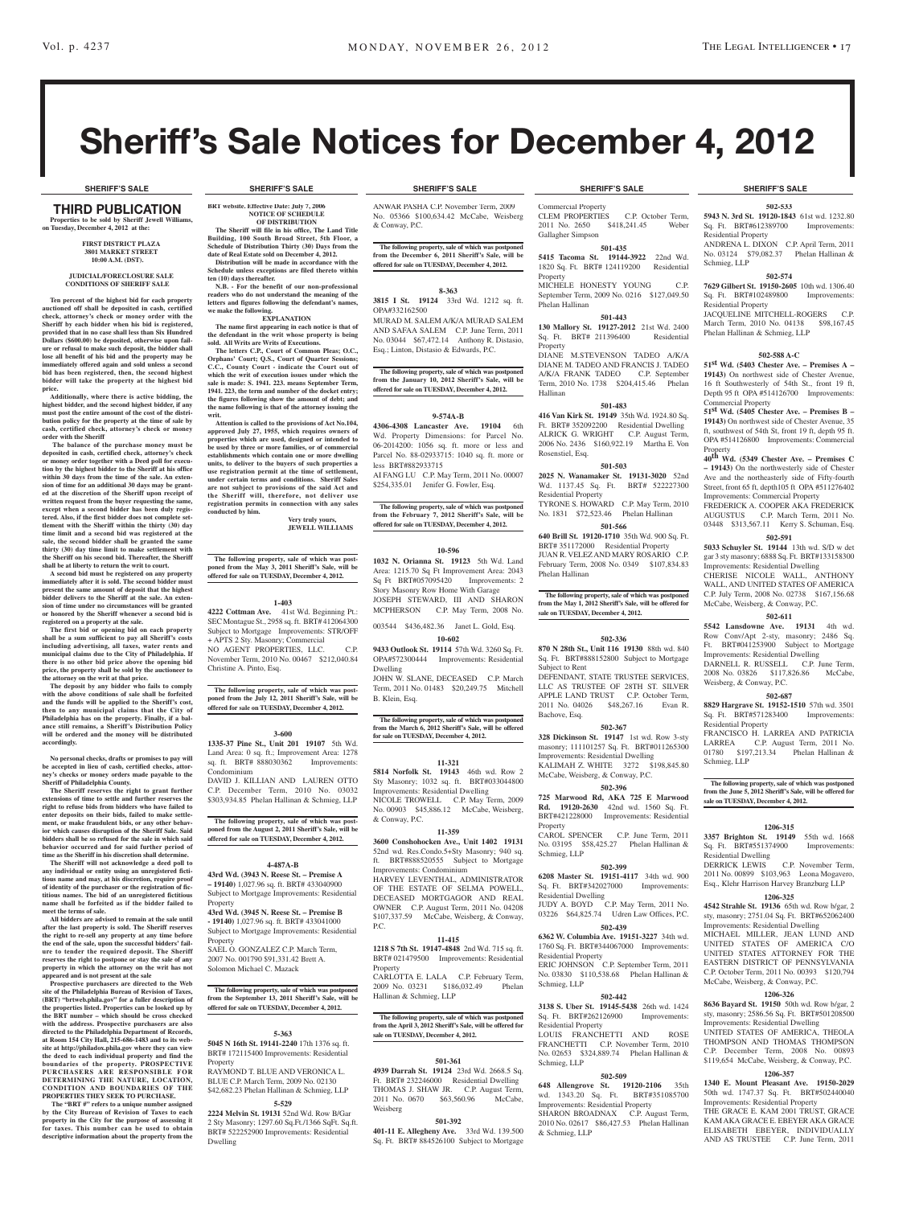# Sheriff's Sale Notices for December 4, 2012

THIRD PUBLICATION **Properties to be sold by Sheriff Jewell Williams, on Tuesday, December 4, 2012 at the:** 

**BRT website. Effective Date: July 7, 2006 NOTICE OF SCHEDULE OF DISTRIBUTION The Sheriff will file in his office, The Land Title Building, 100 South Broad Street, 5th Floor, a Schedule of Distribution Thirty (30) Days from the date of Real Estate sold on December 4, 2012. Distribution will be made in accordance with the Schedule unless exceptions are filed thereto within** 

**N.B. - For the benefit of our non-professional readers who do not understand the meaning of the letters and figures following the defendant's names,** 

**EXPLANATION The name first appearing in each notice is that of the defendant in the writ whose property is being** 

**The letters C.P., Court of Common Pleas; O.C., Orphans' Court; Q.S., Court of Quarter Sessions; C.C., County Court - indicate the Court out of which the writ of execution issues under which the sale is made: S. 1941. 223. means September Term, 1941. 223, the term and number of the docket entry; the figures following show the amount of debt; and the name following is that of the attorney issuing the** 

**Attention is called to the provisions of Act No.104, approved July 27, 1955, which requires owners of properties which are used, designed or intended to be used by three or more families, or of commercial establishments which contain one or more dwelling units, to deliver to the buyers of such properties a use registration permit at the time of settlement, under certain terms and conditions. Sheriff Sales are not subject to provisions of the said Act and the Sheriff will, therefore, not deliver use registration permits in connection with any sales conducted by him.**

**The following property, sale of which was postponed from the May 3, 2011 Sheriff's Sale, will be offered for sale on TUESDAY, December 4, 2012.**

**1-403 4222 Cottman Ave.** 41st Wd. Beginning Pt.: SEC Montague St., 2958 sq. ft. BRT# 412064300 Subject to Mortgage Improvements: STR/OFF + APTS 2 Sty. Masonry; Commercial NO AGENT PROPERTIES, LLC. C.P. November Term, 2010 No. 00467 \$212,040.84

**The following property, sale of which was postponed from the July 12, 2011 Sheriff's Sale, will be offered for sale on TUESDAY, December 4, 2012.**

**3-600 1335-37 Pine St., Unit 201 19107** 5th Wd. Land Area: 0 sq. ft.; Improvement Area: 1278 sq. ft. BRT# 888030362 Improvements:

DAVID J. KILLIAN AND LAUREN OTTO C.P. December Term, 2010 No. 03032 \$303,934.85 Phelan Hallinan & Schmieg, LLP

**The following property, sale of which was post-poned from the August 2, 2011 Sheriff's Sale, will be offered for sale on TUESDAY, December 4, 2012.**

**4-487A-B 43rd Wd. (3943 N. Reese St. – Premise A – 19140)** 1,027.96 sq. ft. BRT# 433040900 Subject to Mortgage Improvements: Residential

**43rd Wd. (3945 N. Reese St. – Premise B - 19140)** 1,027.96 sq. ft. BRT# 433041000 Subject to Mortgage Improvements: Residential

SAEL O. GONZALEZ C.P. March Term 2007 No. 001790 \$91,331.42 Brett A. Solomon Michael C. Mazack

**The following property, sale of which was postponed from the September 13, 2011 Sheriff's Sale, will be offered for sale on TUESDAY, December 4, 2012.**

**5-363 5045 N 16th St. 19141-2240** 17th 1376 sq. ft. BRT# 172115400 Improvements: Residential

RAYMOND T. BLUE AND VERONICA L. BLUE C.P. March Term, 2009 No. 02130 \$42,682.23 Phelan Hallinan & Schmieg, LLP **5-529 2224 Melvin St. 19131** 52nd Wd. Row B/Gar 2 Sty Masonry; 1297.60 Sq.Ft./1366 SqFt. Sq.ft. BRT# 522252900 Improvements: Residential

Christine A. Pinto, Esq.

Condominium

Property

Property

Property

Dwelling

**Very truly yours, jewell williams**

**sold. All Writs are Writs of Executions.**

**ten (10) days thereafter.**

**we make the following.**

**writ.**

#### **First District Plaza 3801 Market Street 10:00 A.M. (DST).**

#### **JUDICIAL/FORECLOSURE SALE CONDITIONS OF SHERIFF SALE**

**Ten percent of the highest bid for each property auctioned off shall be deposited in cash, certified check, attorney's check or money order with the Sheriff by each bidder when his bid is registered, provided that in no case shall less than Six Hundred Dollars (\$600.00) be deposited, otherwise upon fail-ure or refusal to make such deposit, the bidder shall lose all benefit of his bid and the property may be immediately offered again and sold unless a second bid has been registered, then, the second highest bidder will take the property at the highest bid** 

**price. Additionally, where there is active bidding, the highest bidder, and the second highest bidder, if any must post the entire amount of the cost of the distribution policy for the property at the time of sale by cash, certified check, attorney's check or money order with the Sheriff**

 **The balance of the purchase money must be deposited in cash, certified check, attorney's check or money order together with a Deed poll for execution by the highest bidder to the Sheriff at his office within 30 days from the time of the sale. An extension of time for an additional 30 days may be grant-ed at the discretion of the Sheriff upon receipt of written request from the buyer requesting the same, except when a second bidder has been duly registered. Also, if the first bidder does not complete settlement with the Sheriff within the thirty (30) day time limit and a second bid was registered at the sale, the second bidder shall be granted the same thirty (30) day time limit to make settlement with the Sheriff on his second bid. Thereafter, the Sheriff shall be at liberty to return the writ to court. A second bid must be registered on any property** 

**immediately after it is sold. The second bidder must present the same amount of deposit that the highest bidder delivers to the Sheriff at the sale. An extension of time under no circumstances will be granted or honored by the Sheriff whenever a second bid is** 

**registered on a property at the sale. The first bid or opening bid on each property shall be a sum sufficient to pay all Sheriff's costs including advertising, all taxes, water rents and municipal claims due to the City of Philadelphia. If there is no other bid price above the opening bid price, the property shall be sold by the auctioneer to the attorney on the writ at that price.**

**The deposit by any bidder who fails to comply with the above conditions of sale shall be forfeited and the funds will be applied to the Sheriff's cost, then to any municipal claims that the City of Philadelphia has on the property. Finally, if a balance still remains, a Sheriff's Distribution Policy will be ordered and the money will be distributed accordingly.**

**No personal checks, drafts or promises to pay will be accepted in lieu of cash, certified checks, attor-ney's checks or money orders made payable to the Sheriff of Philadelphia County.**

**The Sheriff reserves the right to grant further extensions of time to settle and further reserves the right to refuse bids from bidders who have failed to enter deposits on their bids, failed to make settlement, or make fraudulent bids, or any other behavior which causes disruption of the Sheriff Sale. Said bidders shall be so refused for the sale in which said behavior occurred and for said further period of time as the Sheriff in his discretion shall determine.**

**The Sheriff will not acknowledge a deed poll to any individual or entity using an unregistered ficti-tious name and may, at his discretion, require proof of identity of the purchaser or the registration of fic-titious names. The bid of an unregistered fictitious name shall be forfeited as if the bidder failed to meet the terms of sale. All bidders are advised to remain at the sale until** 

**after the last property is sold. The Sheriff reserves the right to re-sell any property at any time before the end of the sale, upon the successful bidders' failure to tender the required deposit. The Sheriff reserves the right to postpone or stay the sale of any property in which the attorney on the writ has not appeared and is not present at the sale**

**Prospective purchasers are directed to the Web site of the Philadelphia Bureau of Revision of Taxes, (BRT) "brtweb.phila.gov" for a fuller description of the properties listed. Properties can be looked up by the BRT number – which should be cross checked with the address. Prospective purchasers are also directed to the Philadelphia Department of Records, at Room 154 City Hall, 215-686-1483 and to its website at http://philadox.phila.gov where they can view the deed to each individual property and find the boundaries of the property. PROSPECTIVE PURCHASERS ARE RESPONSIBLE FOR DETERMINING THE NATURE, LOCATION, CONDITION AND BOUNDARIES OF THE PROPERTIES THEY SEEK TO PURCHASE.**

 **The "BRT #" refers to a unique number assigned by the City Bureau of Revision of Taxes to each property in the City for the purpose of assessing it for taxes. This number can be used to obtain descriptive information about the property from the** 

#### **SHERIFF'S SALE SHERIFF'S SALE SHERIFF'S SALE SHERIFF'S SALE SHERIFF'S SALE**

ANWAR PASHA C.P. November Term, 2009 No. 05366 \$100,634.42 McCabe, Weisberg & Conway, P.C.

**The following property, sale of which was postponed from the December 6, 2011 Sheriff's Sale, will be offered for sale on TUESDAY, December 4, 2012.**

#### **8-363**

**3815 I St. 19124** 33rd Wd. 1212 sq. ft. OPA#332162500

MURAD M. SALEM A/K/A MURAD SALEM AND SAFAA SALEM C.P. June Term, 2011 No. 03044 \$67,472.14 Anthony R. Distasio, Esq.; Linton, Distasio & Edwards, P.C.

**The following property, sale of which was postponed from the January 10, 2012 Sheriff's Sale, will be offered for sale on TUESDAY, December 4, 2012.**

#### **9-574A-B**

**4306-4308 Lancaster Ave. 19104** 6th Wd. Property Dimensions: for Parcel No. 06-2014200: 1056 sq. ft. more or less and Parcel No. 88-02933715: 1040 sq. ft. more or less BRT#882933715

AI FANG LU C.P. May Term, 2011 No. 00007 \$254,335.01 Jenifer G. Fowler, Esq.

**The following property, sale of which was postponed from the February 7, 2012 Sheriff's Sale, will be offered for sale on TUESDAY, December 4, 2012.**

#### **10-596**

**1032 N. Orianna St. 19123** 5th Wd. Land Area: 1215.70 Sq Ft Improvement Area: 2043 Sq Ft BRT#057095420 Improvements: 2 Story Masonry Row Home With Garage JOSEPH STEWARD, III AND SHARON MCPHERSON C.P. May Term, 2008 No.

003544 \$436,482.36 Janet L. Gold, Esq. **10-602**

**9433 Outlook St. 19114** 57th Wd. 3260 Sq. Ft. OPA#572300444 Improvements: Residential Dwelling

JOHN W. SLANE, DECEASED C.P. March Term, 2011 No. 01483 \$20,249.75 Mitchell B. Klein, Esq.

**The following property, sale of which was postponed from the March 6, 2012 Sheriff's Sale, will be offered for sale on TUESDAY, December 4, 2012.**

#### **11-321**

**5814 Norfolk St. 19143** 46th wd. Row 2 Sty Masonry; 1032 sq. ft. BRT#033044800 Improvements: Residential Dwelling NICOLE TROWELL C.P. May Term, 2009 No. 00903 \$45,886.12 McCabe, Weisberg, & Conway, P.C.

#### **11-359**

**3600 Conshohocken Ave., Unit 1402 19131**  52nd wd. Res.Condo.5+Sty Masonry; 940 sq. ft. BRT#888520555 Subject to Mortgage Improvements: Condominium HARVEY LEVENTHAL, ADMINISTRATOR OF THE ESTATE OF SELMA POWELL, DECEASED MORTGAGOR AND REAL OWNER C.P. August Term, 2011 No. 04208 \$107,337.59 McCabe, Weisberg, & Conway, P.C.

#### **11-415**

**1218 S 7th St. 19147-4848** 2nd Wd. 715 sq. ft. BRT# 021479500 Improvements: Residential Property

CARLOTTA E. LALA C.P. February Term, 2009 No. 03231 \$186,032.49 Phelan Hallinan & Schmieg, LLP

#### **The following property, sale of which was postponed from the April 3, 2012 Sheriff's Sale, will be offered for sale on TUESDAY, December 4, 2012.**

#### **501-361**

**4939 Darrah St. 19124** 23rd Wd. 2668.5 Sq. Ft. BRT# 232246000 Residential Dwelling THOMAS J. SHAW JR. C.P. August Term,<br>2011 No. 0670 \$63.560.96 McCabe. 2011 No. 0670 \$63,560.96 Weisberg

#### **501-392**

**401-11 E. Allegheny Ave.** 33rd Wd. 139.500 Sq. Ft. BRT# 884526100 Subject to Mortgage

Commercial Property CLEM PROPERTIES C.P. October Term,<br>2011 No. 2650 \$418,241.45 Weber 2011 No. 2650 \$418,241.45 Weber Gallagher Simpson

#### **501-435 5415 Tacoma St. 19144-3922** 22nd Wd. 1820 Sq. Ft. BRT# 124119200 Residential

**Property** MICHELE HONESTY YOUNG C.P. September Term, 2009 No. 0216 \$127,049.50 Phelan Hallinan

#### **501-443**

**130 Mallory St. 19127-2012** 21st Wd. 2400 Sq. Ft. BRT# 211396400 Residential Property

DIANE M.STEVENSON TADEO A/K/A DIANE M. TADEO AND FRANCIS J. TADEO A/K/A FRANK TADEO C.P. September Term, 2010 No. 1738 \$204,415.46 Phelan Hallinan

## **501-483**

**416 Van Kirk St. 19149** 35th Wd. 1924.80 Sq. Ft. BRT# 352092200 Residential Dwelling ALRICK G. WRIGHT C.P. August Term. 2006 No. 2436 \$160,922.19 Martha E. Von Rosenstiel, Esq.

## **501-503**

**2025 N. Wanamaker St. 19131-3020** 52nd Wd. 1137.45 Sq. Ft. BRT# 522227300 Residential Property TYRONE S. HOWARD C.P. May Term, 2010 No. 1831 \$72,523.46 Phelan Hallinan

## **501-566**

**640 Brill St. 19120-1710** 35th Wd. 900 Sq. Ft. BRT# 351172000 Residential Property JUAN R. VELEZ AND MARY ROSARIO C.P. February Term, 2008 No. 0349 \$107,834.83 Phelan Hallinan

**The following property, sale of which was postponed from the May 1, 2012 Sheriff's Sale, will be offered for sale on TUESDAY, December 4, 2012.**

#### **502-336**

**870 N 28th St., Unit 116 19130** 88th wd. 840 Sq. Ft. BRT#888152800 Subject to Mortgage Subject to Rent DEFENDANT, STATE TRUSTEE SERVICES, LLC AS TRUSTEE OF 28TH ST. SILVER

APPLE LAND TRUST C.P. October Term, 2011 No. 04026 \$48,267.16 Evan R. Bachove, Esq. **502-367**

**328 Dickinson St. 19147** 1st wd. Row 3-sty masonry; 111101257 Sq. Ft. BRT#011265300 Improvements: Residential Dwelling KALIMAH Z. WHITE 3272 \$198,845.80 McCabe, Weisberg, & Conway, P.C.

#### **502-396**

**725 Marwood Rd, AKA 725 E Marwood Rd. 19120-2630** 42nd wd. 1560 Sq. Ft. BRT#421228000 Improvements: Residential **Property** 

CAROL SPENCER C.P. June Term, 2011 No. 03195 \$58,425.27 Phelan Hallinan & Schmieg, LLP **502-399**

**6208 Master St. 19151-4117** 34th wd. 900 Sq. Ft. BRT#342027000 Improvements: Residential Dwelling JUDY A. BOYD C.P. May Term, 2011 No.

03226 \$64,825.74 Udren Law Offices, P.C. **502-439 6362 W. Columbia Ave. 19151-3227** 34th wd.

### 1760 Sq. Ft. BRT#344067000 Improvements: Residential Property

ERIC JOHNSON C.P. September Term, 2011 No. 03830 \$110,538.68 Phelan Hallinan & Schmieg, LLP **502-442**

## **3138 S. Uber St. 19145-5438** 26th wd. 1424

Sq. Ft.  $BRT#262126900$  Improvements: Residential Property LOUIS FRANCHETTI AND ROSE FRANCHETTI C.P. November Term, 2010 No. 02653 \$324,889.74 Phelan Hallinan & Schmieg, LLP

#### **502-509**

**648 Allengrove St. 19120-2106** 35th wd. 1343.20 Sq. Ft. BRT#351085700 Improvements: Residential Property SHARON BROADNAX C.P. August Term, 2010 No. 02617 \$86,427.53 Phelan Hallinan & Schmieg, LLP

#### **502-533**

**5943 N. 3rd St. 19120-1843** 61st wd. 1232.80 Sq. Ft. BRT#612389700 Improvements: Residential Property ANDRENA L. DIXON C.P. April Term, 2011 No. 03124 \$79,082.37 Phelan Hallinan & Schmieg, LLP

#### **502-574**

**7629 Gilbert St. 19150-2605** 10th wd. 1306.40 Sq. Ft. BRT#102489800 Improvements: Residential Property JACQUELINE MITCHELL-ROGERS C.P. March Term, 2010 No. 04138 \$98,167.45 Phelan Hallinan & Schmieg, LLP

#### **502-588 A-C**

**51st Wd. (5403 Chester Ave. – Premises A – 19143)** On northwest side of Chester Avenue, 16 ft Southwesterly of 54th St., front 19 ft, Depth 95 ft OPA #514126700 Improvements: Commercial Property

**51st Wd. (5405 Chester Ave. – Premises B – 19143)** On northwest side of Chester Avenue, 35 ft, southwest of 54th St, front 19 ft, depth 95 ft. OPA #514126800 Improvements: Commercial Property **40th Wd. (5349 Chester Ave. – Premises C**

**– 19143)** On the northwesterly side of Chester Ave and the northeasterly side of Fifty-fourth Street, front 65 ft, depth105 ft OPA #511276402 Improvements: Commercial Property

FREDERICK A. COOPER AKA FREDERICK AUGUSTUS C.P. March Term, 2011 No. 03448 \$313,567.11 Kerry S. Schuman, Esq. **502-591**

**5033 Schuyler St. 19144** 13th wd. S/D w det gar 3 sty masonry; 6888 Sq. Ft. BRT#133158300 Improvements: Residential Dwelling

CHERISE NICOLE WALL, ANTHONY WALL, AND UNITED STATES OF AMERICA C.P. July Term, 2008 No. 02738 \$167,156.68 McCabe, Weisberg, & Conway, P.C.

#### **502-611**

**5542 Lansdowne Ave. 19131** 4th wd. Row Conv/Apt 2-sty, masonry; 2486 Sq. Ft. BRT#041253900 Subject to Mortgage Improvements: Residential Dwelling DARNELL R. RUSSELL C.P. June Term, 2008 No. 03826 \$117,826.86 McCabe, Weisberg, & Conway, P.C.

### **502-687**

**8829 Hargrave St. 19152-1510** 57th wd. 3501 Sq. Ft. BRT#571283400 Improvements: Residential Property

FRANCISCO H. LARREA AND PATRICIA LARREA C.P. August Term, 2011 No. 01780 \$197,213.34 Phelan Hallinan & Schmieg, LLP

**The following property, sale of which was postponed from the June 5, 2012 Sheriff's Sale, will be offered for sale on TUESDAY, December 4, 2012.**

#### **1206-315**

**3357 Brighton St. 19149** 55th wd. 1668 Sq. Ft. BRT#551374900 Improvements: Residential Dwelling C.P. November Term,

2011 No. 00899 \$103,963 Leona Mogavero, Esq., Klehr Harrison Harvey Branzburg LLP **1206-325 4542 Strahle St. 19136** 65th wd. Row b/gar, 2 sty, masonry; 2751.04 Sq. Ft. BRT#652062400 Improvements: Residential Dwelling MICHAEL MILLER, JEAN LUND AND UNITED STATES OF AMERICA C/O UNITED STATES ATTORNEY FOR THE EASTERN DISTRICT OF PENNSYLVANIA C.P. October Term, 2011 No. 00393 \$120,794 McCabe, Weisberg, & Conway, P.C. **1206-326 8636 Bayard St. 19150** 50th wd. Row b/gar, 2 sty, masonry; 2586.56 Sq. Ft. BRT#501208500 Improvements: Residential Dwelling UNITED STATES OF AMERICA, THEOLA THOMPSON AND THOMAS THOMPSON C.P. December Term, 2008 No. 00893 \$119,654 McCabe, Weisberg, & Conway, P.C. **1206-357 1340 E. Mount Pleasant Ave. 19150-2029**  50th wd. 1747.37 Sq. Ft. BRT#502440040 Improvements: Residential Property THE GRACE E. KAM 2001 TRUST, GRACE KAM AKA GRACE E. EBEYER AKA GRACE ELISABETH EBEYER, INDIVIDUALLY AND AS TRUSTEE C.P. June Term, 2011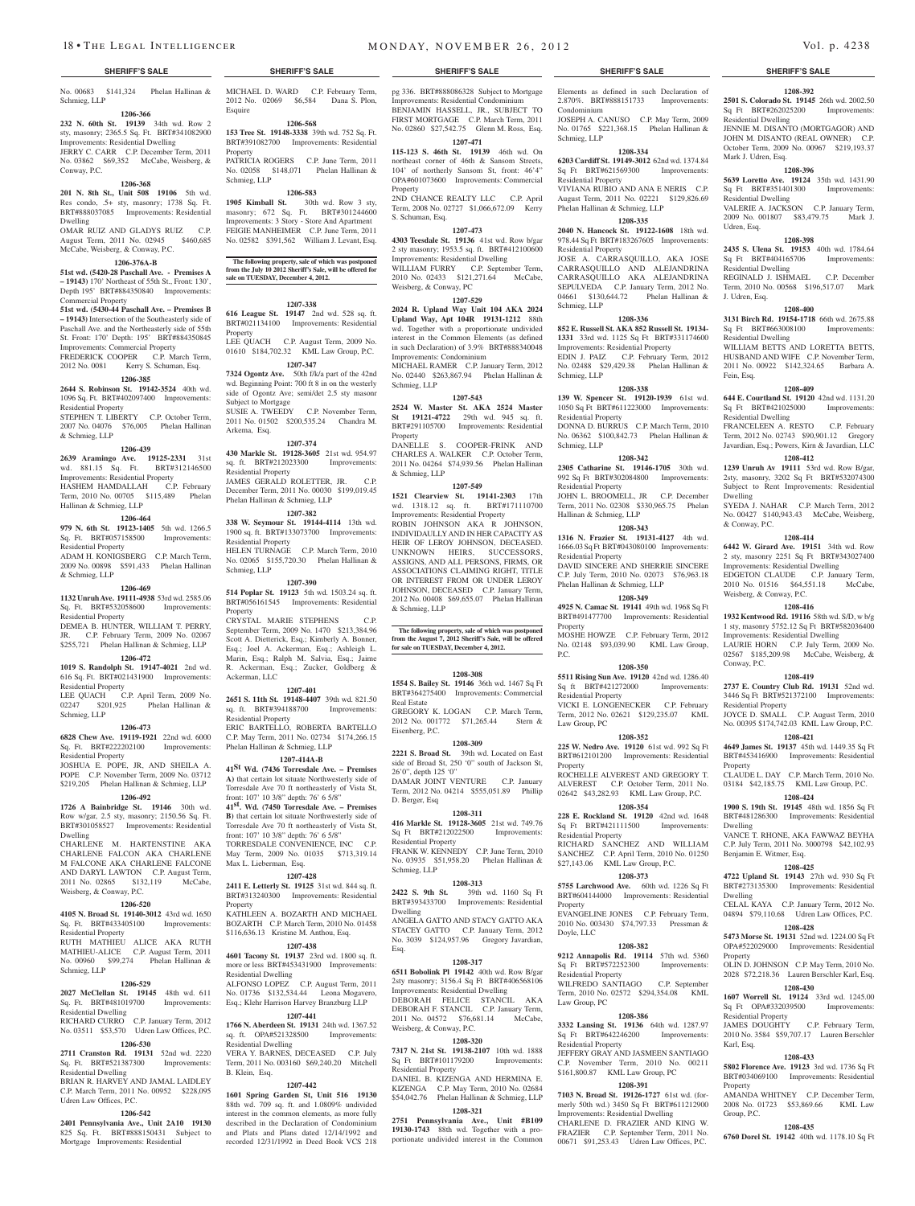Schmieg, LLP

## **1206-366**

**232 N. 60th St. 19139** 34th wd. Row 2 sty, masonry; 2365.5 Sq. Ft. BRT#341082900 Improvements: Residential Dwelling JERRY C. CARR C.P. December Term, 2011 No. 03862 \$69,352 McCabe, Weisberg, & Conway, P.C.

#### **1206-368**

**201 N. 8th St., Unit 508 19106** 5th wd. Res condo, .5+ sty, masonry; 1738 Sq. Ft. BRT#888037085 Improvements: Residential Dwelling

OMAR RUIZ AND GLADYS RUIZ C.P. August Term, 2011 No. 02945 \$460,685 McCabe, Weisberg, & Conway, P.C.

### **1206-376A-B**

**51st wd. (5420-28 Paschall Ave. - Premises A – 19143)** 170' Northeast of 55th St., Front: 130', Depth 195' BRT#884350840 Improvements: Commercial Property

## **51st wd. (5430-44 Paschall Ave. – Premises B – 19143)** Intersection of the Southeasterly side of

Paschall Ave. and the Northeasterly side of 55th St. Front: 170' Depth: 195' BRT#884350845 Improvements: Commercial Property FREDERICK COOPER C.P. March Term, 2012 No. 0081 Kerry S. Schuman, Esq.

#### **1206-385**

**2644 S. Robinson St. 19142-3524** 40th wd. 1096 Sq. Ft. BRT#402097400 Improvements: Residential Property STEPHEN T. LIBERTY C.P. October Term,

## 2007 No. 04076 \$76,005 Phelan Hallinan & Schmieg, LLP

**1206-439 2639 Aramingo Ave. 19125-2331** 31st wd. 881.15 Sq. Ft. BRT#312146500 Improvements: Residential Property HASHEM HAMDALLAH C.P. February

Term, 2010 No. 00705 \$115,489 Phelan Hallinan & Schmieg, LLP

### **1206-464**

**979 N. 6th St. 19123-1405** 5th wd. 1266.5 Sq. Ft. BRT#057158500 Improvements: Residential Property ADAM H. KONIGSBERG C.P. March Term,

2009 No. 00898 \$591,433 Phelan Hallinan & Schmieg, LLP

#### **1206-469**

**1132 Unruh Ave. 19111-4938** 53rd wd. 2585.06 Sq. Ft. BRT#532058600 Improvements: Residential Property

DEMEA B. HUNTER, WILLIAM T. PERRY, JR. C.P. February Term, 2009 No. 02067 \$255,721 Phelan Hallinan & Schmieg, LLP

## **1206-472**

**1019 S. Randolph St. 19147-4021** 2nd wd. 616 Sq. Ft. BRT#021431900 Improvements: Residential Property LEE QUACH C.P. April Term, 2009 No.

#### 02247 \$201,925 Phelan Hallinan & Schmieg, LLP **1206-473**

**6828 Chew Ave. 19119-1921** 22nd wd. 6000 Sq. Ft. BRT#222202100 Improvements: Residential Property

JOSHUA E. POPE, JR, AND SHEILA A. POPE C.P. November Term, 2009 No. 03712 \$219,205 Phelan Hallinan & Schmieg, LLP

#### **1206-492**

**1726 A Bainbridge St. 19146** 30th wd. Row w/gar, 2.5 sty, masonry; 2150.56 Sq. Ft. BRT#301058527 Improvements: Residential Dwelling

CHARLENE M. HARTENSTINE AKA CHARLENE FALCON AKA CHARLENE M FALCONE AKA CHARLENE FALCONE AND DARYL LAWTON C.P. August Term, 2011 No. 02865 \$132,119 McCabe, Weisberg, & Conway, P.C.

### **1206-520**

**4105 N. Broad St. 19140-3012** 43rd wd. 1650 Sq. Ft. BRT#433405100 Improvements: Residential Property RUTH MATHIEU ALICE AKA RUTH MATHIEU-ALICE C.P. August Term, 2011 No. 00960 \$99,274 Phelan Hallinan & Schmieg, LLP

#### **1206-529**

**2027 McClellan St. 19145** 48th wd. 611 Sq. Ft. BRT#481019700 Improvements: Residential Dwelling

RICHARD CURRO C.P. January Term, 2012 No. 03511 \$53,570 Udren Law Offices, P.C.

## **1206-530**

**2711 Cranston Rd. 19131** 52nd wd. 2220 Sq. Ft. BRT#521387300 Improvements: Residential Dwelling BRIAN R. HARVEY AND JAMAL LAIDLEY

#### C.P. March Term, 2011 No. 00952 \$228,095 Udren Law Offices, P.C. **1206-542**

**2401 Pennsylvania Ave., Unit 2A10 19130**  825 Sq. Ft. BRT#888150431 Subject to Mortgage Improvements: Residential

No. 00683 \$141,324 Phelan Hallinan & MICHAEL D. WARD C.P. February Term, 2012 No. 02069 \$6,584 Dana S. Plon, Esquire

#### **1206-568**

**153 Tree St. 19148-3338** 39th wd. 752 Sq. Ft. BRT#391082700 Improvements: Residential Property PATRICIA ROGERS C.P. June Term, 2011 No. 02058 \$148,071 Phelan Hallinan & Schmieg, LLP

#### **1206-583**

**1905 Kimball St.** 30th wd. Row 3 sty, masonry; 672 Sq. Ft. BRT#301244600 Improvements: 3 Story - Store And Apartment FEIGIE MANHEIMER C.P. June Term, 2011 No. 02582 \$391,562 William J. Levant, Esq.

**The following property, sale of which was postponed from the July 10 2012 Sheriff's Sale, will be offered for sale on TUESDAY, December 4, 2012.**

#### **1207-338**

**616 League St. 19147** 2nd wd. 528 sq. ft. BRT#021134100 Improvements: Residential Property LEE QUACH C.P. August Term, 2009 No.

01610 \$184,702.32 KML Law Group, P.C. **1207-347**

**7324 Ogontz Ave.** 50th f/k/a part of the 42nd wd. Beginning Point: 700 ft 8 in on the westerly side of Ogontz Ave; semi/det 2.5 sty masonr Subject to Mortgage SUSIE A. TWEEDY C.P. November Term, 2011 No. 01502 \$200,535.24 Chandra M.

Arkema, Esq. **1207-374**

**430 Markle St. 19128-3605** 21st wd. 954.97 sq. ft. BRT#212023300 Improvements: Residential Property JAMES GERALD ROLETTER, JR. December Term, 2011 No. 00030 \$199,019.45 Phelan Hallinan & Schmieg, LLP

## **1207-382**

**338 W. Seymour St. 19144-4114** 13th wd. 1900 sq. ft. BRT#133073700 Improvements: Residential Property HELEN TURNAGE C.P. March Term, 2010 No. 02065 \$155,720.30 Phelan Hallinan & Schmieg, LLP

#### **1207-390**

**514 Poplar St. 19123** 5th wd. 1503.24 sq. ft. BRT#056161545 Improvements: Residential **Property** CRYSTAL MARIE STEPHENS C.P.

September Term, 2009 No. 1470 \$213,384.96 Scott A. Dietterick, Esq.; Kimberly A. Bonner, Esq.; Joel A. Ackerman, Esq.; Ashleigh L. Marin, Esq.; Ralph M. Salvia, Esq.; Jaime R. Ackerman, Esq.; Zucker, Goldberg & Ackerman, LLC

### **1207-401**

**2651 S. 11th St. 19148-4407** 39th wd. 821.50 sq. ft. BRT#394188700 Improvements: Residential Property ERIC BARTELLO, ROBERTA BARTELLO

C.P. May Term, 2011 No. 02734 \$174,266.15 Phelan Hallinan & Schmieg, LLP **1207-414A-B**

**41St Wd. (7436 Torresdale Ave. – Premises A)** that certain lot situate Northwesterly side of Torresdale Ave 70 ft northeasterly of Vista St, front: 107' 10 3/8" depth: 76' 6 5/8"

**41st. Wd. (7450 Torresdale Ave. – Premises B)** that certain lot situate Northwesterly side of Torresdale Ave 70 ft northeasterly of Vista St, front: 107' 10 3/8" depth: 76' 6 5/8" TORRESDALE CONVENIENCE, INC C.P.

May Term, 2009 No. 01035 \$713,319.14 Max L. Lieberman, Esq.

## **1207-428**

**2411 E. Letterly St. 19125** 31st wd. 844 sq. ft. BRT#313240300 Improvements: Residential Property

KATHLEEN A. BOZARTH AND MICHAEL BOZARTH C.P. March Term, 2010 No. 01458 \$116,636.13 Kristine M. Anthou, Esq. **1207-438**

**4601 Tacony St. 19137** 23rd wd. 1800 sq. ft. more or less BRT#453431900 Improvements: Residential Dwelling ALFONSO LOPEZ C.P. August Term, 2011 No. 01736 \$132,534.44 Leona Mogavero, Esq.; Klehr Harrison Harvey Branzburg LLP

## **1207-441**

**1766 N. Aberdeen St. 19131** 24th wd. 1367.52 sq. ft. OPA#521328500 Improvements: Residential Dwelling VERA Y. BARNES, DECEASED C.P. July Term, 2011 No. 003160 \$69,240.20 Mitchell B. Klein, Esq.

#### **1207-442**

**1601 Spring Garden St, Unit 516 19130**  88th wd. 709 sq. ft. and 1.0809% undivided interest in the common elements, as more fully described in the Declaration of Condominium and Plats and Plans dated 12/14/1992 and recorded 12/31/1992 in Deed Book VCS 218

pg 336. BRT#888086328 Subject to Mortgage Improvements: Residential Condominium BENJAMIN HASSELL, JR., SUBJECT TO FIRST MORTGAGE C.P. March Term, 2011

Elements as defined in such Declaration of 2.870%. BRT#888151733 Improvements:

**1208-392 2501 S. Colorado St. 19145** 26th wd. 2002.50 Sq Ft BRT#262025200 Improvements:

JENNIE M. DISANTO (MORTGAGOR) AND JOHN M. DISANTO (REAL OWNER) C.P. October Term, 2009 No. 00967 \$219,193.37

**1208-396 5639 Loretto Ave. 19124** 35th wd. 1431.90 Sq Ft BRT#351401300 Improvements:

VALERIE A. JACKSON C.P. January Term, 2009 No. 001807 \$83,479.75 Mark J.

**1208-398 2435 S. Ulena St. 19153** 40th wd. 1784.64 Sq Ft BRT#404165706 Improvements:

REGINALD J. ISHMAEL C.P. December Term, 2010 No. 00568 \$196,517.07 Mark

**1208-400 3131 Birch Rd. 19154-1718** 66th wd. 2675.88<br>Sq Ft BRT#663008100 Improvements:

WILLIAM BETTS AND LORETTA BETTS. HUSBAND AND WIFE C.P. November Term, 2011 No. 00922 \$142,324.65 Barbara A.

**1208-409 644 E. Courtland St. 19120** 42nd wd. 1131.20 Sq Ft BRT#421025000 Improvements:

FRANCELEEN A. RESTO C.P. February Term, 2012 No. 02743 \$90,901.12 Gregory Javardian, Esq.; Powers, Kirn & Javardian, LLC **1208-412 1239 Unruh Av 19111** 53rd wd. Row B/gar, 2sty, masonry, 3202 Sq Ft BRT#532074300 Subject to Rent Improvements: Residential

SYEDA J. NAHAR C.P. March Term, 2012 No. 00427 \$140,943.43 McCabe, Weisberg,

**1208-414 6442 W. Girard Ave. 19151** 34th wd. Row 2 sty, masonry 2251 Sq Ft BRT#343027400 Improvements: Residential Dwelling EDGETON CLAUDE C.P. January Term, 2010 No. 01516 \$64,551.18 McCabe,

**1208-416 1932 Kentwood Rd. 19116** 58th wd. S/D, w b/g 1 sty, masonry 5752.12 Sq Ft BRT#582036400 Improvements: Residential Dwelling LAURIE HORN C.P. July Term, 2009 No. 02567 \$185,209.98 McCabe, Weisberg, &

**1208-419 2737 E. Country Club Rd. 19131** 52nd wd. 3446 Sq Ft BRT#521372100 Improvements:

JOYCE D. SMALL C.P. August Term, 2010 No. 00395 \$174,742.03 KML Law Group, P.C. **1208-421 4649 James St. 19137** 45th wd. 1449.35 Sq Ft BRT#453416900 Improvements: Residential

CLAUDE L. DAY C.P. March Term, 2010 No. 03184 \$42,185.75 KML Law Group, P.C. **1208-424 1900 S. 19th St. 19145** 48th wd. 1856 Sq Ft BRT#481286300 Improvements: Residential

VANCE T. RHONE, AKA FAWWAZ BEYHA C.P. July Term, 2011 No. 3000798 \$42,102.93

**1208-425 4722 Upland St. 19143** 27th wd. 930 Sq Ft BRT#273135300 Improvements: Residential

CELAL KAYA C.P. January Term, 2012 No. 04894 \$79,110.68 Udren Law Offices, P.C. **1208-428 5473 Morse St. 19131** 52nd wd. 1224.00 Sq Ft OPA#522029000 Improvements: Residential

OLIN D. JOHNSON C.P. May Term, 2010 No. 2028 \$72,218.36 Lauren Berschler Karl, Esq. **1208-430 1607 Worrell St. 19124** 33rd wd. 1245.00 Sq Ft OPA#332039500 Improvements

2010 No. 3584 \$59,707.17 Lauren Berschler

**1208-433 5802 Florence Ave. 19123** 3rd wd. 1736 Sq Ft BRT#034069100 Improvements: Residential

AMANDA WHITNEY C.P. December Term, 2008 No. 01723 \$53,869.66 KML Law

**1208-435 6760 Dorel St. 19142** 40th wd. 1178.10 Sq Ft

C.P. February Term,

Residential Dwelling

Mark J. Udren, Esq.

Residential Dwelling

Residential Dwelling

Sq Ft BRT#663008100 Residential Dwelling

Udren, Esq.

J. Udren, Esq.

Fein, Esq.

Dwelling

& Conway, P.C.

Conway, P.C.

Property

Dwelling

Dwelling

Property

Karl, Esq.

Property

Group, P.C.

Residential Property<br>JAMES DOUGHTY

Benjamin E. Witmer, Esq.

Residential Property

Weisberg, & Conway, P.C.

Residential Dwelling

JOSEPH A. CANUSO C.P. May Term, 2009 No. 01765 \$221,368.15 Phelan Hallinan &

**1208-334 6203 Cardiff St. 19149-3012** 62nd wd. 1374.84 Sq Ft BRT#621569300 Improvements:

VIVIANA RUBIO AND ANA E NERIS C.P. August Term, 2011 No. 02221 \$129,826.69

**1208-335 2040 N. Hancock St. 19122-1608** 18th wd. 978.44 Sq Ft BRT#183267605 Improvements:

JOSE A. CARRASQUILLO, AKA JOSE CARRASQUILLO AND ALEJANDRINA CARRASQUILLO AKA ALEJANDRINA SEPULVEDA C.P. January Term, 2012 No. 04661 \$130,644.72 Phelan Hallinan &

**1208-336 852 E. Russell St. AKA 852 Russell St. 19134- 1331** 33rd wd. 1125 Sq Ft BRT#331174600 Improvements: Residential Property EDIN J. PAIZ C.P. February Term, 2012 No. 02488 \$29,429.38 Phelan Hallinan &

**1208-338 139 W. Spencer St. 19120-1939** 61st wd. 1050 Sq Ft BRT#611223000 Improvements:

DONNA D. BURRUS C.P. March Term, 2010 No. 06362 \$100,842.73 Phelan Hallinan &

**1208-342 2305 Catharine St. 19146-1705** 30th wd. 992 Sq Ft BRT#302084800 Improvements:

JOHN L. BROOMELL, JR C.P. December Term, 2011 No. 02308 \$330,965.75 Phelan

**1208-343 1316 N. Frazier St. 19131-4127** 4th wd. 1666.03 Sq Ft BRT#043080100 Improvements:

DAVID SINCERE AND SHERRIE SINCERE C.P. July Term, 2010 No. 02073 \$76,963.18

**1208-349 4925 N. Camac St. 19141** 49th wd. 1968 Sq Ft BRT#491477700 Improvements: Residential

MOSHE HOWZE C.P. February Term, 2012 No. 02148 \$93,039.90 KML Law Group,

**1208-350 5511 Rising Sun Ave. 19120** 42nd wd. 1286.40 Sq ft BRT#421272000 Improvements:

VICKI E. LONGENECKER C.P. February Term, 2012 No. 02621 \$129,235.07 KML

**1208-352 225 W. Nedro Ave. 19120** 61st wd. 992 Sq Ft BRT#612101200 Improvements: Residential

ROCHELLE ALVEREST AND GREGORY T. ALVEREST C.P. October Term, 2011 No. 02642 \$43,282.93 KML Law Group, P.C. **1208-354 228 E. Rockland St. 19120** 42nd wd. 1648 Sq Ft BRT#421111500 Improvements:

RICHARD SANCHEZ AND WILLIAM SANCHEZ C.P. April Term, 2010 No. 01250 \$27,143.06 KML Law Group, P.C. **1208-373 5755 Larchwood Ave.** 60th wd. 1226 Sq Ft BRT#604144000 Improvements: Residential

EVANGELINE JONES C.P. February Term, 2010 No. 003430 \$74,797.33 Pressman &

**1208-382 9212 Annapolis Rd. 19114** 57th wd. 5360 Sq Ft BRT#572252300 Improvements:

WILFREDO SANTIAGO C.P. September Term, 2010 No. 02572 \$294,354.08 KML

**1208-386 3332 Lansing St. 19136** 64th wd. 1287.97 Sq Ft BRT#642246200 Improvements:

JEFFERY GRAY AND JASMEEN SANTIAGO C.P. November Term, 2010 No. 00211 \$161,800.87 KML Law Group, PC **1208-391 7103 N. Broad St. 19126-1727** 61st wd. (formerly 50th wd.) 3450 Sq Ft BRT#611212900 Improvements: Residential Dwelling CHARLENE D. FRAZIER AND KING W. FRAZIER C.P. September Term, 2011 No. 00671 \$91,253.43 Udren Law Offices, P.C.

Condominium

Schmieg, LLP

Residential Property

Residential Property

Schmieg, LLP

Schmieg, LLP

Schmieg, LLP

Residential Property

Residential Property

Residential Property

Residential Property

Residential Property

Law Group, PC

Property

Property

Doyle, LLC

Residential Property

Law Group, PC

Residential Property

Property

P.C.

Hallinan & Schmieg, LLP

Phelan Hallinan & Schmieg, LLP

Phelan Hallinan & Schmieg, LLP

No. 02860 \$27,542.75 Glenn M. Ross, Esq. **1207-471 115-123 S. 46th St. 19139** 46th wd. On northeast corner of 46th & Sansom Streets, 104' of northerly Sansom St, front: 46'4"

OPA#601073600 Improvements: Commercial Property 2ND CHANCE REALTY LLC C.P. April

Term, 2008 No. 02727 \$1,066,672.09 Kerry S. Schuman, Esq. **1207-473**

## **4303 Teesdale St. 19136** 41st wd. Row b/gar

2 sty masonry; 1953.5 sq. ft. BRT#412100600 Improvements: Residential Dwelling WILLIAM FURRY C.P. September Term, 2010 No. 02433 \$121,271.64 McCabe, Weisberg, & Conway, PC

**1207-529 2024 R. Upland Way Unit 104 AKA 2024 Upland Way, Apt 104R 19131-1212** 88th wd. Together with a proportionate undivided interest in the Common Elements (as defined in such Declaration) of 3.9% BRT#888340048 Improvements: Condominium

MICHAEL RAMER C.P. January Term, 2012 No. 02440 \$263,867.94 Phelan Hallinan & Schmieg, LLP

## **1207-543**

**2524 W. Master St. AKA 2524 Master St 19121-4722** 29th wd. 945 sq. ft. BRT#291105700 Improvements: Residential Property

DANELLE S. COOPER-FRINK AND CHARLES A. WALKER C.P. October Term, 2011 No. 04264 \$74,939.56 Phelan Hallinan & Schmieg, LLP

## **1207-549**

**1521 Clearview St. 19141-2303** 17th wd. 1318.12 sq. ft. BRT#171110700 Improvements: Residential Property ROBIN JOHNSON AKA R JOHNSON, INDIVIDAULLYAND IN HER CAPACITYAS HEIR OF LEROY JOHNSON, DECEASED. UNKNOWN HEIRS, SUCCESSORS, ASSIGNS, AND ALL PERSONS, FIRMS, OR ASSOCIATIONS CLAIMING RIGHT, TITLE OR INTEREST FROM OR UNDER LEROY JOHNSON, DECEASED C.P. January Term, 2012 No. 00408 \$69,655.07 Phelan Hallinan & Schmieg, LLP

## **The following property, sale of which was postponed from the August 7, 2012 Sheriff's Sale, will be offered for sale on TUESDAY, December 4, 2012.**

#### **1208-308**

**1554 S. Bailey St. 19146** 36th wd. 1467 Sq Ft BRT#364275400 Improvements: Commercial Real Estate GREGORY K. LOGAN C.P. March Term,

2012 No. 001772 \$71,265.44 Stern & Eisenberg, P.C. **1208-309**

**2221 S. Broad St.** 39th wd. Located on East side of Broad St, 250 '0" south of Jackson St, 26'0", depth 125 '0" DAMAR JOINT VENTURE C.P. January Term, 2012 No. 04214 \$555,051.89 Phillip D. Berger, Esq

#### **1208-311**

**416 Markle St. 19128-3605** 21st wd. 749.76 Sq Ft BRT#212022500 Improvements: Residential Property FRANK W. KENNEDY C.P. June Term, 2010 No. 03935 \$51,958.20 Phelan Hallinan &

## Schmieg, LLP

**1208-313 2422 S. 9th St.** 39th wd. 1160 Sq Ft BRT#393433700 Improvements: Residential Dwelling

ANGELA GATTO AND STACY GATTO AKA STACEY GATTO C.P. January Term, 2012 No. 3039 \$124,957.96 Gregory Javardian, Esq.

#### **1208-317**

**6511 Bobolink Pl 19142** 40th wd. Row B/gar 2sty masonry; 3156.4 Sq Ft BRT#406568106 Improvements: Residential Dwelling DEBORAH FELICE STANCIL AKA DEBORAH F. STANCIL C.P. January Term, 2011 No. 04572 \$76,681.14 McCabe, Weisberg, & Conway, P.C.

**7317 N. 21st St. 19138-2107** 10th wd. 1888 Sq Ft BRT#101179200 Improvements:

DANIEL B. KIZENGA AND HERMINA E. KIZENGA C.P. May Term, 2010 No. 02684 \$54,042.76 Phelan Hallinan & Schmieg, LLP **1208-321 2751 Pennsylvania Ave., Unit #B109 19130-1743** 88th wd. Together with a proportionate undivided interest in the Common

### **1208-320**

Residential Property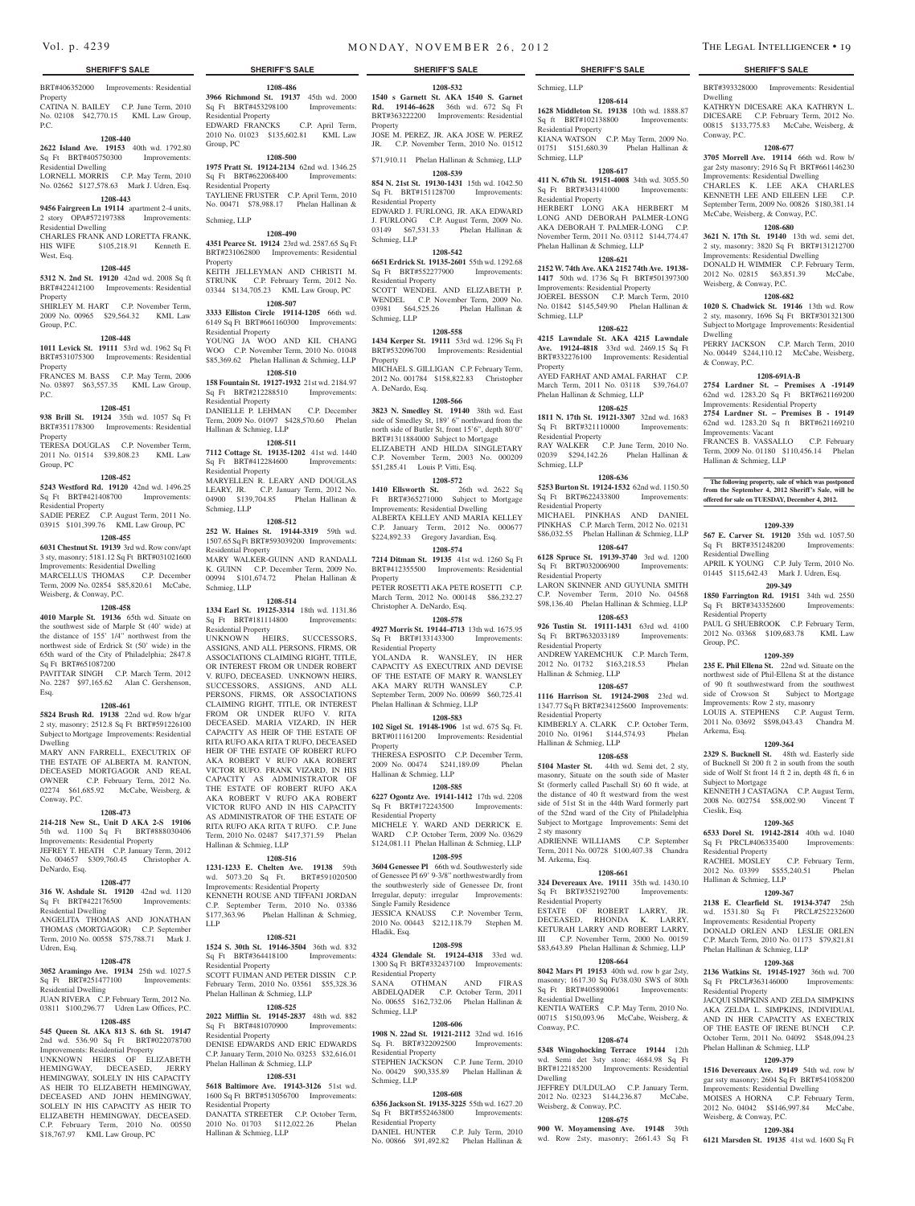BRT#406352000 Improvements: Residential Property CATINA N. BAILEY C.P. June Term, 2010

No. 02108 \$42,770.15 KML Law Group, P.C.

#### **1208-440**

**2622 Island Ave. 19153** 40th wd. 1792.80 Sq Ft BRT#405750300 Improvements:

Residential Dwelling LORNELL MORRIS C.P. May Term, 2010 No. 02662 \$127,578.63 Mark J. Udren, Esq.

## **1208-443**

**9456 Fairgreen Ln 19114** apartment 2-4 units, 2 story OPA#572197388 Improvements: Residential Dwelling

CHARLES FRANK AND LORETTA FRANK, HIS WIFE \$105,218.91 Kenneth E. West, Esq.

### **1208-445**

**5312 N. 2nd St. 19120** 42nd wd. 2008 Sq ft BRT#422412100 Improvements: Residential Property SHIRLEY M. HART C.P. November Term,

2009 No. 00965 \$29,564.32 KML Law Group, P.C.

## **1208-448**

**1011 Levick St. 19111** 53rd wd. 1962 Sq Ft BRT#531075300 Improvements: Residential Property

FRANCES M. BASS C.P. May Term, 2006 No. 03897 \$63,557.35 KML Law Group, P.C.

#### **1208-451**

**938 Brill St. 19124** 35th wd. 1057 Sq Ft BRT#351178300 Improvements: Residential Property TERESA DOUGLAS C.P. November Term,

2011 No. 01514 \$39,808.23 KML Law Group, PC

## **1208-452**

**5243 Westford Rd. 19120** 42nd wd. 1496.25 Sq Ft BRT#421408700 Improvements:

Residential Property SADIE PEREZ C.P. August Term, 2011 No. 03915 \$101,399.76 KML Law Group, PC

#### **1208-455**

**6031 Chestnut St. 19139** 3rd wd. Row conv/apt 3 sty, masonry; 5181.12 Sq Ft BRT#031021600

Improvements: Residential Dwelling MARCELLUS THOMAS C.P. December Term, 2009 No. 02854 \$85,820.61 McCabe, Weisberg, & Conway, P.C.

#### **1208-458**

**4010 Marple St. 19136** 65th wd. Situate on the southwest side of Marple St (40' wide) at the distance of 155' 1/4" northwest from the northwest side of Erdrick St (50' wide) in the 65th ward of the City of Philadelphia; 2847.8 Sq Ft BRT#651087200

PAVITTAR SINGH C.P. March Term, 2012 No. 2287 \$97,165.62 Alan C. Gershenson, Esq.

#### **1208-461**

**5824 Brush Rd. 19138** 22nd wd. Row b/gar 2 sty, masonry; 2512.8 Sq Ft BRT#591226100 Subject to Mortgage Improvements: Residential Dwelling

MARY ANN FARRELL, EXECUTRIX OF THE ESTATE OF ALBERTA M. RANTON, DECEASED MORTGAGOR AND REAL OWNER C.P. February Term, 2012 No. 02274 \$61,685.92 McCabe, Weisberg, & Conway, P.C.

#### **1208-473**

**214-218 New St., Unit D AKA 2-S 19106**  5th wd. 1100 Sq Ft BRT#888030406 Improvements: Residential Property JEFREY T. HEATH C.P. January Term, 2012 No. 004657 \$309,760.45 Christopher A. DeNardo, Esq.

#### **1208-477**

**316 W. Ashdale St. 19120** 42nd wd. 1120 Sq Ft BRT#422176500 Improvements: Residential Dwelling ANGELITA THOMAS AND JONATHAN THOMAS (MORTGAGOR) C.P. September Term, 2010 No. 00558 \$75,788.71 Mark J.

#### Udren, Esq. **1208-478**

**3052 Aramingo Ave. 19134** 25th wd. 1027.5

#### Sq Ft BRT#251477100 Improvements: Residential Dwelling JUAN RIVERA C.P. February Term, 2012 No.

03811 \$100,296.77 Udren Law Offices, P.C.

## **1208-485**

**545 Queen St. AKA 813 S. 6th St. 19147**  2nd wd. 536.90 Sq Ft BRT#022078700 Improvements: Residential Property UNKNOWN HEIRS OF ELIZABETH HEMINGWAY, DECEASED, JERRY HEMINGWAY, SOLELY IN HIS CAPACITY AS HEIR TO ELIZABETH HEMINGWAY DECEASED AND JOHN HEMINGWAY, SOLELY IN HIS CAPACITY AS HEIR TO ELIZABETH HEMINGWAY, DECEASED. C.P. February Term, 2010 No. 00550 \$18,767.97 KML Law Group, PC

## **SHERIFF'S SALE SHERIFF'S SALE SHERIFF'S SALE SHERIFF'S SALE SHERIFF'S SALE**

**1208-486 3966 Richmond St. 19137** 45th wd. 2000 Sq Ft BRT#453298100 Improvements: Residential Property EDWARD FRANCKS C.P. April Term, 2010 No. 01023 \$135,602.81 KML Law Group, PC

#### **1208-500**

**1975 Pratt St. 19124-2134** 62nd wd. 1346.25 Sq Ft BRT#622068400 Improvements: Residential Property TAYLIENE FRUSTER C.P. April Term, 2010 No. 00471 \$78,988.17 Phelan Hallinan &

Schmieg, LLP **1208-490**

## **4351 Pearce St. 19124** 23rd wd. 2587.65 Sq Ft

BRT#231062800 Improvements: Residential Property KEITH JELLEYMAN AND CHRISTI M. STRUNK C.P. February Term, 2012 No. 03344 \$134,705.23 KML Law Group, PC

**1208-507 3333 Elliston Circle 19114-1205** 66th wd. 6149 Sq Ft BRT#661160300 Improvements:

Residential Property YOUNG JA WOO AND KIL CHANG WOO C.P. November Term, 2010 No. 01048

\$85,369.62 Phelan Hallinan & Schmieg, LLP

#### **1208-510**

**158 Fountain St. 19127-1932** 21st wd. 2184.97 Sq Ft BRT#212288510 Improvements: Residential Property DANIELLE P. LEHMAN C.P. December Term, 2009 No. 01097 \$428,570.60 Phelan Hallinan & Schmieg, LLP

#### **1208-511**

**7112 Cottage St. 19135-1202** 41st wd. 1440 Sq Ft BRT#412284600 Improvements: Residential Property MARYELLEN R. LEARY AND DOUGLAS LEARY, JR. C.P. January Term, 2012 No. 04900 \$139,704.85 Phelan Hallinan & Schmieg, LLP

#### **1208-512**

**252 W. Haines St. 19144-3319** 59th wd. 1507.65 Sq Ft BRT#593039200 Improvements: Residential Property

MARY WALKER-GUINN AND RANDALL K. GUINN C.P. December Term, 2009 No. 00994 \$101,674.72 Phelan Hallinan & Schmieg, LLP

#### **1208-514**

**1334 Earl St. 19125-3314** 18th wd. 1131.86 Sq Ft BRT#181114800 Improvements: Residential Property

UNKNOWN HEIRS, SUCCESSORS, ASSIGNS, AND ALL PERSONS, FIRMS, OR ASSOCIATIONS CLAIMING RIGHT, TITLE, OR INTEREST FROM OR UNDER ROBERT V. RUFO, DECEASED. UNKNOWN HEIRS, SUCCESSORS, ASSIGNS, AND ALL PERSONS, FIRMS, OR ASSOCIATIONS CLAIMING RIGHT, TITLE, OR INTEREST FROM OR UNDER RUFO V. RITA DECEASED. MARIA VIZARD, IN HER CAPACITY AS HEIR OF THE ESTATE OF RITA RUFO AKA RITA T RUFO, DECEASED HEIR OF THE ESTATE OF ROBERT RUFO AKA ROBERT V RUFO AKA ROBERT VICTOR RUFO. FRANK VIZARD, IN HIS CAPACITY AS ADMINISTRATOR OF THE ESTATE OF ROBERT RUFO AKA AKA ROBERT V RUFO AKA ROBERT VICTOR RUFO AND IN HIS CAPACITY AS ADMINISTRATOR OF THE ESTATE OF RITA RUFO AKA RITA T RUFO. C.P. June Term, 2010 No. 02487 \$417,371.59 Phelan Hallinan & Schmieg, LLP

#### **1208-516**

**1231-1233 E. Chelten Ave. 19138** 59th wd. 5073.20 Sq Ft. BRT#591020500 Improvements: Residential Property KENNETH ROUSE AND TIFFANI JORD C.P. September Term, 2010 No. 03386 \$177,363.96 Phelan Hallinan & Schmieg, LLP

#### **1208-521**

**1524 S. 30th St. 19146-3504** 36th wd. 832 Sq Ft BRT#364418100 Improvements: Residential Property SCOTT FUIMAN AND PETER DISSIN C.P. February Term, 2010 No. 03561 \$55,328.36

#### Phelan Hallinan & Schmieg, LLP **1208-525**

**2022 Mifflin St. 19145-2837** 48th wd. 882 Sq Ft BRT#481070900 Improvements: Residential Property DENISE EDWARDS AND ERIC EDWARDS

C.P. January Term, 2010 No. 03253 \$32,616.01 Phelan Hallinan & Schmieg, LLP **1208-531 5618 Baltimore Ave. 19143-3126** 51st wd. 1600 Sq Ft BRT#513056700 Improvements: Residential Property

DANATTA STREETER C.P. October Term 2010 No. 01703 \$112,022.26 Phelan Hallinan & Schmieg, LLP

## Vol. p. 4239 **m** on DAY, NOVEMBER 26, 2012 **THE LEGAL INTELLIGENCER** • 19

Schmieg, LLP

Residential Property

Residential Property

Phelan Hallinan & Schmieg, LLP

Schmieg, LLP

Schmieg, LLP

Property

**1208-614 1628 Middleton St. 19138** 10th wd. 1888.87 Sq ft BRT#102138800 Improvements:

BRT#393328000 Improvements: Residential

KATHRYN DICESARE AKA KATHRYN L. DICESARE C.P. February Term, 2012 No. 00815 \$133,775.83 McCabe, Weisberg, &

**1208-677 3705 Morrell Ave. 19114** 66th wd. Row b/ gar 2sty masonry; 2916 Sq Ft BRT#661146230 Improvements: Residential Dwelling CHARLES K. LEE AKA CHARLES KENNETH LEE AND EILEEN LEE C.P. September Term, 2009 No. 00826 \$180,381.14 McCabe, Weisberg, & Conway, P.C. **1208-680 3621 N. 17th St. 19140** 13th wd. semi det, 2 sty, masonry; 3820 Sq Ft BRT#131212700 Improvements: Residential Dwelling DONALD H. WIMMER C.P. February Term, 2012 No. 02815 \$63,851.39 McCabe,

Dwelling

Conway, P.C.

Weisberg, & Conway, P.C.

Dwelling

& Conway, P.C.

Improvements: Vacant

Hallinan & Schmieg, LLP

Residential Dwelling

Residential Property

Group, P.C.

Arkema, Esq.

Subject to Mortgage

Residential Property

Hallinan & Schmieg, LLP

Phelan Hallinan & Schmieg, LLP

Phelan Hallinan & Schmieg, LLP **1209-379 1516 Devereaux Ave. 19149** 54th wd. row b/ gar ssty masonry; 2604 Sq Ft BRT#541058200 Improvements: Residential Dwelling MOISES A HORNA C.P. February Term, 2012 No. 04042 \$\$146,997.84 McCabe,

Weisberg, & Conway, P.C.

Residential Property

Cieslik, Esq.

**1208-682 1020 S. Chadwick St. 19146** 13th wd. Row 2 sty, masonry, 1696 Sq Ft BRT#301321300 Subject to Mortgage Improvements: Residential

PERRY JACKSON C.P. March Term, 2010 No. 00449 \$244,110.12 McCabe, Weisberg,

**1208-691A-B 2754 Lardner St. – Premises A -19149**  62nd wd. 1283.20 Sq Ft BRT#621169200 Improvements: Residential Property **2754 Lardner St. – Premises B - 19149**  62nd wd. 1283.20 Sq ft BRT#621169210

FRANCES B. VASSALLO C.P. February Term, 2009 No. 01180 \$110,456.14 Phelan

**The following property, sale of which was postponed from the September 4, 2012 Sheriff's Sale, will be offered for sale on TUESDAY, December 4, 2012.**

**1209-339 567 E. Carver St. 19120** 35th wd. 1057.50 Sq Ft BRT#351248200 Improvements:

APRIL K YOUNG C.P. July Term, 2010 No. 01445 \$115,642.43 Mark J. Udren, Esq. **209-349 1850 Farrington Rd. 19151** 34th wd. 2550 Sq Ft BRT#343352600 Improvements:

PAUL G SHUEBROOK C.P. February Term, 2012 No. 03368 \$109,683.78 KML Law

**1209-359 235 E. Phil Ellena St.** 22nd wd. Situate on the northwest side of Phil-Ellena St at the distance of 90 ft southwestward from the southwest side of Crowson St Subject to Mortgage Improvements: Row 2 sty, masonry

LOUIS A. STEPHENS C.P. August Term, 2011 No. 03692 \$\$98,043.43 Chandra M.

**1209-364 2329 S. Bucknell St.** 48th wd. Easterly side of Bucknell St 200 ft 2 in south from the south side of Wolf St front 14 ft 2 in, depth 48 ft, 6 in

KENNETH J CASTAGNA C.P. August Term, 2008 No. 002754 \$58,002.90 Vincent T

**1209-365 6533 Dorel St. 19142-2814** 40th wd. 1040 Sq Ft PRCL#406335400 Improvements:

RACHEL MOSLEY C.P. February Term, 2012 No. 03399 \$\$55,240.51 Phelan

**1209-367 2138 E. Clearfield St. 19134-3747** 25th wd. 1531.80 Sq Ft PRCL#252232600 Improvements: Residential Property DONALD ORLEN AND LESLIE ORLEN C.P. March Term, 2010 No. 01173 \$79,821.81

**1209-368 2136 Watkins St. 19145-1927** 36th wd. 700 Sq Ft PRCL#363146000 Improvements:

JACQUI SIMPKINS AND ZELDA SIMPKINS AKA ZELDA L. SIMPKINS, INDIVIDUAL AND IN HER CAPACITY AS EXECTRIX OF THE EASTE OF IRENE BUNCH C.P. October Term, 2011 No. 04092 \$\$48,094.23

**1209-384 6121 Marsden St. 19135** 41st wd. 1600 Sq Ft

KIANA WATSON C.P. May Term, 2009 No. 01751 \$151,680.39 Phelan Hallinan &

**1208-617 411 N. 67th St. 19151-4008** 34th wd. 3055.50 Sq Ft BRT#343141000 Improvements:

HERBERT LONG AKA HERBERT M LONG AND DEBORAH PALMER-LONG AKA DEBORAH T. PALMER-LONG C.P. November Term, 2011 No. 03112 \$144,774.47

**1208-621 2152 W. 74th Ave. AKA 2152 74th Ave. 19138- 1417** 50th wd. 1736 Sq Ft BRT#501397300 Improvements: Residential Property JOEREL BESSON C.P. March Term, 2010 No. 01842 \$145,549.90 Phelan Hallinan &

**1208-622 4215 Lawndale St. AKA 4215 Lawndale Ave. 19124-4818** 33rd wd. 2469.15 Sq Ft BRT#332276100 Improvements: Residential

AYED FARHAT AND AMAL FARHAT C.P. March Term, 2011 No. 03118 \$39,764.07

**1208-625 1811 N. 17th St. 19121-3307** 32nd wd. 1683 Sq Ft BRT#321110000 Improvements:

RAY WALKER C.P. June Term, 2010 No. 02039 \$294,142.26 Phelan Hallinan &

**1208-636 5253 Burton St. 19124-1532** 62nd wd. 1150.50<br>
Sq Ft BRT#622433800 Improvements:

MICHAEL PINKHAS AND DANIEL PINKHAS C.P. March Term, 2012 No. 02131 \$86,032.55 Phelan Hallinan & Schmieg, LLP **1208-647 6128 Spruce St. 19139-3740** 3rd wd. 1200 Sq Ft BRT#032006900 Improvements:

LARON SKINNER AND GUYUNIA SMITH C.P. November Term, 2010 No. 04568 \$98,136.40 Phelan Hallinan & Schmieg, LLP **1208-653 926 Tustin St. 19111-1431** 63rd wd. 4100 Sq Ft BRT#632033189 Improvements:

ANDREW YAREMCHUK C.P. March Term, 2012 No. 01732 \$163,218.53 Phelan

**1208-657 1116 Harrison St. 19124-2908** 23rd wd. 1347.77 Sq Ft BRT#234125600 Improvements:

KIMBERLY A. CLARK C.P. October Term, 2010 No. 01961 \$144,574.93 Phelan

**1208-658 5104 Master St.** 44th wd. Semi det, 2 sty, masonry, Situate on the south side of Master St (formerly called Paschall St) 60 ft wide, at the distance of 40 ft westward from the west side of 51st St in the 44th Ward formerly part of the 52nd ward of the City of Philadelphia Subject to Mortgage Improvements: Semi det

ADRIENNE WILLIAMS C.P. September Term, 2011 No. 00728 \$100,407.38 Chandra

**1208-661 324 Devereaux Ave. 19111** 35th wd. 1430.10<br>
Sq Ft BRT#352192700 Improvements:

ESTATE OF ROBERT LARRY, JR. DECEASED, RHONDA K. LARRY, KETURAH LARRY AND ROBERT LARRY, III C.P. November Term, 2000 No. 00159 \$83,643.89 Phelan Hallinan & Schmieg, LLP **1208-664 8042 Mars Pl 19153** 40th wd. row b gar 2sty, masonry; 1617.30 Sq Ft/38.030 SWS of 80th Sq Ft BRT#405890061 Improvements:

KENTIA WATERS C.P. May Term, 2010 No. 00715 \$150,093.96 McCabe, Weisberg, &

**1208-674 5348 Wingohocking Terrace 19144** 12th wd. Semi det 3sty stone; 4684.98 Sq Ft BRT#122185200 Improvements: Residential

JEFFREY DULDULAO C.P. January Term, 2012 No. 02323 \$144,236.87 McCabe,

**1208-675 900 W. Moyamensing Ave. 19148** 39th wd. Row 2sty, masonry; 2661.43 Sq Ft

Phelan Hallinan & Schmieg, LLP

Residential Property

Sq Ft BRT#622433800 Residential Property

Residential Property

Residential Property

Residential Property

2 sty masonry

M. Arkema, Esq.

Sq Ft BRT#352192700 Residential Property

Residential Dwelling

Weisberg, & Conway, P.C.

Conway, P.C.

Dwelling

Hallinan & Schmieg, LLP

Hallinan & Schmieg, LLP

Schmieg, LLP

**1208-532 1540 s Garnett St. AKA 1540 S. Garnet Rd. 19146-4628** 36th wd. 672 Sq Ft BRT#363222200 Improvements: Residential Property JOSE M. PEREZ, JR. AKA JOSE W. PEREZ JR. C.P. November Term, 2010 No. 01512

\$71,910.11 Phelan Hallinan & Schmieg, LLP

#### **1208-539 854 N. 21st St. 19130-1431** 15th wd. 1042.50

Sq Ft. BRT#151128700 Improvements: Residential Property EDWARD J. FURLONG, JR. AKA EDWARD J. FURLONG C.P. August Term, 2009 No.

03149 \$67,531.33 Phelan Hallinan & Schmieg, LLP **1208-542**

**6651 Erdrick St. 19135-2601** 55th wd. 1292.68 Sq Ft BRT#552277900 Improvements: Residential Property SCOTT WENDEL AND ELIZABETH P. WENDEL C.P. November Term, 2009 No.<br>03981 \$64,525.26 Phelan Hallinan &

03981 \$64,525.26 Schmieg, LLP **1208-558 1434 Kerper St. 19111** 53rd wd. 1296 Sq Ft

BRT#532096700 Improvements: Residential Property MICHAEL S. GILLIGAN C.P. February Term,

2012 No. 001784 \$158,822.83 Christopher A. DeNardo, Esq.

## **1208-566**

**3823 N. Smedley St. 19140** 38th wd. East side of Smedley St, 189' 6" northward from the north side of Butler St, front 15'6", depth 80'0" BRT#1311884000 Subject to Mortgage ELIZABETH AND HILDA SINGLETARY C.P. November Term, 2003 No. 000209 \$51,285.41 Louis P. Vitti, Esq.

## **1208-572**

**1410 Ellsworth St.** 26th wd. 2622 Sq Ft BRT#365271000 Subject to Mortgage Improvements: Residential Dwelling ALBERTA KELLEY AND MARIA KELLEY C.P. January Term, 2012 No. 000677 \$224,892.33 Gregory Javardian, Esq.

## **1208-574**

**7214 Ditman St. 19135** 41st wd. 1260 Sq Ft BRT#412355500 Improvements: Residential Property PETER ROSETTI AKA PETE ROSETTI C.P. March Term, 2012 No. 000148 \$86,232.27 Christopher A. DeNardo, Esq.

## **1208-578**

**4927 Morris St. 19144-4713** 13th wd. 1675.95 Sq Ft BRT#133143300 Improvements: Residential Property YO LANDA R. WANSLEY, IN HER CAPACITY AS EXECUTRIX AND DEVISE OF THE ESTATE OF MARY R. WANSLEY AKA MARY RUTH WANSLEY C.P. September Term, 2009 No. 00699 \$60,725.41 Phelan Hallinan & Schmieg, LLP

#### **1208-583**

**102 Sigel St. 19148-1906** 1st wd. 675 Sq. Ft. BRT#011161200 Improvements: Residential Property

THERESA ESPOSITO C.P. December Term, 2009 No. 00474 \$241,189.09 Phelan Hallinan & Schmieg, LLP

#### **1208-585**

**6227 Ogontz Ave. 19141-1412** 17th wd. 2208 Sq Ft BRT#172243500 Improvements: Residential Property

MICHELE Y. WARD AND DERRICK E. WARD C.P. October Term, 2009 No. 03629 \$124,081.11 Phelan Hallinan & Schmieg, LLP

## **1208-595**

**3604 Genessee Pl** 66th wd. Southwesterly side of Genessee Pl 69' 9-3/8" northwestwardly from the southwesterly side of Genessee Dr, front Irregular, deputy: irregular Improvements: Single Family Residence JESSICA KNAUSS C.P. November Term, 2010 No. 00443 \$212,118.79 Stephen M. Hladik, Esq.

### **1208-598**

**4324 Glendale St. 19124-4318** 33rd wd. 1300 Sq Ft BRT#332437100 Improvements: Residential Property SANA OTHMAN AND FIRAS

ABDELQADER C.P. October Term, 2011 No. 00655 \$162,732.06 Phelan Hallinan &

**1208-606 1908 N. 22nd St. 19121-2112** 32nd wd. 1616 Sq. Ft. BRT#322092500 Improvements:

STEPHEN JACKSON C.P. June Term, 2010 No. 00429 \$90,335.89 Phelan Hallinan &

**1208-608 6356 Jackson St. 19135-3225** 55th wd. 1627.20 Sq Ft BRT#552463800 Improvements:

DANIEL HUNTER C.P. July Term, 2010 No. 00866 \$91,492.82 Phelan Hallinan &

Schmieg, LLP

Residential Property

Residential Property

Schmieg, LLP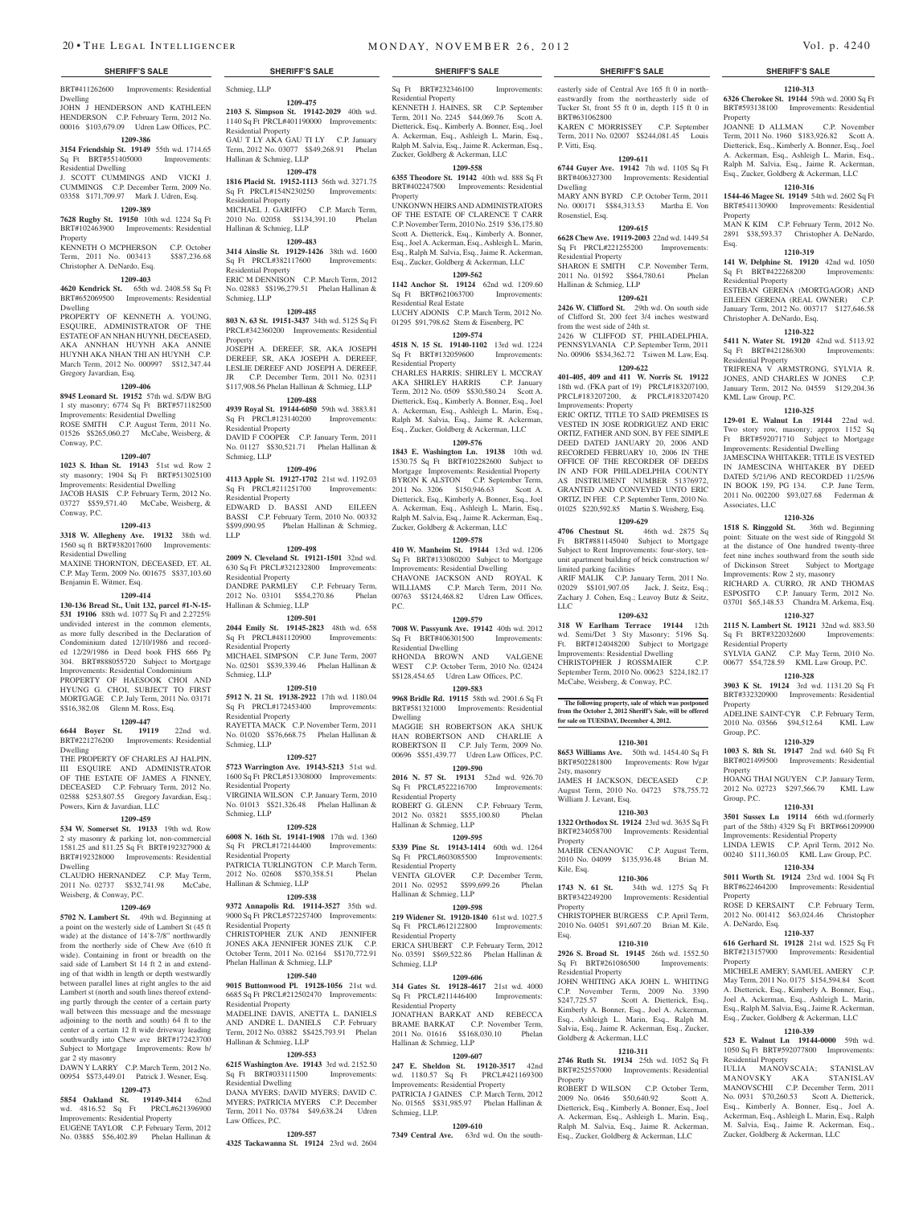BRT#411262600 Improvements: Residential Schmieg, LLP

Dwelling JOHN J HENDERSON AND KATHLEEN HENDERSON C.P. February Term, 2012 No. 00016 \$103,679.09 Udren Law Offices, P.C.

#### **1209-386**

**3154 Friendship St. 19149** 55th wd. 1714.65 Sq Ft BRT#551405000 Improvements:

Residential Dwelling J. SCOTT CUMMINGS AND VICKI J. CUMMINGS C.P. December Term, 2009 No. 03358 \$171,709.97 Mark J. Udren, Esq.

#### **1209-389**

**7628 Rugby St. 19150** 10th wd. 1224 Sq Ft BRT#102463900 Improvements: Residential Property

KENNETH O MCPHERSON C.P. October Term, 2011 No. 003413 \$\$87,236.68 Christopher A. DeNardo, Esq.

### **1209-403**

**4620 Kendrick St.** 65th wd. 2408.58 Sq Ft BRT#652069500 Improvements: Residential Dwelling

PROPERTY OF KENNETH A. YOUNG, ESQUIRE, ADMINISTRATOR OF THE ESTATE OF AN NHAN HUYNH, DECEASED, AKA ANNHAN HUYNH AKA ANNIE HUYNH AKA NHAN THI AN HUYNH C.P. March Term, 2012 No. 000997 \$\$12,347.44 Gregory Javardian, Esq.

#### **1209-406**

**8945 Leonard St. 19152** 57th wd. S/DW B/G 1 sty masonry; 6774 Sq Ft BRT#571182500 Improvements: Residential Dwelling ROSE SMITH C.P. August Term, 2011 No.

01526 \$\$265,060.27 McCabe, Weisberg, & Conway, P.C.

## **1209-407**

**1023 S. Ithan St. 19143** 51st wd. Row 2 sty masonry; 1904 Sq Ft BRT#513025100 Improvements: Residential Dwelling JACOB HASIS C.P. February Term, 2012 No. 03727 \$\$59,571.40 McCabe, Weisberg, & Conway, P.C.

### **1209-413**

**3318 W. Allegheny Ave. 19132** 38th wd. 1560 sq ft BRT#382017600 Improvements: Residential Dwelling

MAXINE THORNTON, DECEASED, ET. AL C.P. May Term, 2009 No. 001675 \$\$37,103.60 Benjamin E. Witmer, Esq.

#### **1209-414**

**130-136 Bread St., Unit 132, parcel #1-N-15- 531 19106** 88th wd. 1077 Sq Ft and 2.2725% undivided interest in the common elements, as more fully described in the Declaration of Condominium dated 12/10/1986 and recorded 12/29/1986 in Deed book FHS 666 Pg 304. BRT#888055720 Subject to Mortgage Improvements: Residential Condominium PROPERTY OF HAESOOK CHOI AND HYUNG G. CHOI, SUBJECT TO FIRST MORTGAGE C.P. July Term, 2011 No. 03171 \$\$16,382.08 Glenn M. Ross, Esq.

#### **1209-447**

**6644 Boyer St. 19119** 22nd wd. BRT#221276200 Improvements: Residential Dwelling

THE PROPERTY OF CHARLES AJ HALPIN, III ESQUIRE AND ADMINISTRATOR OF THE ESTATE OF JAMES A FINNEY, DECEASED C.P. February Term, 2012 No. 02588 \$253,807.55 Gregory Javardian, Esq.; Powers, Kirn & Javardian, LLC

#### **1209-459**

**534 W. Somerset St. 19133** 19th wd. Row 2 sty masonry & parking lot, non-commercial 1581.25 and 811.25 Sq Ft BRT#192327900 & BRT#192328000 Improvements: Residential Dwelling

CLAUDIO HERNANDEZ C.P. May Term, 2011 No. 02737 \$\$32,741.98 McCabe, Weisberg, & Conway, P.C.

#### **1209-469**

**5702 N. Lambert St.** 49th wd. Beginning at a point on the westerly side of Lambert St (45 ft wide) at the distance of 14'8-7/8" northwardly from the northerly side of Chew Ave (610 ft wide). Containing in front or breadth on the said side of Lambert St 14 ft 2 in and extending of that width in length or depth westwardly between parallel lines at right angles to the aid Lambert st (north and south lines thereof extending partly through the center of a certain party wall between this messuage and the messuage adjoining to the north and south) 64 ft to the center of a certain 12 ft wide driveway leading southwardly into Chew ave BRT#172423700 Subject to Mortgage Improvements: Row b/ gar 2 sty masonry

DA WNY LARRY C.P. March Term, 2012 No. 00954 \$\$73,449.01 Patrick J. Wesner, Esq. **1209-473**

## **5854 Oakland St. 19149-3414** 62nd

wd. 4816.52 Sq Ft PRCL#621396900 Improvements: Residential Property

EUGENE TAYLOR C.P. February Term, 2012 No. 03885 \$56,402.89 Phelan Hallinan &

**1209-475 2103 S. Simpson St. 19142-2029** 40th wd. 1140 Sq Ft PRCL#401190000 Improvements: Residential Property

GAU T LY AKA GAU TI LY C.P. January Term, 2012 No. 03077 \$\$49,268.91 Phelan Hallinan & Schmieg, LLP

## **1209-478**

**1816 Placid St. 19152-1113** 56th wd. 3271.75 Sq Ft PRCL#154N230250 Improvements: Residential Property MICHAEL J. GARIFFO C.P. March Term,

#### 2010 No. 02058 \$\$134,391.10 Phelan Hallinan & Schmieg, LLP **1209-483**

**3414 Ainslie St. 19129-1426** 38th wd. 1600 Sq Ft PRCL#382117600 Improvements: Residential Property ERIC M DENNISON C.P. March Term, 2012 No. 02883 \$\$196,279.51 Phelan Hallinan & Schmieg, LLP

## **1209-485**

**803 N. 63 St. 19151-3437** 34th wd. 5125 Sq Ft PRCL#342360200 Improvements: Residential Property JOSEPH A. DEREEF, SR, AKA JOSEPH DEREEF, SR, AKA JOSEPH A. DEREEF,

LESLIE DEREEF AND JOSEPH A. DEREEF, JR C.P. December Term, 2011 No. 02311 \$117,908.56 Phelan Hallinan & Schmieg, LLP

## **1209-488**

**4939 Royal St. 19144-6050** 59th wd. 3883.81 Sq Ft PRCL#123140200 Improvements: Residential Property DAVID F COOPER C.P. January Term, 2011 No. 01127 \$\$30,521.71 Phelan Hallinan & Schmieg, LLP

**1209-496 4113 Apple St. 19127-1702** 21st wd. 1192.03 Sq Ft PRCL#211251700 Improvements: Residential Property EDWARD D. BASSI AND EILEEN BASSI C.P. February Term, 2010 No. 00332 \$\$99,090.95 Phelan Hallinan & Schmieg, LLP

## **1209-498**

**2009 N. Cleveland St. 19121-1501** 32nd wd. 630 Sq Ft PRCL#321232800 Improvements: Residential Property DANDRE PARMLEY C.P. February Term, 2012 No. 03101 \$\$54,270.86 Phelan Hallinan & Schmieg, LLP

**1209-501**

#### **2044 Emily St. 19145-2823** 48th wd. 658 Sq Ft PRCL#481120900 Residential Property MICHAEL SIMPSON C.P. June Term, 2007

No. 02501 \$\$39,339.46 Phelan Hallinan & Schmieg, LLP

### **1209-510**

**5912 N. 21 St. 19138-2922** 17th wd. 1180.04 Sq Ft PRCL#172453400 Improvements: Residential Property RAYETTA MACK C.P. November Term, 2011 No. 01020 \$\$76,668.75 Phelan Hallinan & Schmieg, LLP

#### **1209-527**

**5723 Warrington Ave. 19143-5213** 51st wd. 1600 Sq Ft PRCL#513308000 Improvements: Residential Property VIRGINIA WILSON C.P. January Term, 2010 No. 01013 \$\$21,326.48 Phelan Hallinan & Schmieg, LLP

## **1209-528**

**6008 N. 16th St. 19141-1908** 17th wd. 1360 Sq Ft PRCL#172144400 Improvements: Residential Property PATRICIA TURLINGTON C.P. March Term, 2012 No. 02608 \$\$70,358.51 Phelan Hallinan & Schmieg, LLP

## **1209-538**

**9372 Annapolis Rd. 19114-3527** 35th wd. 9000 Sq Ft PRCL#572257400 Improvements: Residential Property CHRISTOPHER ZUK AND JENNIFER

JONES AKA JENNIFER JONES ZUK C.P. October Term, 2011 No. 02164 \$\$170,772.91 Phelan Hallinan & Schmieg, LLP

#### **1209-540**

**9015 Buttonwood Pl. 19128-1056** 21st wd. 6685 Sq Ft PRCL#212502470 Improvements: Desidential Property MADELINE DAVIS, ANETTA L. DANIELS AND ANDRE L. DANIELS C.P. February Term, 2012 No. 03882 \$\$425,793.91 Phelan Hallinan & Schmieg, LLP

#### **1209-553**

**6215 Washington Ave. 19143** 3rd wd. 2152.50 Sq Ft BRT#033111500 Improvements: Residential Dwelling DANA MYERS; DAVID MYERS; DAVID C. MYERS; PATRICIA MYERS C.P. December Term, 2011 No. 03784 \$49,638.24 Udren Law Offices, P.C.

#### **1209-557**

**4325 Tackawanna St. 19124** 23rd wd. 2604

easterly side of Central Ave 165 ft 0 in northeastwardly from the northeasterly side of Tucker St, front 55 ft 0 in, depth 115 ft 0 in

**1210-313 6326 Cherokee St. 19144** 59th wd. 2000 Sq Ft BRT#593138100 Improvements: Residential

JOANNE D ALLMAN C.P. November Term, 2011 No. 1960 \$183,926.82 Scott A. Dietterick, Esq., Kimberly A. Bonner, Esq., Joel A. Ackerman, Esq., Ashleigh L. Marin, Esq., Ralph M. Salvia, Esq., Jaime R. Ackerman, Esq., Zucker, Goldberg & Ackerman, LLC **1210-316 1544-46 Magee St. 19149** 54th wd. 2602 Sq Ft BRT#541130900 Improvements: Residential

MAN K KIM C.P. February Term, 2012 No. 2891 \$38,593.37 Christopher A. DeNardo,

**1210-319 141 W. Delphine St. 19120** 42nd wd. 1050 Sq Ft BRT#422268200 Improvements:

ESTEBAN GERENA (MORTGAGOR) AND EILEEN GERENA (REAL OWNER) C.P. January Term, 2012 No. 003717 \$127,646.58

**1210-322 5411 N. Water St. 19120** 42nd wd. 5113.92 Sq Ft BRT#421286300 Improvements:

TRIFRENA V ARMSTRONG, SYLVIA R. JONES, AND CHARLES W JONES C.P. January Term, 2012 No. 04559 \$129,204.36

**1210-325 129-01 E. Walnut Ln 19144** 22nd wd. Two story row, masonry; approx 1152 Sq Ft BRT#592071710 Subject to Mortgage Improvements: Residential Dwelling JAMESCINA WHITAKER; TITLE IS VESTED IN JAMESCINA WHITAKER BY DEED DATED 5/21/96 AND RECORDED 11/25/96 IN BOOK 159, PG 134. C.P. June Term, 2011 No. 002200 \$93,027.68 Federman &

**1210-326 1518 S. Ringgold St.** 36th wd. Beginning point: Situate on the west side of Ringgold St at the distance of One hundred twenty-three feet nine inches southward from the south side of Dickinson Street Subject to Mortgage Improvements: Row 2 sty, masonry RICHARD A. CURRO, JR AND THOMAS ESPOSITO C.P. January Term, 2012 No. 03701 \$65,148.53 Chandra M. Arkema, Esq. **1210-327 2115 N. Lambert St. 19121** 32nd wd. 883.50 Sq Ft BRT#322032600 Improvements:

SYLVIA GANZ C.P. May Term, 2010 No. 00677 \$54,728.59 KML Law Group, P.C. **1210-328 3903 K St. 19124** 3rd wd. 1131.20 Sq Ft BRT#332320900 Improvements: Residential

ADELINE SAINT-CYR C.P. February Term, 2010 No. 03566 \$94,512.64 KML Law

**1210-329 1003 S. 8th St. 19147** 2nd wd. 640 Sq Ft BRT#021499500 Improvements: Residential

HOANG THAI NGUYEN C.P. January Term, 2012 No. 02723 \$297,566.79 KML Law

**1210-331 3501 Sussex Ln 19114** 66th wd.(formerly part of the 58th) 4329 Sq Ft BRT#661209900 Improvements: Residential Property LINDA LEWIS C.P. April Term, 2012 No. 00240 \$111,360.05 KML Law Group, P.C. **1210-334 5011 Worth St. 19124** 23rd wd. 1004 Sq Ft BRT#622464200 Improvements: Residential

ROSE D KERSAINT C.P. February Term, 2012 No. 001412 \$63,024.46 Christopher

**1210-337 616 Gerhard St. 19128** 21st wd. 1525 Sq Ft BRT#213157900 Improvements: Residential

MICHELE AMERY; SAMUEL AMERY C.P. May Term, 2011 No. 0175 \$154,594.84 Scott A. Dietterick, Esq., Kimberly A. Bonner, Esq., Joel A. Ackerman, Esq., Ashleigh L. Marin, Esq., Ralph M. Salvia, Esq., Jaime R. Ackerman, Esq., Zucker, Goldberg & Ackerman, LLC **1210-339 523 E. Walnut Ln 19144-0000** 59th wd. 1050 Sq Ft BRT#592077800 Improvements:

IULIA MANOVSCAIA; STANISLAV MANOVSKY AKA STANISLAV MANOVSCHII C.P. December Term, 2011 No. 0931 \$70,260.53 Scott A. Dietterick, Esq., Kimberly A. Bonner, Esq., Joel A. Ackerman, Esq., Ashleigh L. Marin, Esq., Ralph M. Salvia, Esq., Jaime R. Ackerman, Esq., Zucker, Goldberg & Ackerman, LLC

Property

Property

Residential Property

Residential Property

KML Law Group, P.C.

Associates, LLC

Residential Property

Property

Property

Group, P.C.

Property

Property

A. DeNardo, Esq.

Residential Property

Group, P.C.

Christopher A. DeNardo, Esq.

Esq.

KAREN C MORRISSEY C.P. September Term, 2011 No. 02007 \$\$244,081.45 Louis

**1209-611 6744 Guyer Ave. 19142** 7th wd. 1105 Sq Ft BRT#406327300 Improvements: Residential

MARY ANN BYRD C.P. October Term, 2011 No. 000171 \$\$84,313.53 Martha E. Von

**1209-615 6628 Chew Ave. 19119-2003** 22nd wd. 1449.54 Sq Ft PRCL#221255200 Improvements:

SHARON E SMITH C.P. November Term, 2011 No. 01592 \$\$64,780.61 Phelan

**1209-621 2426 W. Clifford St.** 29th wd. On south side of Clifford St, 200 feet 3/4 inches westward

2426 W CLIFFOD ST, PHILADELPHIA, PENNSYLVANIA C.P. September Term, 2011 No. 00906 \$\$34,362.72 Tsiwen M. Law, Esq. **1209-622 401-405, 409 and 411 W. Norris St. 19122**  18th wd. (FKA part of 19) PRCL#183207100, PRCL#183207200, & PRCL#183207420

ERIC ORTIZ, TITLE TO SAID PREMISES IS VESTED IN JOSE RODRIGUEZ AND ERIC ORTIZ, FATHER AND SON, BY FEE SIMPLE DEED DATED JANUARY 20, 2006 AND RECORDED FEBRUARY 10, 2006 IN THE OFFICE OF THE RECORDER OF DEEDS IN AND FOR PHILADELPHIA COUNTY AS INSTRUMENT NUMBER 51376972, GRANTED AND CONVEYED UNTO ERIC ORTIZ, IN FEE C.P. September Term, 2010 No. 01025 \$220,592.85 Martin S. Weisberg, Esq. **1209-629 4706 Chestnut St.** 46th wd. 2875 Sq Ft BRT#881145040 Subject to Mortgage Subject to Rent Improvements: four-story, tenunit apartment building of brick construction w/

ARIF MALIK C.P. January Term, 2011 No. 02029 \$\$101,907.05 Jack, J. Seitz, Esq.; Zachary J. Cohen, Esq.; Leavoy Butz & Seitz,

**1209-632 318 W Earlham Terrace 19144** 12th wd. Semi/Det 3 Sty Masonry; 5196 Sq. Ft. BRT#124048200 Subject to Mortgage Improvements: Residential Dwelling CHRISTOPHER J ROSSMAIER C.P. September Term, 2010 No. 00623 \$224,182.17 McCabe, Weisberg, & Conway, P.C.

**The following property, sale of which was postponed from the October 2, 2012 Sheriff's Sale, will be offered for sale on TUESDAY, December 4, 2012.**

**1210-301 8653 Williams Ave.** 50th wd. 1454.40 Sq Ft BRT#502281800 Improvements: Row b/gar

JAMES H JACKSON, DECEASED C.P. August Term, 2010 No. 04723 \$78,755.72

**1210-303 1322 Orthodox St. 19124** 23rd wd. 3635 Sq Ft BRT#234058700 Improvements: Residential

MAHIR CENANOVIC C.P. August Term, 2010 No. 04099 \$135,936.48 Brian M.

**1210-306 1743 N. 61 St.** 34th wd. 1275 Sq Ft BRT#342249200 Improvements: Residential

CHRISTOPHER BURGESS C.P. April Term, 2010 No. 04051 \$91,607.20 Brian M. Kile,

**1210-310 2926 S. Broad St. 19145** 26th wd. 1552.50 Sq Ft BRT#261086500 Improvements:

JOHN WHITING AKA JOHN L. WHITING C.P. November Term, 2009 No. 3390 \$247,725.57 Scott A. Dietterick, Esq., Kimberly A. Bonner, Esq., Joel A. Ackerman, Esq., Ashleigh L. Marin, Esq., Ralph M. Salvia, Esq., Jaime R. Ackerman, Esq., Zucker,

**1210-311 2746 Ruth St. 19134** 25th wd. 1052 Sq Ft BRT#252557000 Improvements: Residential

ROBERT D WILSON C.P. October Term, 2009 No. 0646 \$50,640.92 Scott A. Dietterick, Esq., Kimberly A. Bonner, Esq., Joel A. Ackerman, Esq., Ashleigh L. Marin, Esq., Ralph M. Salvia, Esq., Jaime R. Ackerman, Esq., Zucker, Goldberg & Ackerman, LLC

BRT#631062800

P. Vitti, Esq.

Dwelling

Rosenstiel, Esq.

Residential Property

Hallinan & Schmieg, LLP

from the west side of 24th st.

Improvements: Property

limited parking facilities

LLC

2sty, masonry

Property

Kile, Esq.

Property

Esq.

Property

Residential Property

Goldberg & Ackerman, LLC

William J. Levant, Esq.

### **SHERIFF'S SALE SHERIFF'S SALE SHERIFF'S SALE SHERIFF'S SALE SHERIFF'S SALE**

Sq Ft BRT#232346100 Improvements: Residential Property

KENNETH J. HAINES, SR C.P. September Term, 2011 No. 2245 \$44,069.76 Scott A. Dietterick, Esq., Kimberly A. Bonner, Esq., Joel A. Ackerman, Esq., Ashleigh L. Marin, Esq., Ralph M. Salvia, Esq., Jaime R. Ackerman, Esq., Zucker, Goldberg & Ackerman, LLC

### **1209-558**

**6355 Theodore St. 19142** 40th wd. 888 Sq Ft BRT#402247500 Improvements: Residential Property

UNKONWN HEIRS ANDADMINISTRATORS OF THE ESTATE OF CLARENCE T CARR C.P. November Term, 2010 No. 2519 \$36,175.80 Scott A. Dietterick, Esq., Kimberly A. Bonner, Esq., Joel A. Ackerman, Esq., Ashleigh L. Marin, Esq., Ralph M. Salvia, Esq., Jaime R. Ackerman, Esq., Zucker, Goldberg & Ackerman, LLC

**1209-562 1142 Anchor St. 19124** 62nd wd. 1209.60 Sq Ft BRT#621063700 Improvements: Residential Real Estate LUCHY ADONIS C.P. March Term, 2012 No.

### 01295 \$91,798.62 Stern & Eisenberg, PC **1209-574**

**4518 N. 15 St. 19140-1102** 13rd wd. 1224 Sq Ft BRT#132059600 Improvements: Residential Property CHARLES HARRIS; SHIRLEY L MCCRAY AKA SHIRLEY HARRIS C.P. January Term, 2012 No. 0509 \$\$30,580.24 Scott A. Dietterick, Esq., Kimberly A. Bonner, Esq., Joel A. Ackerman, Esq., Ashleigh L. Marin, Esq., Ralph M. Salvia, Esq., Jaime R. Ackerman, Esq., Zucker, Goldberg & Ackerman, LLC

## **1209-576**

**1843 E. Washington Ln. 19138** 10th wd. 1530.75 Sq Ft BRT#102282600 Subject to Mortgage Improvements: Residential Property BYRON K ALSTON C.P. September Term, 2011 No. 3206 \$150,946.63 Scott A. Dietterick, Esq., Kimberly A. Bonner, Esq., Joel A. Ackerman, Esq., Ashleigh L. Marin, Esq., Ralph M. Salvia, Esq., Jaime R. Ackerman, Esq., Zucker, Goldberg & Ackerman, LLC

## **1209-578**

**410 W. Manheim St. 19144** 13rd wd. 1206 Sq Ft BRT#133080200 Subject to Mortgage Improvements: Residential Dwelling CHAVONE JACKSON AND ROYAL K WILLIAMS C.P. March Term, 2011 No. 00763 \$\$124,468.82 Udren Law Offices, P.C.

#### **1209-579**

**7008 W. Passyunk Ave. 19142** 40th wd. 2012 Sq Ft BRT#406301500 Improvements: Residential Dwelling RHONDA BROWN AND VALGENE WEST C.P. October Term, 2010 No. 02424 \$\$128,454.65 Udren Law Offices, P.C.

**1209-583 9968 Bridle Rd. 19115** 58th wd. 2901.6 Sq Ft BRT#581321000 Improvements: Residential

Dwelling MAGGIE SH ROBERTSON AKA SHUK HAN ROBERTSON AND CHARLIE A ROBERTSON II C.P. July Term, 2009 No. 00696 \$\$51,439.77 Udren Law Offices, P.C.

**1209-590 2016 N. 57 St. 19131** 52nd wd. 926.70 Sq Ft PRCL#522216700 Improvements: Residential Property

ROBERT G. GLENN C.P. February Term, 2012 No. 03821 \$\$55,100.80 Phelan Hallinan & Schmieg, LLP

## **1209-595**

**5339 Pine St. 19143-1414** 60th wd. 1264 Sq Ft PRCL#603085500 Improvements: Residential Property VENITA GLOVER C.P. December Term,

#### 2011 No. 02952 \$\$99,699.26 Phelan Hallinan & Schmieg, LLP

#### **1209-598**

**219 Widener St. 19120-1840** 61st wd. 1027.5 Sq Ft PRCL#612122800 Improvements: Residential Property ERICA SHUBERT C.P. February Term, 2012 No. 03591 \$\$69,522.86 Phelan Hallinan &

## Schmieg, LLP

**1209-606 314 Gates St. 19128-4617** 21st wd. 4000 Sq Ft PRCL#211446400 Improvements: Residential Property JONATHAN BARKAT AND REBECCA BRAME BARKAT C.P. November Term, 2011 No. 01616 \$\$168,030.10 Phelan Hallinan & Schmieg, LLP

#### **1209-607**

**247 E. Sheldon St. 19120-3517** 42nd wd. 1180.57 Sq Ft PRCL#421169300 Improvements: Residential Property PATRICIA J GAINES C.P. March Term, 2012 No. 01565 \$\$31,985.97 Phelan Hallinan & Schmieg, LLP.

#### **1209-610 7349 Central Ave.** 63rd wd. On the south-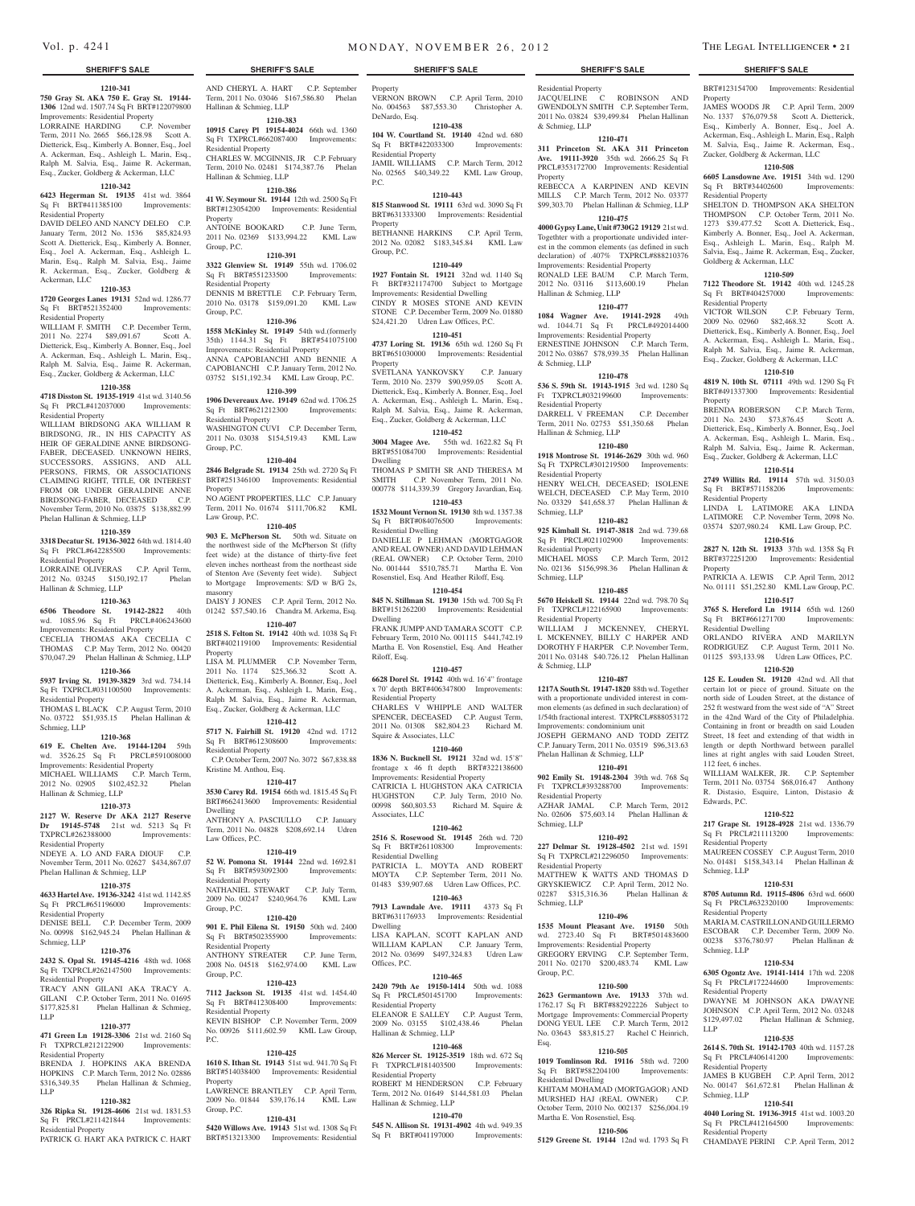**1210-341**

**750 Gray St. AKA 750 E. Gray St. 19144- 1306** 12nd wd. 1507.74 Sq Ft BRT#122079800 Improvements: Residential Property LORRAINE HARDING C.P. November Term, 2011 No. 2665 \$66,128.98 Scott A. Dietterick, Esq., Kimberly A. Bonner, Esq., Joel A. Ackerman, Esq., Ashleigh L. Marin, Esq., Ralph M. Salvia, Esq., Jaime R. Ackerman, Esq., Zucker, Goldberg & Ackerman, LLC

#### **1210-342**

**6423 Hegerman St. 19135** 41st wd. 3864 Sq Ft BRT#411385100 Improvements: Residential Property

DAVID DELEO AND NANCY DELEO C.P. January Term, 2012 No. 1536 \$85,824.93 Scott A. Dietterick, Esq., Kimberly A. Bonner, Esq., Joel A. Ackerman, Esq., Ashleigh L. Marin, Esq., Ralph M. Salvia, Esq., Jaime R. Ackerman, Esq., Zucker, Goldberg & Ackerman, LLC

#### **1210-353**

**1720 Georges Lanes 19131** 52nd wd. 1286.77<br>
Sq Ft BRT#521352400 Improvements:  $Sq$  Ft BRT#521352400 Residential Property

WILLIAM F. SMITH C.P. December Term, 2011 No. 2274 \$89,091.67 Scott A. Dietterick, Esq., Kimberly A. Bonner, Esq., Joel A. Ackerman, Esq., Ashleigh L. Marin, Esq., Ralph M. Salvia, Esq., Jaime R. Ackerman, Esq., Zucker, Goldberg & Ackerman, LLC

### **1210-358**

**4718 Disston St. 19135-1919** 41st wd. 3140.56 Sq Ft PRCL#412037000 Improvements: Residential Property

WILLIAM BIRDSONG AKA WILLIAM R BIRDSONG, JR., IN HIS CAPACITY AS HEIR OF GERALDINE ANNE BIRDSONG-FABER, DECEASED. UNKNOWN HEIRS, SUCCESSORS, ASSIGNS, AND ALL PERSONS, FIRMS, OR ASSOCIATIONS CLAIMING RIGHT, TITLE, OR INTEREST FROM OR UNDER GERALDINE ANNE BIRDSONG-FABER, DECEASED C.P. November Term, 2010 No. 03875 \$138,882.99 Phelan Hallinan & Schmieg, LLP

#### **1210-359**

**3318 Decatur St. 19136-3022** 64th wd. 1814.40 Sq Ft PRCL#642285500 Improvements: Residential Property

LORRAINE OLIVERAS C.P. April Term, 2012 No. 03245 \$150,192.17 Phelan Hallinan & Schmieg, LLP

## **1210-363**

**6506 Theodore St. 19142-2822** 40th wd. 1085.96 Sq Ft PRCL#406243600 Improvements: Residential Property

CECELIA THOMAS AKA CECELIA C THOMAS C.P. May Term, 2012 No. 00420 \$70,047.29 Phelan Hallinan & Schmieg, LLP

## **1210-366**

**5937 Irving St. 19139-3829** 3rd wd. 734.14 Sq Ft TXPRCL#031100500 Improvements: Residential Property

THOMAS L BLACK C.P. August Term, 2010 No. 03722 \$51,935.15 Phelan Hallinan & Schmieg, LLP

### **1210-368**

**619 E. Chelten Ave. 19144-1204** 59th wd. 3526.25 Sq Ft PRCL#591008000 Improvements: Residential Property

MICHAEL WILLIAMS C.P. March Term, 2012 No. 02905 \$102,452.32 Phelan Hallinan & Schmieg, LLP

### **1210-373**

**2127 W. Reserve Dr AKA 2127 Reserve Dr 19145-5748** 21st wd. 5213 Sq Ft TXPRCL#262388000 Improvements: Residential Property

NDEYE A. LO AND FARA DIOUF C.P. November Term, 2011 No. 02627 \$434,867.07 Phelan Hallinan & Schmieg, LLP

#### **1210-375**

**4633 Hartel Ave. 19136-3242** 41st wd. 1142.85 Sq Ft PRCL#651196000 Improvements:

## Residential Property

DENISE BELL C.P. December Term, 2009 No. 00998 \$162,945.24 Phelan Hallinan & Schmieg, LLP

## **1210-376**

**2432 S. Opal St. 19145-4216** 48th wd. 1068 Sq Ft TXPRCL#262147500 Improvements: Residential Property TRACY ANN GILANI AKA TRACY A. GILANI C.P. October Term, 2011 No. 01695

\$177,825.81 Phelan Hallinan & Schmieg, LLP **1210-377**

**471 Green Ln 19128-3306** 21st wd. 2160 Sq Ft TXPRCL#212122900 Residential Property

BRENDA J. HOPKINS AKA BRENDA HOPKINS C.P. March Term, 2012 No. 02886 \$316,349.35 Phelan Hallinan & Schmieg, LLP

### **1210-382**

**326 Ripka St. 19128-4606** 21st wd. 1831.53 Sq Ft PRCL#211421844 Improvements: Residential Property

PATRICK G. HART AKA PATRICK C. HART

AND CHERYL A. HART C.P. September Term, 2011 No. 03046 \$167,586.80 Phelan Hallinan & Schmieg, LLP

**1210-383 10915 Carey Pl 19154-4024** 66th wd. 1360

Sq Ft TXPRCL#662087400 Improvements: Residential Property CHARLES W. MCGINNIS, JR C.P. February Term, 2010 No. 02481 \$174,387.76 Phelan Hallinan & Schmieg, LLP

### **1210-386**

**41 W. Seymour St. 19144** 12th wd. 2500 Sq Ft BRT#123054200 Improvements: Residential Property ANTOINE BOOKARD C.P. June Term,

2011 No. 02369 \$133,994.22 KML Law Group, P.C. **1210-391**

## **3322 Glenview St. 19149** 55th wd. 1706.02

Sq Ft BRT#551233500 Improvements: Residential Property DENNIS M BRETTLE C.P. February Term, 2010 No. 03178 \$159,091.20 KML Law

## Group, P.C.

**1210-396 1558 McKinley St. 19149** 54th wd.(formerly 35th) 1144.31 Sq Ft BRT#541075100 Improvements: Residential Property ANNA CAPOBIANCHI AND BENNIE A CAPOBIANCHI C.P. January Term, 2012 No. 03752 \$151,192.34 KML Law Group, P.C.

#### **1210-399**

**1906 Devereaux Ave. 19149** 62nd wd. 1706.25 Sq Ft BRT#621212300 Improvements: Residential Property WASHINGTON CUVI C.P. December Term, 2011 No. 03038 \$154,519.43 KML Law Group, P.C.

#### **1210-404**

**2846 Belgrade St. 19134** 25th wd. 2720 Sq Ft BRT#251346100 Improvements: Residential Property

NO AGENT PROPERTIES, LLC C.P. January Term, 2011 No. 01674 \$111,706.82 KML Law Group, P.C.

### **1210-405**

**903 E. McPherson St.** 50th wd. Situate on the northwest side of the McPherson St (fifty feet wide) at the distance of thirty-five feet eleven inches northeast from the northeast side of Stenton Ave (Seventy feet wide). Subject to Mortgage Improvements: S/D w B/G 2s, masonry DAISY J JONES C.P. April Term, 2012 No.

01242 \$57,540.16 Chandra M. Arkema, Esq. **1210-407**

## **2518 S. Felton St. 19142** 40th wd. 1038 Sq Ft

BRT#402119100 Improvements: Residential Property LISA M. PLUMMER C.P. November Term,

2011 No. 1174 \$25,366.32 Scott A. Dietterick, Esq., Kimberly A. Bonner, Esq., Joel A. Ackerman, Esq., Ashleigh L. Marin, Esq., Ralph M. Salvia, Esq., Jaime R. Ackerman, Esq., Zucker, Goldberg & Ackerman, LLC

#### **1210-412**

**5717 N. Fairhill St. 19120** 42nd wd. 1712 Sq Ft BRT#612308600 Improvements: Residential Property C.P. October Term, 2007 No. 3072 \$67,838.88

Kristine M. Anthou, Esq. **1210-417**

**3530 Carey Rd. 19154** 66th wd. 1815.45 Sq Ft BRT#662413600 Improvements: Residential Dwelling

ANTHONY A. PASCIULLO C.P. January Term, 2011 No. 04828 \$208,692.14 Udren Law Offices, P.C.

## **1210-419**

**52 W. Pomona St. 19144** 22nd wd. 1692.81 Sq Ft BRT#593092300 Improvements: Residential Property NATHANIEL STEWART C.P. July Term, 2009 No. 00247 \$240,964.76 KML Law

Group, P.C. **1210-420 901 E. Phil Eilena St. 19150** 50th wd. 2400

Sq Ft BRT#502355900 Improvements: Residential Property ANTHONY STREATER C.P. June Term,

2008 No. 04518 \$162,974.00 KML Law Group, P.C. **1210-423 7112 Jackson St. 19135** 41st wd. 1454.40 Sq Ft BRT#412308400 Improvements:

Residential Property KEVIN BISHOP C.P. November Term, 2009 No. 00926 \$111,602.59 KML Law Group, P.C.

#### **1210-425**

**1610 S. Ithan St. 19143** 51st wd. 941.70 Sq Ft BRT#514038400 Improvements: Residential Property LAWRENCE BRANTLEY C.P. April Term,

2009 No. 01844 \$39,176.14 KML Law Group, P.C. **1210-431**

**5420 Willows Ave. 19143** 51st wd. 1308 Sq Ft BRT#513213300 Improvements: Residential Property VERNON BROWN C.P. April Term, 2010 No. 004563 \$87,553.30 Christopher A. DeNardo, Esq.

Residential Property

& Schmieg, LLP

Hallinan & Schmieg, LLP

& Schmieg, LLP

Residential Property

Residential Property

Residential Property

Residential Property

& Schmieg, LLP

Schmieg, LLP

Schmieg, LLP

Hallinan & Schmieg, LLP

**1210-477 1084 Wagner Ave. 19141-2928** 49th wd. 1044.71 Sq Ft PRCL#492014400 Improvements: Residential Property ERNESTINE JOHNSON C.P. March Term, 2012 No. 03867 \$78,939.35 Phelan Hallinan

**1210-478 536 S. 59th St. 19143-1915** 3rd wd. 1280 Sq Ft TXPRCL#032199600 Improvements:

DARRELL V FREEMAN C.P. December Term, 2011 No. 02753 \$51,350.68 Phelan

**1210-480 1918 Montrose St. 19146-2629** 30th wd. 960 Sq Ft TXPRCL#301219500 Improvements:

HENRY WELCH, DECEASED; ISOLENE WELCH, DECEASED C.P. May Term, 2010 No. 03329 \$41,658.37 Phelan Hallinan &

**1210-482 925 Kimball St. 19147-3818** 2nd wd. 739.68 Sq Ft PRCL#021102900 Improvements:

MICHAEL MOSS C.P. March Term, 2012 No. 02136 \$156,998.36 Phelan Hallinan &

**1210-485 5670 Heiskell St. 19144** 22nd wd. 798.70 Sq Ft TXPRCL#122165900 Improvements:

WILLIAM J MCKENNEY, CHERYL L MCKENNEY, BILLY C HARPER A DOROTHY F HARPER C.P. November Term, 2011 No. 03148 \$40.726.12 Phelan Hallinan

**1210-487 1217A South St. 19147-1820** 88th wd. Together with a proportionate undivided interest in common elements (as defined in such declaration) of 1/54th fractional interest. TXPRCL#888053172

**1210-491 902 Emily St. 19148-2304** 39th wd. 768 Sq Ft TXPRCL#393288700 Improvements:

AZHAR JAMAL C.P. March Term, 2012 No. 02606 \$75,603.14 Phelan Hallinan &

**1210-492 227 Delmar St. 19128-4502** 21st wd. 1591 Sq Ft TXPRCL#212296050 Improvements:

MATTHEW K WATTS AND THOMAS D GRYSKIEWICZ C.P. April Term, 2012 No. 02287 \$315,316.36 Phelan Hallinan &

**1210-496 1535 Mount Pleasant Ave. 19150** 50th wd. 2723.40 Sq Ft BRT#501483600 Improvements: Residential Property GREGORY ERVING C.P. September Term, 2011 No. 02170 \$200,483.74 KML Law

**1210-500 2623 Germantown Ave. 19133** 37th wd. 1762.17 Sq Ft BRT#882922226 Subject to Mortgage Improvements: Commercial Property DONG YEUL LEE C.P. March Term, 2012 No. 03643 \$83,815.27 Rachel C Heinrich,

**1210-505 1019 Tomlinson Rd. 19116** 58th wd. 7200 Sq Ft BRT#582204100 Improvements:

KHITAM MOHAMAD (MORTGAGOR) AND MURSHED HAJ (REAL OWNER) October Term, 2010 No. 002137 \$256,004.19

**1210-506 5129 Greene St. 19144** 12nd wd. 1793 Sq Ft

Improvements: condominium unit JOSEPH GERMANO AND TODD ZEITZ C.P. January Term, 2011 No. 03519 \$96,313.63

Phelan Hallinan & Schmieg, LLP

Residential Property

Residential Property

Schmieg, LLP

Schmieg, LLP

Group, P.C.

Esq.

Residential Dwelling

Martha E. Von Rosenstiel, Esq.

Property

JACQUELINE C ROBINSON AND GWENDOLYN SMITH C.P. September Term, 2011 No. 03824 \$39,499.84 Phelan Hallinan

BRT#123154700 Improvements: Residential

JAMES WOODS JR C.P. April Term, 2009 No. 1337 \$76,079.58 Scott A. Dietterick, Esq., Kimberly A. Bonner, Esq., Joel A. Ackerman, Esq., Ashleigh L. Marin, Esq., Ralph M. Salvia, Esq., Jaime R. Ackerman, Esq., Zucker, Goldberg & Ackerman, LLC **1210-508 6605 Lansdowne Ave. 19151** 34th wd. 1290 Sq Ft BRT#34402600 Improvements:

SHELTON D. THOMPSON AKA SHELTON THOMPSON C.P. October Term, 2011 No. 1273 \$39.477.52 Scott A. Dietterick, Esq., Kimberly A. Bonner, Esq., Joel A. Ackerman, Esq., Ashleigh L. Marin, Esq., Ralph M. Salvia, Esq., Jaime R. Ackerman, Esq., Zucker,

**1210-509 7122 Theodore St. 19142** 40th wd. 1245.28 Sq Ft BRT#404257000 Improvements:

VICTOR WILSON C.P. February Term, 2009 No. 02960 \$82,468.32 Scott A. Dietterick, Esq., Kimberly A. Bonner, Esq., Joel A. Ackerman, Esq., Ashleigh L. Marin, Esq., Ralph M. Salvia, Esq., Jaime R. Ackerman, Esq., Zucker, Goldberg & Ackerman, LLC **1210-510 4819 N. 10th St. 07111** 49th wd. 1290 Sq Ft BRT#491337300 Improvements: Residential

BRENDA ROBERSON C.P. March Term, 2011 No. 2430 \$73,876.45 Scott A. Dietterick, Esq., Kimberly A. Bonner, Esq., Joel A. Ackerman, Esq., Ashleigh L. Marin, Esq., Ralph M. Salvia, Esq., Jaime R. Ackerman, Esq., Zucker, Goldberg & Ackerman, LLC **1210-514 2749 Willits Rd. 19114** 57th wd. 3150.03 Sq Ft BRT#571158206 Improvements:

LINDA L LATIMORE AKA LINDA LATIMORE C.P. November Term, 2098 No. 03574 \$207,980.24 KML Law Group, P.C. **1210-516 2827 N. 12th St. 19133** 37th wd. 1358 Sq Ft BRT#372251200 Improvements: Residential

PATRICIA A. LEWIS C.P. April Term, 2012 No. 01111 \$51,252.80 KML Law Group, P.C. **1210-517 3765 S. Hereford Ln 19114** 65th wd. 1260 Sq Ft BRT#661271700 Improvements:

ORLANDO RIVERA AND MARILY RODRIGUEZ C.P. August Term, 2011 No. 01125 \$93,133.98 Udren Law Offices, P.C. **1210-520 125 E. Louden St. 19120** 42nd wd. All that certain lot or piece of ground. Situate on the north side of Louden Street, at the distance of 252 ft westward from the west side of "A" Street in the 42nd Ward of the City of Philadelphia. Containing in front or breadth on said Louden Street, 18 feet and extending of that width in length or depth Northward between parallel lines at right angles with said Louden Street,

WILLIAM WALKER, JR. C.P. September Term, 2011 No. 03754 \$68,016.47 Anthony R. Distasio, Esquire, Linton, Distasio &

**1210-522 217 Grape St. 19128-4928** 21st wd. 1336.79 Sq Ft PRCL#211113200 Improvements:

MAUREEN COSSEY C.P. August Term, 2010 No. 01481 \$158,343.14 Phelan Hallinan &

**1210-531 8705 Autumn Rd. 19115-4806** 63rd wd. 6600 Sq Ft PRCL#632320100 Improvements:

MARIA M. CASTRILLONAND GUILLERMO ESCOBAR C.P. December Term, 2009 No. 00238 \$376,780.97 Phelan Hallinan &

**1210-534 6305 Ogontz Ave. 19141-1414** 17th wd. 2208 Sq Ft PRCL#172244600 Improvements:

DWAYNE M JOHNSON AKA DWAYNE JOHNSON C.P. April Term, 2012 No. 03248 \$129,497.02 Phelan Hallinan & Schmieg,

**1210-535 2614 S. 70th St. 19142-1703** 40th wd. 1157.28 Sq Ft PRCL#406141200 Improvements:

JAMES B KUGBEH C.P. April Term, 2012 No. 00147 \$61,672.81 Phelan Hallinan &

**1210-541 4040 Loring St. 19136-3915** 41st wd. 1003.20 Sq Ft PRCL#412164500 Improvements:

CHAMDAYE PERINI C.P. April Term, 2012

Property

Residential Property

Goldberg & Ackerman, LLC

Residential Property

Property

Residential Property

Residential Dwelling

112 feet, 6 inches.

Edwards, P.C.

Residential Property

Residential Property

Schmieg, LLP

Schmieg, LLP

LLP

Residential Property

Residential Property

Residential Property

Schmieg, LLP

Property

**1210-471 311 Princeton St. AKA 311 Princeton Ave. 19111-3920** 35th wd. 2666.25 Sq Ft PRCL#353172700 Improvements: Residential

REBECCA A KARPINEN AND KEVIN MILLS C.P. March Term, 2012 No. 03377 \$99,303.70 Phelan Hallinan & Schmieg, LLP **1210-475 4000 Gypsy Lane, Unit #730G2 19129** 21st wd. Togethter with a proportionate undivided interest in the common elements (as defined in such declaration) of .407% TXPRCL#888210376 Improvements: Residential Property RONALD LEE BAUM C.P. March Term, 2012 No. 03116 \$113,600.19 Phelan

#### **1210-438 104 W. Courtland St. 19140** 42nd wd. 680

Sq Ft BRT#422033300 Improvements: Residential Property JAMIL WILLIAMS C.P. March Term, 2012 No. 02565 \$40,349.22 KML Law Group, P.C.

#### **1210-443**

**815 Stanwood St. 19111** 63rd wd. 3090 Sq Ft BRT#631333300 Improvements: Residential Property BETHANNE HARKINS C.P. April Term,

2012 No. 02082 \$183,345.84 KML Law Group, P.C.

## **1210-449**

**1927 Fontain St. 19121** 32nd wd. 1140 Sq Ft BRT#321174700 Subject to Mortgage Improvements: Residential Dwelling CINDY R MOSES STONE AND KEVIN STONE C.P. December Term, 2009 No. 01880 \$24,421.20 Udren Law Offices, P.C.

#### **1210-451**

**4737 Loring St. 19136** 65th wd. 1260 Sq Ft BRT#651030000 Improvements: Residential Property

SVETLANA YANKOVSKY C.P. January Term, 2010 No. 2379 \$90,959.05 Scott A. Dietterick, Esq., Kimberly A. Bonner, Esq., Joel A. Ackerman, Esq., Ashleigh L. Marin, Esq., Ralph M. Salvia, Esq., Jaime R. Ackerman, Esq., Zucker, Goldberg & Ackerman, LLC

### **1210-452**

**3004 Magee Ave.** 55th wd. 1622.82 Sq Ft BRT#551084700 Improvements: Residential Dwelling THOMAS P SMITH SR AND THERESA M

SMITH C.P. November Term, 2011 No. 000778 \$114,339.39 Gregory Javardian, Esq. **1210-453**

**1532 Mount Vernon St. 19130** 8th wd. 1357.38 Sq Ft BRT#084076500 Improvements: Residential Dwelling DANIELLE P LEHMAN (MORTGAGOR AND REAL OWNER) AND DAVID LEHMAN (REAL OWNER) C.P. October Term, 2010 No. 001444 \$510,785.71 Martha E. Von Rosenstiel, Esq. And Heather Riloff, Esq.

#### **1210-454**

**845 N. Stillman St. 19130** 15th wd. 700 Sq Ft BRT#151262200 Improvements: Residential Dwelling

FRANK JUMPP AND TAMARA SCOTT C.P. February Term, 2010 No. 001115 \$441,742.19 Martha E. Von Rosenstiel, Esq. And Heather Riloff, Esq.

#### **1210-457**

**6628 Dorel St. 19142** 40th wd. 16'4" frontage x 70' depth BRT#406347800 Improvements: Residential Property CHARLES V WHIPPLE AND WALTER SPENCER, DECEASED C.P. August Term, 2011 No. 01308 \$82,804.23 Richard M. Squire & Associates, LLC

### **1210-460**

**1836 N. Bucknell St. 19121** 32nd wd. 15'8" frontage x 46 ft depth BRT#322138600 Improvements: Residential Property CATRICIA L HUGHSTON AKA CATRICIA HUGHSTON C.P. July Term, 2010 No. 00998 \$60,803.53 Richard M. Squire & Associates, LLC

**1210-462 2516 S. Rosewood St. 19145** 26th wd. 720 Sq Ft BRT#261108300 Improvements:

PATRICIA L. MOYTA AND ROBERT MOYTA C.P. September Term, 2011 No. 01483 \$39,907.68 Udren Law Offices, P.C. **1210-463 7913 Lawndale Ave. 19111** 4373 Sq Ft BRT#631176933 Improvements: Residential

LISA KAPLAN, SCOTT KAPLAN AND WILLIAM KAPLAN C.P. January Term, 2012 No. 03699 \$497,324.83 Udren Law

**1210-465 2420 79th Ae 19150-1414** 50th wd. 1088 Sq Ft PRCL#501451700 Improvements:

ELEANOR E SALLEY C.P. August Term, 2009 No. 03155 \$102,438.46 Phelan

**1210-468 826 Mercer St. 19125-3519** 18th wd. 672 Sq Ft TXPRCL#181403500 Improvements:

ROBERT M HENDERSON C.P. February Term, 2012 No. 01649 \$144,581.03 Phelan

**1210-470 545 N. Allison St. 19131-4902** 4th wd. 949.35 Sq Ft BRT#041197000 Improvements:

Residential Dwelling

Dwelling

Offices, P.C.

sidential Property

Hallinan & Schmieg, LLP

Hallinan & Schmieg, LLP

Sq Ft BRT#041197000

Residential Property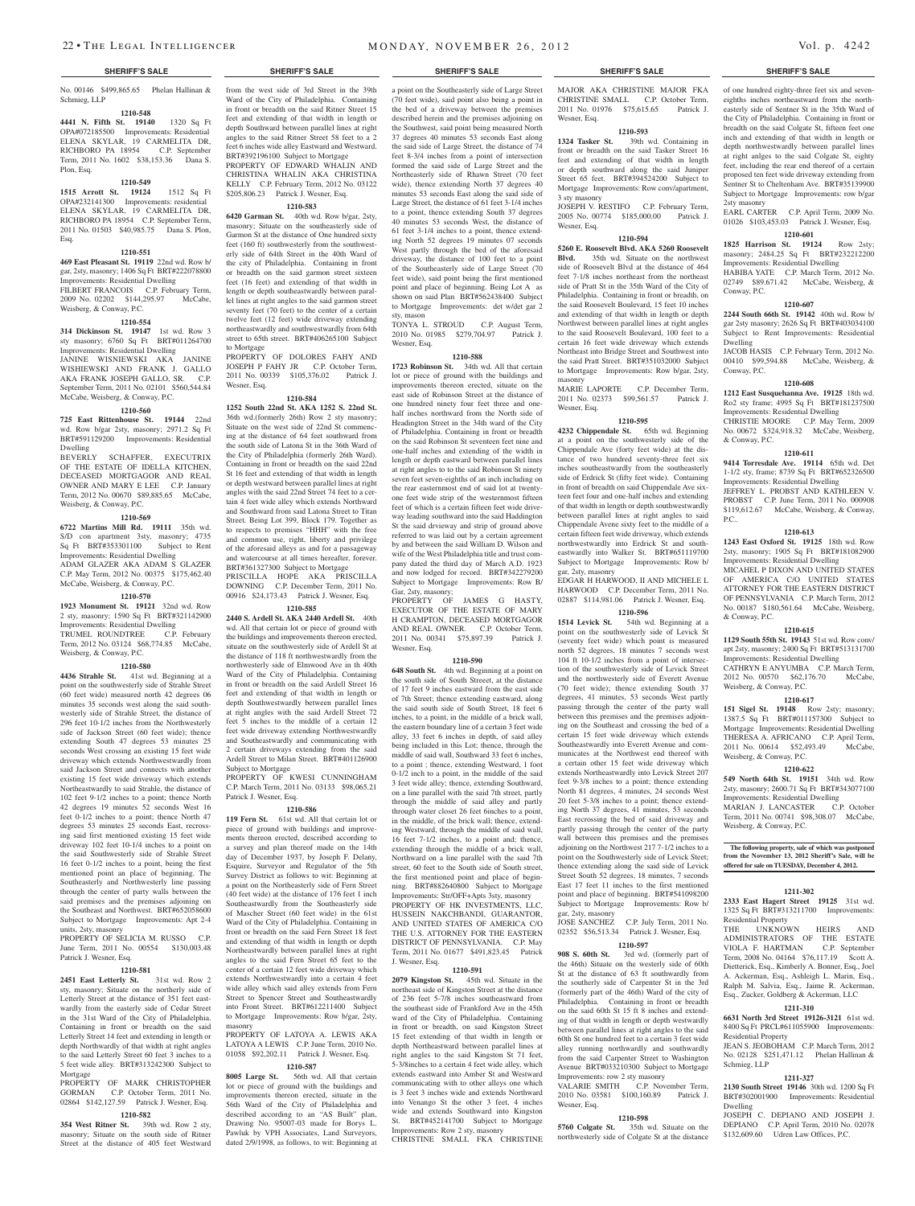No. 00146 \$499,865.65 Phelan Hallinan & Schmieg, LLP

### **1210-548**

**4441 N. Fifth St. 19140** 1320 Sq Ft OPA#072185500 Improvements: Residential ELENA SKYLAR, 19 CARMELITA DR,<br>RICHBORO PA 18954 C.P. September RICHBORO PA 18954 Term, 2011 No. 1602 \$38,153.36 Dana S. Plon, Esq.

#### **1210-549**

**1515 Arrott St. 19124** 1512 Sq Ft OPA#232141300 Improvements: residential ELENA SKYLAR, 19 CARMELITA DR, RICHBORO PA 18954 C.P. September Term, 2011 No. 01503 \$40,985.75 Dana S. Plon, Esq.

#### **1210-551**

**469 East Pleasant St. 19119** 22nd wd. Row b/ gar, 2sty, masonry; 1406 Sq Ft BRT#222078800 Improvements: Residential Dwelling FILBERT FRANCOIS C.P. February Term, 2009 No. 02202 \$144,295.97 McCabe, Weisberg, & Conway, P.C.

#### **1210-554**

**314 Dickinson St. 19147** 1st wd. Row 3 sty masonry; 6760 Sq Ft BRT#011264700 Improvements: Residential Dwelling JANINE WISNIEWSKI AKA JANINE WISHIEWSKI AND FRANK J. GALLO AKA FRANK JOSEPH GALLO, SR. C.P. September Term, 2011 No. 02101 \$560,544.84 McCabe, Weisberg, & Conway, P.C.

#### **1210-560**

**725 East Rittenhouse St. 19144** 22nd wd. Row b/gar 2sty, masonry; 2971.2 Sq Ft BRT#591129200 Improvements: Residential Dwelling

BEVERLY SCHAFFER EXECUTRIX OF THE ESTATE OF IDELLA KITCHEN, DECEASED MORTGAGOR AND REAL OWNER AND MARY E LEE C.P. January Term, 2012 No. 00670 \$89,885.65 McCabe, Weisberg, & Conway, P.C.

#### **1210-569**

**6722 Martins Mill Rd. 19111** 35th wd. S/D con apartment 3sty, masonry; 4735 Sq Ft BRT#353301100 Subject to Rent Improvements: Residential Dwelling ADAM GLAZER AKA ADAM S GLAZER C.P. May Term, 2012 No. 00375 \$175,462.40 McCabe, Weisberg, & Conway, P.C.

#### **1210-570**

**1923 Monument St. 19121** 32nd wd. Row 2 sty, masonry; 1590 Sq Ft BRT#321142900 Improvements: Residential Dwelling TRUMEL ROUNDTREE C.P. February Term, 2012 No. 03124 \$68,774.85 McCabe, Weisberg, & Conway, P.C.

#### **1210-580**

**4436 Strahle St.** 41st wd. Beginning at a point on the southwesterly side of Strahle Street (60 feet wide) measured north 42 degrees 06 minutes 35 seconds west along the said southwesterly side of Strahle Street, the distance of 296 feet 10-1/2 inches from the Northwesterly side of Jackson Street (60 feet wide); thence extending South 47 degrees 53 minutes 25 seconds West crossing an existing 15 feet wide driveway which extends Northwestwardly from said Jackson Street and connects with another existing 15 feet wide driveway which extends Northeastwardly to said Strahle, the distance of 102 feet 9-1/2 inches to a point; thence North 42 degrees 19 minutes 52 seconds West 16 feet 0-1/2 inches to a point; thence North 47 degrees 53 minutes 25 seconds East, recrossing said first mentioned existing 15 feet wide driveway 102 feet 10-1/4 inches to a point on the said Southwesterly side of Strahle Street 16 feet 0-1/2 inches to a point, being the first mentioned point an place of beginning. The Southeasterly and Northwesterly line passing through the center of party walls between the said premises and the premises adjoining on the Southeast and Northwest. BRT#652058600 Subject to Mortgage Improvements: Apt 2-4 units, 2sty, masonry

PROPERTY OF SELICIA M. RUSSO C.P. June Term, 2011 No. 00554 \$130,003.48 Patrick J. Wesner, Esq.

#### **1210-581**

**2451 East Letterly St.** 31st wd. Row 2 sty, masonry; Situate on the northerly side of Letterly Street at the distance of 351 feet eastwardly from the easterly side of Cedar Street in the 31st Ward of the City of Philadelphia. Containing in front or breadth on the said Letterly Street 14 feet and extending in length or depth Northwardly of that width at right angles to the said Letterly Street 60 feet 3 inches to a 5 feet wide alley. BRT#313242300 Subject to Mortgage

PROPERTY OF MARK CHRISTOPHER GORMAN C.P. October Term, 2011 No. 02864 \$142,127.59 Patrick J. Wesner, Esq.

## **1210-582**

**354 West Ritner St.** 39th wd. Row 2 sty, masonry; Situate on the south side of Ritner Street at the distance of 405 feet Westward from the west side of 3rd Street in the 39th Ward of the City of Philadelphia. Containing in front or breadth on the said Ritner Street 15 feet and extending of that width in length or depth Southward between parallel lines at right angles to the said Ritner Street 58 feet to a 2 feet 6 inches wide alley Eastward and Westward. BRT#392196100 Subject to Mortgage PROPERTY OF EDWARD WHALIN AND CHRISTINA WHALIN AKA CHRISTINA

## KELLY C.P. February Term, 2012 No. 03122 \$205,806.23 Patrick J. Wesner, Esq. **1210-583**

**6420 Garman St.** 40th wd. Row b/gar, 2sty, masonry; Situate on the southeasterly side of Garmon St at the distance of One hundred sixty feet (160 ft) southwesterly from the southwesterly side of 64th Street in the 40th Ward of the city of Philadelphia. Containing in front or breadth on the said garmon street sixteen feet (16 feet) and extending of that width in length or depth southeastwardly between parallel lines at right angles to the said garmon street seventy feet (70 feet) to the center of a certain twelve feet (12 feet) wide driveway extending northeastwardly and southwestwardly from 64th street to 65th street. BRT#406265100 Subject to Mortgage

PROPERTY OF DOLORES FAHY AND JOSEPH P FAHY JR C.P. October Term, 2011 No. 00339 \$105,376.02 Patrick J. Wesner, Esq.

## **1210-584**

**1252 South 22nd St. AKA 1252 S. 22nd St.**  36th wd.(formerly 26th) Row 2 sty masonry; Situate on the west side of 22nd St commencing at the distance of 64 feet southward from the south side of Latona St in the 36th Ward of the City of Philadelphia (formerly 26th Ward). Containing in front or breadth on the said 22nd St 16 feet and extending of that width in length or depth westward between parallel lines at right angles with the said 22nd Street 74 feet to a certain 4 feet wide alley which extends Northward and Southward from said Latona Street to Titan Street. Being Lot 399, Block 179. Together as to respects to premises "HHH" with the free and common use, right, liberty and privilege of the aforesaid alleys as and for a passageway and watercourse at all times hereafter, forever. BRT#361327300 Subject to Mortgage PRISCILLA HOPE AKA PRISCILLA

DOWNING C.P. December Term, 2011 No. 00916 \$24,173.43 Patrick J. Wesner, Esq. **1210-585**

**2440 S. Ardell St. AKA 2440 Ardell St.** 40th wd. All that certain lot or piece of ground with the buildings and improvements thereon erected, situate on the southwesterly side of Ardell St at the distance of 118 ft northwestwardly from the northwesterly side of Elmwood Ave in th 40th Ward of the City of Philadelphia. Containing in front or breadth on the said Ardell Street 16 feet and extending of that width in length or depth Southwestwardly between parallel lines at right angles with the said Ardell Street 72 feet 5 inches to the middle of a certain 12 feet wide driveway extending Northwestwardly and Southeastwardly and communicating with 2 certain driveways extending from the said Ardell Street to Milan Street. BRT#401126900 Subject to Mortgage

#### PROPERTY OF KWESI CUNNINGHAI C.P. March Term, 2011 No. 03133 \$98,065.21 Patrick J. Wesner, Esq.

#### **1210-586**

**119 Fern St.** 61st wd. All that certain lot or piece of ground with buildings and improvements thereon erected, described according to a survey and plan thereof made on the 14th day of December 1937, by Joseph F. Delany, Esquire, Surveyor and Regulator of the 5th Survey District as follows to wit: Beginning at a point on the Northeasterly side of Fern Street (40 feet wide) at the distance of 176 feet 1 inch Southeastwardly from the Southeasterly side of Mascher Street (60 feet wide) in the 61st Ward of the City of Philadelphia. Containing in front or breadth on the said Fern Street 18 feet and extending of that width in length or depth Northeastwardly between parallel lines at right angles to the said Fern Street 65 feet to the center of a certain 12 feet wide driveway which extends Northwestwardly into a certain 4 feet wide alley which said alley extends from Fern Street to Spencer Street and Southeastwardly into Front Street. BRT#612211400 Subject to Mortgage Improvements: Row b/gar, 2sty,

PROPERTY OF LATOYA A. LEWIS AKA LATOYA A LEWIS C.P. June Term, 2010 No. 01058 \$92,202.11 Patrick J. Wesner, Esq.

masonry

## **1210-587**

**8005 Large St.** 56th wd. All that certain lot or piece of ground with the buildings and improvements thereon erected, situate in the 56th Ward of the City of Philadelphia and described according to an "AS Built" plan, Drawing No. 95007-03 made for Borys L. Pawluk by VPH Associates, Land Surveyors, dated 2/9/1998, as follows, to wit: Beginning at

#### **SHERIFF'S SALE SHERIFF'S SALE SHERIFF'S SALE SHERIFF'S SALE SHERIFF'S SALE**

a point on the Southeasterly side of Large Street (70 feet wide), said point also being a point in the bed of a driveway between the premises described herein and the premises adjoining on the Southwest, said point being measured North 37 degrees 40 minutes 53 seconds East along the said side of Large Street, the distance of 74 feet 8-3/4 inches from a point of intersection formed the said side of Large Street and the Northeasterly side of Rhawn Street (70 feet wide), thence extending North 37 degrees 40 minutes 53 seconds East along the said side of Large Street, the distance of 61 feet 3-1/4 inches to a point, thence extending South 37 degrees 40 minutes 53 seconds West, the distance of 61 feet 3-1/4 inches to a point, thence extending North 52 degrees 19 minutes 07 seconds West partly through the bed of the aforesaid driveway, the distance of 100 feet to a point of the Southeasterly side of Large Street (70 feet wide), said point being the first mentioned point and place of beginning. Being Lot A as shown on said Plan BRT#562438400 Subject to Mortgage Improvements: det w/det gar 2 sty, mason

TONYA L. STROUD C.P. August Term, 2010 No. 01985 \$279,704.97 Patrick J. Wesner, Esq.

#### **1210-588**

**1723 Robinson St.** 34th wd. All that certain lot or piece of ground with the buildings and improvements thereon erected, situate on the east side of Robinson Street at the distance of one hundred ninety four feet three and onehalf inches northward from the North side of Headington Street in the 34th ward of the City of Philadelphia. Containing in front or breadth on the said Robinson St seventeen feet nine and one-half inches and extending of the width in length or depth eastward between parallel lines at right angles to to the said Robinson St ninety seven feet seven-eighths of an inch including on the rear easternmost end of said lot at twentyone feet wide strip of the westernmost fifteen feet of which is a certain fifteen feet wide driveway leading southward into the said Haddington St the said drvieway and strip of ground above referred to was laid out by a certain agreement by and between the said William D. Wilson and wife of the West Philadelphia title and trust company dated the third day of March A.D. 1923 and now lodged for record. BRT#342279200 Subject to Mortgage Improvements: Row B/ Gar, 2sty, masonry;

PROPERTY OF JAMES G HASTY, EXECUTOR OF THE ESTATE OF MARY H CRAMPTON, DECEASED MORTGAGOR AND REAL OWNER. C.P. October Term, 2011 No. 00341 \$75,897.39 Patrick J. Wesner, Esq.

#### **1210-590**

**648 South St.** 4th wd. Beginning at a point on the south side of South Streeet, at the distance of 17 feet 9 inches eastward from the east side of 7th Street; thence extending eastward, along the said south side of South Street, 18 feet 6 inches, to a point, in the middle of a brick wall, the eastern boundary line of a certain 3 feet wide alley, 33 feet 6 inches in depth, of said alley being included in this Lot; thence, through the middle of said wall, Southward 33 feet 6 inches, to a point ; thence, extending Westward, 1 foot 0-1/2 inch to a point, in the middle of the said 3 feet wide alley; thence, extending Southward, on a line parallel with the said 7th street, partly through the middle of said alley and partly through water closet 26 feet 6inches to a point, in the middle, of the brick wall; thence, extending Westward, through the middle of said wall, 16 feet 7-1/2 inches, to a point and; thence, extending through the middle of a brick wall, Northward on a line parallel with the said 7th street, 60 feet to the South side of South street, the first mentioned point and place of begin-

ning. BRT#882640800 Subject to Mortgage Improvements: Str/OFF+Apts 3sty, masonry PROPERTY OF HK INVESTMENTS, LLC, HUSSEIN NAKCHBANDI, GUARANTOR, AND UNITED STATES OF AMERICA C/O THE U.S. ATTORNEY FOR THE EASTERN DISTRICT OF PENNSYLVANIA. C.P. May Term, 2011 No. 01677 \$491,823.45 Patrick J. Wesner, Esq.

### **1210-591**

**2079 Kingston St.** 45th wd. Situate in the northeast side of Kingston Street at the distance of 236 feet 5-7/8 inches southeastward from the southeast side of Frankford Ave in the 45th ward of the City of Philadelphia. Containing in front or breadth, on said Kingston Street 15 feet extending of that width in length or depth Northeastward between parallel lines at right angles to the said Kingston St 71 feet, 5-3/8inches to a certain 4 feet wide alley, which extends eastward into Amber St and Westward communicating with to other alleys one which is 3 feet 3 inches wide and extends Northward into Venango St the other 3 feet, 4 inches wide and extends Southward into Kingston St. BRT#452141700 Subject to Mortgage Improvements: Row 2 sty, masonry CHRISTINE SMALL FKA CHRISTINE

MAJOR AKA CHRISTINE MAJOR FKA CHRISTINE SMALL C.P. October Term, 2011 No. 01976 \$75,615.65 Patrick J. Wesner, Esq.

## **1210-593**<br>**1324 Tasker St.** 39th v

**1324 Tasker St.** 39th wd. Containing in front or breadth on the said Tasker Street 16 feet and extending of that width in length or depth southward along the said Juniper Street 65 feet. BRT#394524200 Subject to Mortgage Improvements: Row conv/apartment, 3 sty masonry JOSEPH V. RESTIFO C.P. February Term, 2005 No. 00774 \$185,000.00 Patrick J.

Wesner, Esq.

### **1210-594**

**5260 E. Roosevelt Blvd. AKA 5260 Roosevelt Blvd.** 35th wd. Situate on the northwest side of Roosevelt Blvd at the distance of 464 feet 7-1/8 inches northeast from the northeast side of Pratt St in the 35th Ward of the City of Philadelphia. Containing in front or breadth, on the said Roosevelt Boulevard, 15 feet 10 inches and extending of that width in length or depth Northwest between parallel lines at right angles to the said Roosevelt Boulevard, 100 feet to a certain 16 feet wide driveway which extends Northeast into Bridge Street and Southwest into the said Pratt Street. BRT#351032000 Subject to Mortgage Improvements: Row b/gar, 2sty, masonry

MARIE LAPORTE C.P. December Term, 2011 No. 02373 \$99,561.57 Patrick J. Wesner, Esq.

#### **1210-595**

**4232 Chippendale St.** 65th wd. Beginning at a point on the southwesterly side of the Chippendale Ave (forty feet wide) at the distance of two hundred seventy-three feet six inches southeastwardly from the southeasterly side of Erdrick St (fifty feet wide). Containing in front of breadth on said Chippendale Ave sixteen feet four and one-half inches and extending of that width in length or depth southwestwardly between parallel lines at right angles to said Chippendale Avene sixty feet to the middle of a certain fifteen feet wide driveway, which extends northwestwardly into Erdrick St and southeastwardly into Walker St. BRT#651119700 Subject to Mortgage Improvements: Row b/ gar, 2sty, masonry

EDGAR H HARWOOD, II AND MICHELE L HARWOOD C.P. December Term, 2011 No. 02887 \$114,981.06 Patrick J. Wesner, Esq.

## **1210-596**

**1514 Levick St.** 54th wd. Beginning at a point on the southwesterly side of Levick St (seventy feet wide) which point is measured north 52 degrees, 18 minutes 7 seconds west 104 ft 10-1/2 inches from a point of intersection of the southwesterly side of Levick Street and the northwesterly side of Everett Avenue (70 feet wide); thence extending South 37 degrees, 41 minutes, 53 seconds West partly passing through the center of the party wall between this premises and the premises adjoining on the Southeast and crossing the bed of a certain 15 feet wide driveway which extends Southeastwardly into Everett Avenue and communicates at the Northwest end thereof with a certain other 15 feet wide driveway which extends Northeastwardly into Levick Street 207 feet 9-3/8 inches to a point; thence extending North 81 degrees, 4 minutes, 24 seconds West 20 feet 5-3/8 inches to a point; thence extending North 37 degrees, 41 minutes, 53 seconds East recrossing the bed of said driveway and partly passing through the center of the party wall between this premises and the premises adjoining on the Northwest 217 7-1/2 inches to a point on the Southwesterly side of Levick Steet; thence extending along the said side of Levick Street South 52 degrees, 18 minutes, 7 seconds East 17 feet 11 inches to the first mentioned point and place of beginning. BRT#541098200 Subject to Mortgage Improvements: Row b/ gar, 2sty, masonry

JOSE SANCHEZ C.P. July Term, 2011 No. 02352 \$56,513.34 Patrick J. Wesner, Esq.

## **1210-597**

**908 S. 60th St.** 3rd wd. (formerly part of the 46th) Situate on the westerly side of 60th St at the distance of 63 ft southwardly from the southerly side of Carpenter St in the 3rd (formerly part of the 46th) Ward of the city of Philadelphia. Containing in front or breadth on the said 60th St 15 ft 8 inches and extending of that width in length or depth westwardly between parallel lines at right angles to the said 60th St one hundred feet to a certain 3 feet wide alley running northwardly and southwardly from the said Carpenter Street to Washington Avenue BRT#033210300 Subject to Mortgage Improvements: row 2 sty masonry<br>VALARIE SMITH C.P. Nove C.P. November Term, 2010 No. 03581 \$100,160.89 Patrick J.

## **1210-598**

Wesner, Esq.

**5760 Colgate St.** 35th wd. Situate on the northwesterly side of Colgate St at the distance

of one hundred eighty-three feet six and seveneighths inches northeastward from the northeasterly side of Sentner St in the 35th Ward of the City of Philadelphia. Containing in front or breadth on the said Colgate St, fifteen feet one inch and extending of that width in length or depth northwestwardly between parallel lines at right anlges to the said Colgate St, eighty feet, including the rear end thereof of a certain proposed ten feet wide driveway extending from Sentner St to Cheltenham Ave. BRT#35139900 Subject to Mortgage Improvements: row b/gar 2sty masonry

EARL CARTER C.P. April Term, 2009 No. 01026 \$103,453.03 Patrick J. Wesner, Esq.

## **1210-601**

**1825 Harrison St. 19124** Row 2sty; masonry; 2484.25 Sq Ft BRT#232212200 Improvements: Residential Dwelling

HABIBA YATE C.P. March Term. 2012 No. 02749 \$89.671.42 McCabe, Weisberg, & Conway, P.C.

#### **1210-607**

**2244 South 66th St. 19142** 40th wd. Row b/ gar 2sty masonry; 2626 Sq Ft BRT#403034100 Subject to Rent Improvements: Residential Dwelling JACOB HASIS C.P. February Term, 2012 No.

00410 \$99,594.88 McCabe, Weisberg, & Conway, P.C.

#### **1210-608**

**1212 East Susquehanna Ave. 19125** 18th wd. Ro2 sty frame; 4995 Sq Ft BRT#181237500 Improvements: Residential Dwelling

CHRISTIE MOORE C.P. May Term, 2009 No. 00672 \$324,918.32 McCabe, Weisberg, & Conway, P.C.

#### **1210-611**

**9414 Torresdale Ave. 19114** 65th wd. Det 1-1/2 sty, frame; 8739 Sq Ft BRT#652326500 Improvements: Residential Dwelling JEFFREY L. PROBST AND KATHLEEN V.

PROBST C.P. June Term, 2011 No. 000908 \$119,612.67 McCabe, Weisberg, & Conway, P.C..

#### **1210-613**

**1243 East Oxford St. 19125** 18th wd. Row 2sty, masonry; 1905 Sq Ft BRT#181082900 Improvements: Residential Dwelling

MICAHEL P DIXON AND UNITED STATES OF AMERICA C/O UNITED STATES ATTORNEY FOR THE EASTERN DISTRICT OF PENNSYLVANIA C.P. March Term, 2012 No. 00187 \$180,561.64 McCabe, Weisberg, & Conway, P.C.

#### **1210-615**

**1129 South 55th St. 19143** 51st wd. Row conv/ apt 2sty, masonry; 2400 Sq Ft BRT#513131700 Improvements: Residential Dwelling

CATHRYN E ANYUMBA C.P. March Term, 2012 No. 00570 \$62,176.70 McCabe, Weisberg, & Conway, P.C.

#### **1210-617**

151 Sigel St. 19148 Row 2sty; masonry; 1387.5 Sq Ft BRT#011157300 Subject to Mortgage Improvements: Residential Dwelling THERESA A. AFRICANO C.P. April Term, 2011 No. 00614 \$52,493.49 McCabe, Weisberg, & Conway, P.C.

#### **1210-622**

**549 North 64th St. 19151** 34th wd. Row 2sty, masonry; 2600.71 Sq Ft BRT#343077100 Improvements: Residential Dwelling MARIAN J. LANCASTER C.P. October Term, 2011 No. 00741 \$98,308.07 McCabe, Weisberg, & Conway, P.C.

The following property, sale of which was postponed  $\overline{\phantom{a}}$ **from the November 13, 2012 Sheriff's Sale, will be offered for sale on TUESDAY, December 4, 2012.**

#### **1211-302**

**2333 East Hagert Street 19125** 31st wd. 1325 Sq Ft BRT#313211700 Improvements: Residential Property THE UNKNOWN HEIRS AND

ADMINISTRATORS OF THE ESTATE VIOLA F. HARTMAN C.P. September Term, 2008 No. 04164 \$76,117.19 Scott A. Dietterick, Esq., Kimberly A. Bonner, Esq., Joel A. Ackerman, Esq., Ashleigh L. Marin, Esq., Ralph M. Salvia, Esq., Jaime R. Ackerman, Esq., Zucker, Goldberg & Ackerman, LLC

#### **1211-310 6631 North 3rd Street 19126-3121** 61st wd. 8400 Sq Ft PRCL#611055900 Improvements:

JEAN S. JEOBOHAM C.P. March Term, 2012 No. 02128 \$251,471.12 Phelan Hallinan &

**1211-327 2130 South Street 19146** 30th wd. 1200 Sq Ft BRT#302001900 Improvements: Residential

JOSEPH C. DEPIANO AND JOSEPH J. DEPIANO C.P. April Term, 2010 No. 02078 \$132,609.60 Udren Law Offices, P.C.

Residential Property

Schmieg, LLP

Dwelling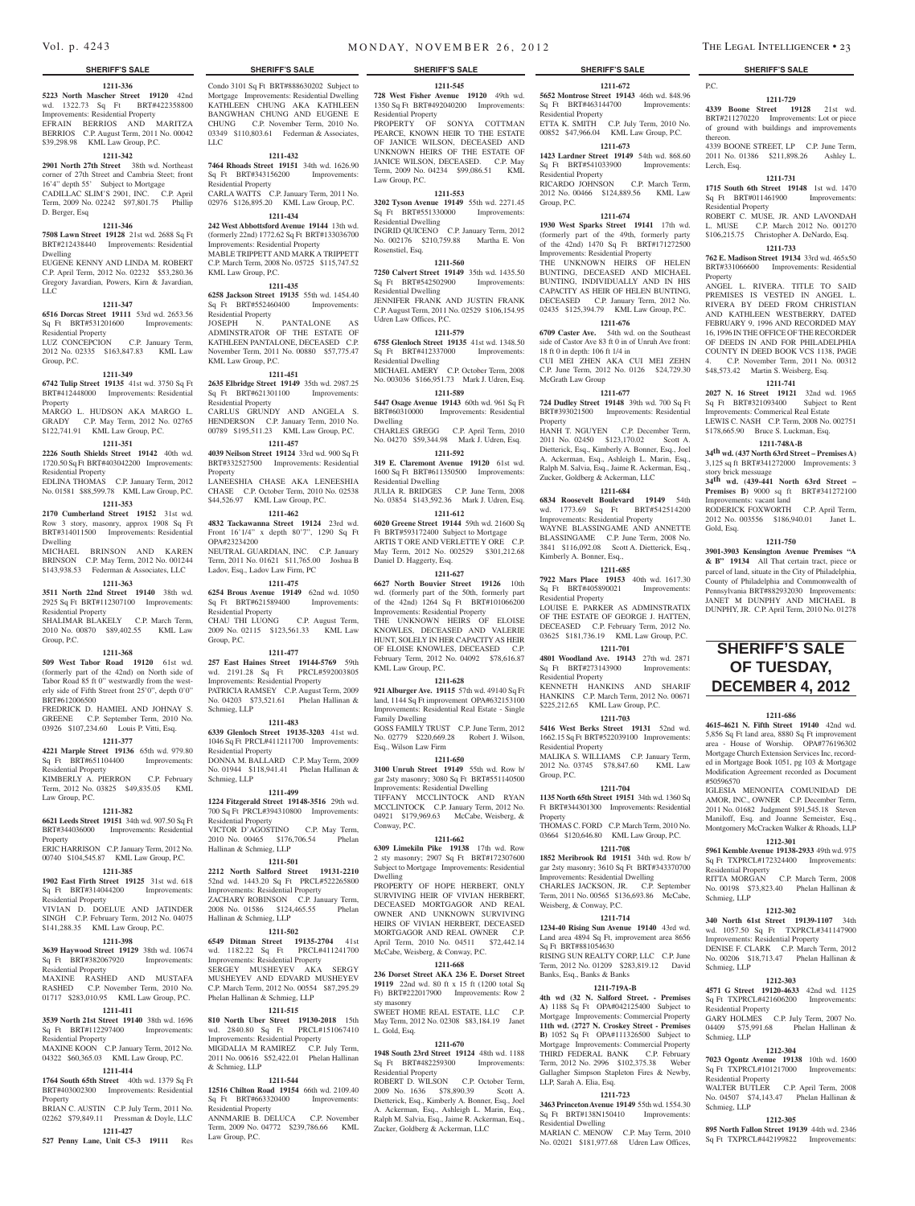#### **1211-336**

**5223 North Mascher Street 19120** 42nd wd. 1322.73 Sq Ft BRT#422358800 Improvements: Residential Property EFRAIN BERRIOS AND MARITZA BERRIOS C.P. August Term, 2011 No. 00042 \$39,298.98 KML Law Group, P.C.

### **1211-342**

**2901 North 27th Street** 38th wd. Northeast corner of 27th Street and Cambria Steet; front 16'4" depth 55' Subject to Mortgage CADILLAC SLIM'S 2901, INC. C.P. April Term, 2009 No. 02242 \$97,801.75 Phillip D. Berger, Esq

#### **1211-346**

**7508 Lawn Street 19128** 21st wd. 2688 Sq Ft BRT#212438440 Improvements: Residential Dwelling

EUGENE KENNY AND LINDA M. ROBERT C.P. April Term, 2012 No. 02232 \$53,280.36 Gregory Javardian, Powers, Kirn & Javardian, LLC

#### **1211-347**

**6516 Dorcas Street 19111** 53rd wd. 2653.56 Sq Ft BRT#531201600 Improvements: Residential Property LUZ CONCEPCION C.P. January Term,

2012 No. 02335 \$163,847.83 KML Law Group, P.C.

#### **1211-349**

**6742 Tulip Street 19135** 41st wd. 3750 Sq Ft BRT#412448000 Improvements: Residential

Property MARGO L. HUDSON AKA MARGO L. GRADY C.P. May Term, 2012 No. 02765 \$122,741.91 KML Law Group, P.C.

#### **1211-351**

**2226 South Shields Street 19142** 40th wd. 1720.50 Sq Ft BRT#403042200 Improvements:

Residential Property EDLINA THOMAS C.P. January Term, 2012

No. 01581 \$88,599.78 KML Law Group, P.C. **1211-353**

**2170 Cumberland Street 19152** 31st wd. Row 3 story, masonry, approx 1908 Sq Ft BRT#314011500 Improvements: Residential Dwelling MICHAEL BRINSON AND KAREN

BRINSON C.P. May Term, 2012 No. 001244 \$143,938.53 Federman & Associates, LLC **1211-363**

**3511 North 22nd Street 19140** 38th wd. 2925 Sq Ft BRT#112307100 Improvements: Residential Property

SHALIMAR BLAKELY C.P. March Term, 2010 No. 00870 \$89,402.55 KML Law Group, P.C.

#### **1211-368**

**509 West Tabor Road 19120** 61st wd. (formerly part of the 42nd) on North side of Tabor Road 85 ft 0" westwardly from the westerly side of Fifth Street front 25'0", depth 0'0" BRT#612006500

FREDRICK D. HAMIEL AND JOHNAY S. GREENE C.P. September Term, 2010 No. 03926 \$107,234.60 Louis P. Vitti, Esq.

#### **1211-377**

**4221 Marple Street 19136** 65th wd. 979.80

## Sq Ft BRT#651104400 Improvements:

Residential Property KIMBERLY A. PIERRON C.P. February Term, 2012 No. 03825 \$49,835.05 KML Law Group, P.C.

#### **1211-382**

**6621 Leeds Street 19151** 34th wd. 907.50 Sq Ft BRT#344036000 Improvements: Residential Property

#### ERIC HARRISON C.P. January Term, 2012 No. 00740 \$104,545.87 KML Law Group, P.C.

**1211-385**

## **1902 East Firth Street 19125** 31st wd. 618

Sq Ft BRT#314044200 Improvements: Residential Property

VIVIAN D. DOELUE AND JATINDER SINGH C.P. February Term, 2012 No. 04075 \$141,288.35 KML Law Group, P.C.

### **1211-398**

**3639 Haywood Street 19129** 38th wd. 10674 Sq Ft BRT#382067920 Improvements:

Residential Property MAXINE RASHED AND MUSTAFA RASHED C.P. November Term, 2010 No. 01717 \$283,010.95 KML Law Group, P.C.

#### **1211-411**

**3539 North 21st Street 19140** 38th wd. 1696 Sq Ft BRT#112297400 Improvements: Residential Property MAXINE KOON C.P. January Term, 2012 No.

## 04322 \$60,365.03 KML Law Group, P.C.

## **1211-414**

**1764 South 65th Street** 40th wd. 1379 Sq Ft BRT#403002300 Improvements: Residential Property

BRIAN C. AUSTIN C.P. July Term, 2011 No. 02262 \$79,849.11 Pressman & Doyle, LLC **1211-427**

**527 Penny Lane, Unit C5-3 19111** Res

Condo 3101 Sq Ft BRT#888630202 Subject to Mortgage Improvements: Residential Dwelling KATHLEEN CHUNG AKA KATHLEEN BANGWHAN CHUNG AND EUGENE E CHUNG C.P. November Term, 2010 No. 03349 \$110,803.61 Federman & Associates,

## **1211-432**

LLC

**7464 Rhoads Street 19151** 34th wd. 1626.90 Sq Ft BRT#343156200 Improvements: Residential Property CARLA WATTS C.P. January Term, 2011 No. 02976 \$126,895.20 KML Law Group, P.C.

### **1211-434 242 West Abbottsford Avenue 19144** 13th wd.

(formerly 22nd) 1772.62 Sq Ft BRT#133036700 Improvements: Residential Property MABLE TRIPPETT AND MARK A TRIPPETT C.P. March Term, 2008 No. 05725 \$115,747.52

KML Law Group, P.C. **1211-435**

**6258 Jackson Street 19135** 55th wd. 1454.40 Sq Ft BRT#552460400 Improvements: Residential Property<br>JOSEPH N. PANTALONE AS ADMINSTRATOR OF THE ESTATE OF KATHLEEN PANTALONE, DECEASED C.P. November Term, 2011 No. 00880 \$57,775.47 KML Law Group, P.C.

### **1211-451**

**2635 Elbridge Street 19149** 35th wd. 2987.25 Sq Ft BRT#621301100 Improvements: Residential Property CARLUS GRUNDY AND ANGELA S. HENDERSON C.P. January Term, 2010 No. 00789 \$195,511.23 KML Law Group, P.C.

#### **1211-457 4039 Neilson Street 19124** 33rd wd. 900 Sq Ft

BRT#332527500 Improvements: Residential Property LANEESHIA CHASE AKA LENEESHIA CHASE C.P. October Term, 2010 No. 02538 \$44,526.97 KML Law Group, P.C.

## **1211-462**

**4832 Tackawanna Street 19124** 23rd wd. Front 16'1/4" x depth 80'7", 1290 Sq Ft OPA#23234200 NEUTRAL GUARDIAN, INC. C.P. January Term, 2011 No. 01621 \$11,765.00 Joshua B

Ladov, Esq., Ladov Law Firm, PC **1211-475**

**6254 Brous Avenue 19149** 62nd wd. 1050 Sq Ft BRT#621589400 Improvements: Residential Property CHAU THI LUONG C.P. August Term, 2009 No. 02115 \$123,561.33 KML Law Group, P.C.

#### **1211-477**

**257 East Haines Street 19144-5769** 59th wd. 2191.28 Sq Ft PRCL#592003805 Improvements: Residential Property PATRICIA RAMSEY C.P. August Term, 2009 No. 04203 \$73,521.61 Phelan Hallinan & Schmieg, LLP

#### **1211-483**

**6339 Glenloch Street 19135-3203** 41st wd. 1046 Sq Ft PRCL#411211700 Improvements: Residential Property DONNA M. BALLARD C.P. May Term, 2009 No. 01944 \$118,941.41 Phelan Hallinan & Schmieg, LLP

#### **1211-499**

**1224 Fitzgerald Street 19148-3516** 29th wd. 700 Sq Ft PRCL#394310800 Improvements: Residential Property VICTOR D'AGOSTINO C.P. May Term, 2010 No. 00465 \$176,706.54 Phelan Hallinan & Schmieg, LLP

#### **1211-501**

**2212 North Salford Street 19131-2210**  52nd wd. 1443.20 Sq Ft PRCL#522265800 Improvements: Residential Property ZACHARY ROBINSON C.P. January Term, 2008 No. 01586 \$124,465.55 Phelan Hallinan & Schmieg, LLP

#### **1211-502**

**6549 Ditman Street 19135-2704** 41st wd. 1182.22 Sq Ft PRCL#411241700 Improvements: Residential Property SERGEY MUSHEYEV AKA SERGY MUSHEYEV AND EDVARD MUSHEYEV C.P. March Term, 2012 No. 00554 \$87,295.29 Phelan Hallinan & Schmieg, LLP

#### **1211-515**

**810 North Uber Street 19130-2018** 15th wd. 2840.80 Sq Ft PRCL#151067410 Improvements: Residential Property MIGDALIA M RAMIREZ C.P. July Term, 2011 No. 00616 \$52,422.01 Phelan Hallinan & Schmieg, LLP

#### **1211-544**

**12516 Chilton Road 19154** 66th wd. 2109.40<br>Sq Ft BRT#663320400 Improvements:  $\overline{SA}$  Ft BRT#663320400 Residential Property ANNMARIE B. DELUCA C.P. November Term, 2009 No. 04772 \$239,786.66 KML Law Group, P.C.

## Vol. p. 4243 MONDAY, NOVEMBER 26, 2012 THE LEGAL INTELLIGENCER • 23

**1211-672 5652 Montrose Street 19143** 46th wd. 848.96 Sq Ft BRT#463144700 Improvements: P.C.

thereon.

Lerch, Esq.

Property

Residential Property

Improvements: vacant land

Gold, Esq.

#50596570

Residential Property

Schmieg, LLP

Schmieg, LLP

Schmieg, LLP

Residential Property

Residential Property

Schmieg, LLP

RODERICK FOXWORTH C.P. April Term, 2012 No. 003556 \$186,940.01 Janet L.

**1211-750 3901-3903 Kensington Avenue Premises "A & B" 19134** All That certain tract, piece or parcel of land, situate in the City of Philadelphia, County of Philadelphia and Commonwealth of Pennsylvania BRT#882932030 Improvements: JANET M DUNPHY AND MICHAEL B DUNPHY, JR. C.P. April Term, 2010 No. 01278

**SHERIFF'S SALE OF TUESDAY, December 4, 2012** 

**1211-686 4615-4621 N. Fifth Street 19140** 42nd wd. 5,856 Sq Ft land area, 8880 Sq Ft improvement area - House of Worship. OPA#776196302 Mortgage Church Extension Services Inc, recorded in Mortgage Book 1051, pg 103 & Mortgage Modification Agreement recorded as Document

IGLESIA MENONITA COMUNIDAD DE AMOR, INC., OWNER C.P. December Term, 2011 No. 01682 Judgment \$91,545.18 Steven Maniloff, Esq. and Joanne Semeister, Esq., Montgomery McCracken Walker & Rhoads, LLP **1212-301 5961 Kemble Avenue 19138-2933** 49th wd. 975 Sq Ft TXPRCL#172324400 Improvements:

RITTA MORGAN C.P. March Term, 2008 No. 00198 \$73,823.40 Phelan Hallinan &

**1212-302 340 North 61st Street 19139-1107** 34th wd. 1057.50 Sq Ft TXPRCL#341147900 Improvements: Residential Property DENISE F. CLARK C.P. March Term, 2012 No. 00206 \$18,713.47 Phelan Hallinan &

**1212-303 4571 G Street 19120-4633** 42nd wd. 1125 Sq Ft TXPRCL#421606200 Improvements:

GARY HOLMES C.P. July Term, 2007 No. 04409 \$75,991.68 Phelan Hallinan &

**1212-304 7023 Ogontz Avenue 19138** 10th wd. 1600 Sq Ft TXPRCL#101217000 Improvements:

WALTER BUTLER C.P. April Term, 2008 No. 04507 \$74,143.47 Phelan Hallinan &

**1212-305 895 North Fallon Street 19139** 44th wd. 2346 Sq Ft TXPRCL#442199822 Improvements:

**1211-729 4339 Boone Street 19128** 21st wd. BRT#211270220 Improvements: Lot or piece of ground with buildings and improvements

4339 BOONE STREET, LP C.P. June Term, 2011 No. 01386 \$211,898.26 Ashley L.

**1211-731 1715 South 6th Street 19148** 1st wd. 1470 Sq Ft BRT#011461900 Improvements:

ROBERT C. MUSE, JR. AND LAVONDAH L. MUSE C.P. March 2012 No. 001270 \$106,215.75 Christopher A. DeNardo, Esq. **1211-733 762 E. Madison Street 19134** 33rd wd. 465x50 BRT#331066600 Improvements: Residential

ANGEL L. RIVERA. TITLE TO SAID PREMISES IS VESTED IN ANGEL L. RIVERA BY DEED FROM CHRISTIAN AND KATHLEEN WESTBERRY, DATED FEBRUARY 9, 1996 AND RECORDED MAY 16, 1996 IN THE OFFICE OF THE RECORDER OF DEEDS IN AND FOR PHILADELPHIA COUNTY IN DEED BOOK VCS 1138, PAGE 4. C.P. November Term, 2011 No. 00312 \$48,573.42 Martin S. Weisberg, Esq. **1211-741 2027 N. 16 Street 19121** 32nd wd. 1965 Sq Ft BRT#321093400 Subject to Rent Improvements: Commerical Real Estate LEWIS C. NASH C.P. Term, 2008 No. 002751 \$178,665.90 Bruce S. Luckman, Esq. **1211-748A-B 34th wd. (437 North 63rd Street – Premises A)** 3,125 sq ft BRT#341272000 Improvements: 3 story brick messuage **34th wd. (439-441 North 63rd Street – Premises B)** 9000 sq ft BRT#341272100

ETTA K. SMITH C.P. July Term, 2010 No. 00852 \$47,966.04 KML Law Group, P.C. **1211-673 1423 Lardner Street 19149** 54th wd. 868.60 Sq Ft BRT#541033900 Improvements:

RICARDO JOHNSON C.P. March Term, 2012 No. 00466 \$124,889.56 KML Law

**1211-674 1930 West Sparks Street 19141** 17th wd. (formerly part of the 49th, formerly party of the 42nd) 1470 Sq Ft BRT#171272500 Improvements: Residential Property THE UNKNOWN HEIRS OF HELEN BUNTING, DECEASED AND MICHAEL BUNTING, INDIVIDUALLY AND IN HIS CAPACITY AS HEIR OF HELEN BUNTING, DECEASED C.P. January Term, 2012 No. 02435 \$125,394.79 KML Law Group, P.C. **1211-676 6709 Caster Ave.** 54th wd. on the Southeast side of Castor Ave 83 ft 0 in of Unruh Ave front:

CUI MEI ZHEN AKA CUI MEI ZEHN C.P. June Term, 2012 No. 0126 \$24,729.30

**1211-677 724 Dudley Street 19148** 39th wd. 700 Sq Ft BRT#393021500 Improvements: Residential

HANH T. NGUYEN C.P. December Term, 2011 No. 02450 \$123,170.02 Scott A. Dietterick, Esq., Kimberly A. Bonner, Esq., Joel A. Ackerman, Esq., Ashleigh L. Marin, Esq., Ralph M. Salvia, Esq., Jaime R. Ackerman, Esq., Zucker, Goldberg & Ackerman, LLC **1211-684 6834 Roosevelt Boulevard 19149** 54th wd. 1773.69 Sq Ft BRT#542514200 Improvements: Residential Property WAYNE BLASSINGAME AND ANNETTE BLASSINGAME C.P. June Term, 2008 No. 3841 \$116,092.08 Scott A. Dietterick, Esq.,

**1211-685 7922 Mars Place 19153** 40th wd. 1617.30 Sq Ft BRT#405890021 Improvements:

LOUISE E. PARKER AS ADMINSTRATIX OF THE ESTATE OF GEORGE J. HATTEN, DECEASED C.P. February Term, 2012 No. 03625 \$181,736.19 KML Law Group, P.C. **1211-701 4801 Woodland Ave. 19143** 27th wd. 2871 Sq Ft BRT#273143900 Improvements:

KENNETH HANKINS AND SHARIF HANKINS C.P. March Term, 2012 No. 00671 \$225,212.65 KML Law Group, P.C. **1211-703 5416 West Berks Street 19131** 52nd wd. 1662.15 Sq Ft BRT#522039100 Improvements:

MALIKA S. WILLIAMS C.P. January Term, 2012 No. 03745 \$78,847.60 KML Law

**1211-704 1135 North 65th Street 19151** 34th wd. 1360 Sq Ft BRT#344301300 Improvements: Residential

THOMAS C. FORD C.P. March Term, 2010 No. 03664 \$120,646.80 KML Law Group, P.C. **1211-708 1852 Meribrook Rd 19151** 34th wd. Row b/ gar 2sty masonry; 3610 Sq Ft BRT#343370700 Improvements: Residential Dwelling CHARLES JACKSON, JR. C.P. September Term, 2011 No. 00565 \$136,693.86 McCabe,

**1211-714 1234-40 Rising Sun Avenue 19140** 43rd wd. Land area 4894 Sq Ft, improvement area 8656

RISING SUN REALTY CORP, LLC C.P. June Term, 2012 No. 01209 \$283,819.12 David

**1211-719A-B 4th wd (32 N. Salford Street. - Premises A)** 1188 Sq Ft OPA#042125400 Subject to Mortgage Improvements: Commercial Property **11th wd. (2727 N. Croskey Street - Premises B)** 1052 Sq Ft OPA#111326500 Subject to Mortgage Improvements: Commercial Property THIRD FEDERAL BANK C.P. February Term, 2012 No. 2996 \$102,375.38 Weber Gallagher Simpson Stapleton Fires & Newby,

**1211-723 3463 Princeton Avenue 19149** 55th wd. 1554.30 Sq Ft BRT#138N150410 Improvements:

MARIAN C. MENOW C.P. May Term, 2010 No. 02021 \$181,977.68 Udren Law Offices,

Residential Property

Residential Property

18 ft 0 in depth: 106 ft 1/4 in

Kimberly A. Bonner, Esq.,

Residential Property

Residential Property

Residential Property

Weisberg, & Conway, P.C.

Sq Ft BRT#881054630

LLP, Sarah A. Elia, Esq.

Residential Dwelling

Banks, Esq., Banks & Banks

Group, P.C.

Property

McGrath Law Group

Property

Group, P.C.

**1211-545 728 West Fisher Avenue 19120** 49th wd. 1350 Sq Ft BRT#492040200 Improvements: Residential Property PROPERTY OF SONYA COTTMAN

PEARCE, KNOWN HEIR TO THE ESTATE OF JANICE WILSON, DECEASED AND UNKNOWN HEIRS OF THE ESTATE OF JANICE WILSON, DECEASED. C.P. May Term, 2009 No. 04234 \$99,086.51 KML Law Group, P.C.

#### **1211-553**

**3202 Tyson Avenue 19149** 55th wd. 2271.45 Sq Ft BRT#551330000 Improvements: Residential Dwelling INGRID QUICENO C.P. January Term, 2012 No. 002176 \$210,759.88 Martha E. Von

Rosenstiel, Esq. **1211-560**

**7250 Calvert Street 19149** 35th wd. 1435.50 Sq Ft BRT#542502900 Improvements: Residential Dwelling JENNIFER FRANK AND JUSTIN FRANK C.P. August Term, 2011 No. 02529 \$106,154.95

## Udren Law Offices, P.C.

**1211-579 6755 Glenloch Street 19135** 41st wd. 1348.50 Sq Ft BRT#412337000 Improvements: Residential Dwelling MICHAEL AMERY C.P. October Term, 2008 No. 003036 \$166,951.73 Mark J. Udren, Esq. **1211-589**

**5447 Osage Avenue 19143** 60th wd. 961 Sq Ft BRT#60310000 Improvements: Residential Dwelling

CHARLES GREGG C.P. April Term, 2010 No. 04270 \$59,344.98 Mark J. Udren, Esq. **1211-592**

**319 E. Claremont Avenue 19120** 61st wd. 1600 Sq Ft BRT#611350500 Improvements: Residential Dwelling JULIA R. BRIDGES C.P. June Term, 2008 No. 03854 \$143,592.36 Mark J. Udren, Esq.

**1211-612 6020 Greene Street 19144** 59th wd. 21600 Sq

Ft BRT#593172400 Subject to Mortgage ARTIS T ORE AND VERLETTE Y ORE C.P. May Term, 2012 No. 002529 \$301,212.68 Daniel D. Haggerty, Esq.

### **1211-627**

**6627 North Bouvier Street 19126** 10th wd. (formerly part of the 50th, formerly part of the 42nd) 1264 Sq Ft BRT#101066200 Improvements: Residential Property THE UNKNOWN HEIRS OF ELOISE KNOWLES, DECEASED AND VALERIE HUNT, SOLELY IN HER CAPACITY AS HEIR OF ELOISE KNOWLES, DECEASED C.P. February Term, 2012 No. 04092 \$78,616.87 KML Law Group, P.C.

#### **1211-628**

**921 Alburger Ave. 19115** 57th wd. 49140 Sq Ft land, 1144 Sq Ft improvement OPA#632153100 Improvements: Residential Real Estate - Single Family Dwelling GOSS FAMILY TRUST C.P. June Term, 2012

No. 02779 \$220,669.28 Robert J. Wilson, Esq., Wilson Law Firm **1211-650**

## **3100 Unruh Street 19149** 55th wd. Row b/

Conway, P.C.

Dwelling

sty masonry

L. Gold, Esq.

Residential Property

gar 2sty masonry; 3080 Sq Ft BRT#551140500 Improvements: Residential Dwelling TIFFANY MCCLINTOCK AND RYAN MCCLINTOCK C.P. January Term, 2012 No. 04921 \$179,969.63 McCabe, Weisberg, &

**1211-662 6309 Limekiln Pike 19138** 17th wd. Row 2 sty masonry; 2907 Sq Ft BRT#172307600 Subject to Mortgage Improvements: Residential

PROPERTY OF HOPE HERBERT, ONLY SURVIVING HEIR OF VIVIAN HERBERT, DECEASED MORTGAGOR AND REAL OWNER AND UNKNOWN SURVIVING HEIRS OF VIVIAN HERBERT, DECEASED MORTGAGOR AND REAL OWNER C.P. April Term, 2010 No. 04511 \$72,442.14 McCabe, Weisberg, & Conway, P.C. **1211-668 236 Dorset Street AKA 236 E. Dorset Street 19119** 22nd wd. 80 ft x 15 ft (1200 total Sq Ft) BRT#222017900 Improvements: Row 2

SWEET HOME REAL ESTATE, LLC C.P. May Term, 2012 No. 02308 \$83,184.19 Janet

**1211-670 1948 South 23rd Street 19124** 48th wd. 1188 Sq Ft BRT#482259300 Improvements:

ROBERT D. WILSON C.P. October Term, 2009 No. 1636 \$78,890.39 Scott A. Dietterick, Esq., Kimberly A. Bonner, Esq., Joel A. Ackerman, Esq., Ashleigh L. Marin, Esq., Ralph M. Salvia, Esq., Jaime R. Ackerman, Esq., Zucker, Goldberg & Ackerman, LLC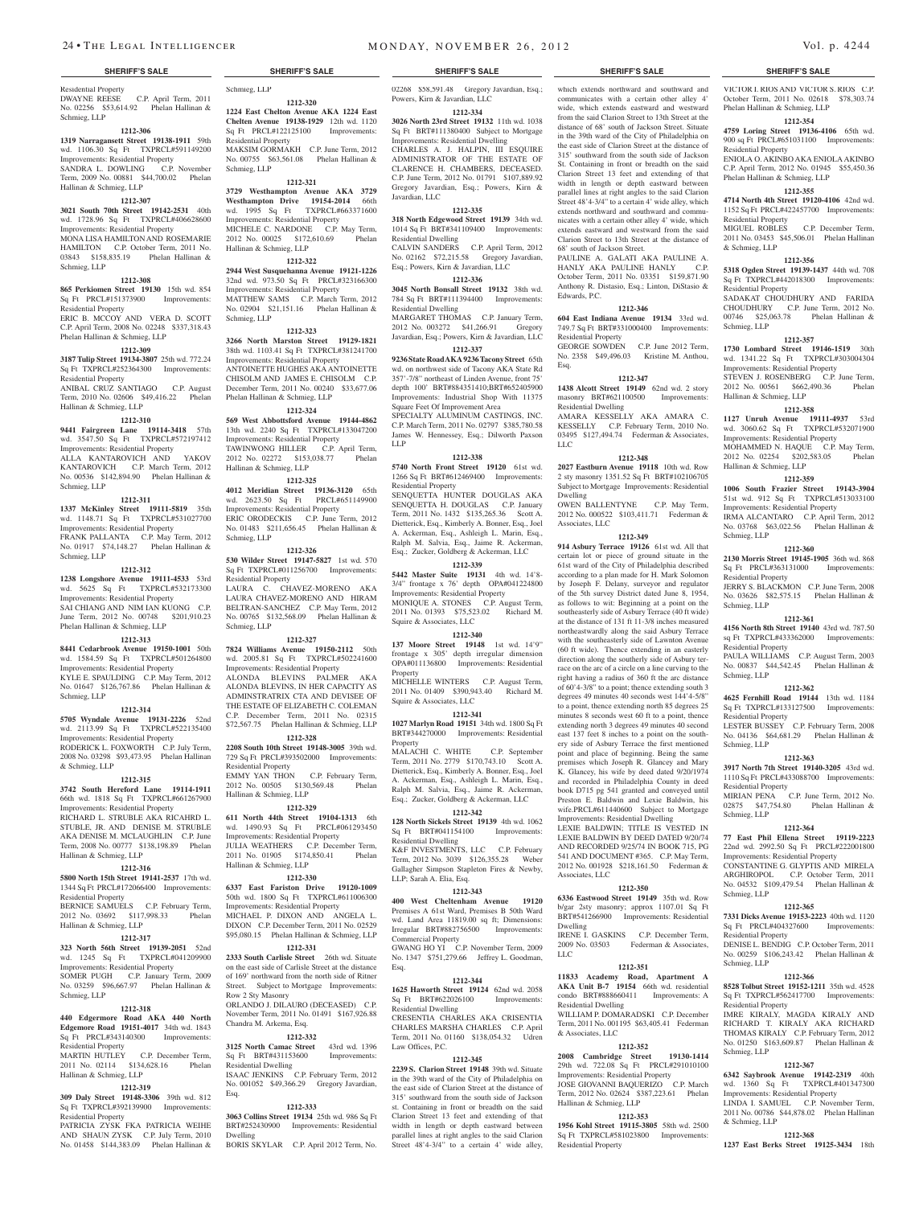Residential Property DWAYNE REESE C.P. April Term, 2011 No. 02256 \$53,614.92 Phelan Hallinan & Schmieg, LLP

#### **1212-306**

**1319 Narragansett Street 19138-1911** 59th wd. 1106.30 Sq Ft TXPRCL#591149200 Improvements: Residential Property SANDRA L. DOWLING C.P. November Term, 2009 No. 00881 \$44,700.02 Phelan

## Hallinan & Schmieg, LLP

**1212-307**

#### **3021 South 70th Street 19142-2531** 40th wd. 1728.96 Sq Ft TXPRCL#406628600 Improvements: Residential Property MONA LISA HAMILTONAND ROSEMARIE HAMILTON C.P. October Term, 2011 No. 03843 \$158,835.19 Phelan Hallinan & Schmieg, LLP

#### **1212-308**

**865 Perkiomen Street 19130** 15th wd. 854 Sq Ft PRCL#151373900 Improvements: Residential Property ERIC B. MCCOY AND VERA D. SCOTT C.P. April Term, 2008 No. 02248 \$337,318.43 Phelan Hallinan & Schmieg, LLP

## **1212-309**

**3187 Tulip Street 19134-3807** 25th wd. 772.24 Sq Ft TXPRCL#252364300 Improvements: Residential Property ANIBAL CRUZ SANTIAGO C.P. August Term, 2010 No. 02606 \$49,416.22 Phelan Hallinan & Schmieg, LLP

## **1212-310**

**9441 Fairgreen Lane 19114-3418** 57th wd. 3547.50 Sq Ft TXPRCL#572197412 Improvements: Residential Property ALLA KANTAROVICH AND YAKOV KANTAROVICH C.P. March Term, 2012 No. 00536 \$142,894.90 Phelan Hallinan & Schmieg, LLP

#### **1212-311**

**1337 McKinley Street 19111-5819** 35th wd. 1148.71 Sq Ft TXPRCL#531027700 Improvements: Residential Property FRANK PALLANTA C.P. May Term, 2012 No. 01917 \$74,148.27 Phelan Hallinan & Schmieg, LLP

#### **1212-312**

**1238 Longshore Avenue 19111-4533** 53rd wd. 5625 Sq Ft TXPRCL#532173300 Improvements: Residential Property SAI CHIANG AND NIM IAN KUONG C.P. June Term, 2012 No. 00748 \$201,910.23 Phelan Hallinan & Schmieg, LLP

#### **1212-313**

**8441 Cedarbrook Avenue 19150-1001** 50th wd. 1584.59 Sq Ft TXPRCL#501264800 Improvements: Residential Property

KYLE E. SPAULDING C.P. May Term, 2012 No. 01647 \$126,767.86 Phelan Hallinan & Schmieg, LLP

#### **1212-314**

**5705 Wyndale Avenue 19131-2226** 52nd wd. 2113.99 Sq Ft TXPRCL#522135400 Improvements: Residential Property RODERICK L. FOXWORTH C.P. July Term, 2008 No. 03298 \$93,473.95 Phelan Hallinan

& Schmieg, LLP **1212-315 3742 South Hereford Lane 19114-1911**  66th wd. 1818 Sq Ft TXPRCL#661267900

Improvements: Residential Property RICHARD L. STRUBLE AKA RICAHRD L. STUBLE, JR. AND DENISE M. STRUBLE AKA DENISE M. MCLAUGHLIN C.P. June Term, 2008 No. 00777 \$138,198.89 Phelan Hallinan & Schmieg, LLP

#### **1212-316**

**5800 North 15th Street 19141-2537** 17th wd. 1344 Sq Ft PRCL#172066400 Improvements:

Residential Property BERNICE SAMUELS C.P. February Term, 2012 No. 03692 \$117,998.33 Phelan

## Hallinan & Schmieg, LLP

**1212-317 323 North 56th Street 19139-2051** 52nd wd. 1245 Sq Ft TXPRCL#041209900 Improvements: Residential Property

SOMER PUGH C.P. January Term, 2009 No. 03259 \$96,667.97 Phelan Hallinan & Schmieg, LLP

### **1212-318**

**440 Edgermore Road AKA 440 North Edgemore Road 19151-4017** 34th wd. 1843 Sq Ft PRCL#343140300 Improvements: Residential Property<br>MARTIN HUTLEY

C.P. December Term, 2011 No. 02114 \$134,628.16 Phelan Hallinan & Schmieg, LLP

#### **1212-319**

**309 Daly Street 19148-3306** 39th wd. 812 Sq Ft TXPRCL#392139900 Improvements: Residential Property

PATRICIA ZYSK FKA PATRICIA WEIHE AND SHAUN ZYSK C.P. July Term, 2010 No. 01458 \$144,383.09 Phelan Hallinan &

## Schmieg, LLP

**1212-320 1224 East Chelton Avenue AKA 1224 East Chelten Avenue 19138-1929** 12th wd. 1120 Sq Ft PRCL#122125100 Improvements: Residential Property

MAKSIM GORMAKH C.P. June Term, 2012 No. 00755 \$63,561.08 Phelan Hallinan & Schmieg, LLP **1212-321**

### **3729 Westhampton Avenue AKA 3729 Westhampton Drive 19154-2014** 66th wd. 1995 Sq Ft TXPRCL#663371600

Improvements: Residential Property MICHELE C. NARDONE C.P. May Term. 2012 No. 00025 \$172,610.69 Phelan Hallinan & Schmieg, LLP **1212-322**

**2944 West Susquehanna Avenue 19121-1226**  32nd wd. 973.50 Sq Ft PRCL#323166300 Improvements: Residential Property MATTHEW SAMS C.P. March Term, 2012 No. 02904 \$21,151.16 Phelan Hallinan & Schmieg, LLP

#### **1212-323**

**3266 North Marston Street 19129-1821**  38th wd. 1103.41 Sq Ft TXPRCL#381241700 Improvements: Residential Property ANTOINETTE HUGHES AKA ANTOINETTE CHISOLM AND JAMES E. CHISOLM C.P. December Term, 2011 No. 00240 \$33,677.06 Phelan Hallinan & Schmieg, LLP

**1212-324 569 West Abbottsford Avenue 19144-4862**  13th wd. 2240 Sq Ft TXPRCL#133047200 Improvements: Residential Property

TAWINWONG HILLER C.P. April Term, 2012 No. 02272 \$153,038.77 Phelan Hallinan & Schmieg, LLP

### **1212-325**

**4012 Meridian Street 19136-3120** 65th wd. 2623.50 Sq Ft PRCL#651149900 Improvements: Residential Property ERIC ORODECKIS C.P. June Term, 2012 No. 01483 \$211,656.45 Phelan Hallinan & Schmieg, LLP

#### **1212-326**

**530 Wilder Street 19147-5827** 1st wd. 570 Sq Ft TXPRCL#011256700 Improvements: Residential Property LAURA C. CHAVEZ-MORENO AKA LAURA CHAVEZ-MORENO AND HIRAM BELTRAN-SANCHEZ C.P. May Term, 2012 No. 00765 \$132,568.09 Phelan Hallinan & Schmieg, LLP

#### **1212-327**

**7824 Williams Avenue 19150-2112** 50th wd. 2005.81 Sq Ft TXPRCL#502241600 Improvements: Residential Property ALONDA BLEVINS PALMER AKA ALONDA BLEVINS, IN HER CAPACITY AS ADMINSTRATRIX CTA AND DEVISEE OF THE ESTATE OF ELIZABETH C. COLEMAN C.P. December Term, 2011 No. 02315 \$72,567.75 Phelan Hallinan & Schmieg, LLP

#### **1212-328**

**2208 South 10th Street 19148-3005** 39th wd. 729 Sq Ft PRCL#393502000 Improvements: Residential Property

EMMY YAN THON C.P. February Term, 2012 No. 00505 \$130,569.48 Phelan Hallinan & Schmieg, LLP

#### **1212-329**

**611 North 44th Street 19104-1313** 6th wd. 1490.93 Sq Ft PRCL#061293450 Improvements: Residential Property JULIA WEATHERS C.P. December Term, 2011 No. 01905 \$174,850.41 Phelan Hallinan & Schmieg, LLP

#### **1212-330**

**6337 East Fariston Drive 19120-1009**  50th wd. 1800 Sq Ft TXPRCL#611006300 Improvements: Residential Property MICHAEL P. DIXON AND ANGELA L. DIXON C.P. December Term, 2011 No. 02529 \$95,080.15 Phelan Hallinan & Schmieg, LLP

#### **1212-331**

**2333 South Carlisle Street** 26th wd. Situate on the east side of Carlisle Street at the distance of 169' northward from the north side of Ritner Street. Subject to Mortgage Improvements: Row 2 Sty Masonry ORLANDO J. DILAURO (DECEASED) November Term, 2011 No. 01491 \$167,926.88 Chandra M. Arkema, Esq.

## **1212-332**

**3125 North Camac Street** 43rd wd. 1396<br>
Sq Ft BRT#431153600 Improvements: Sq Ft BRT#431153600 esidential Dwelling ISAAC JENKINS C.P. February Term, 2012 No. 001052 \$49,366.29 Gregory Javardian,

### **1212-333**

Esq.

**3063 Collins Street 19134** 25th wd. 986 Sq Ft BRT#252430900 Improvements: Residential Dwelling BORIS SKYLAR C.P. April 2012 Term, No.

## **SHERIFF'S SALE SHERIFF'S SALE SHERIFF'S SALE SHERIFF'S SALE SHERIFF'S SALE**

02268 \$58,591.48 Gregory Javardian, Esq.; Powers, Kirn & Javardian, LLC **1212-334**

which extends northward and southward and communicates with a certain other alley 4' wide, which extends eastward and westward from the said Clarion Street to 13th Street at the distance of 68' south of Jackson Street. Situate in the 39th ward of the City of Philadelphia on the east side of Clarion Street at the distance of 315' southward from the south side of Jackson St. Containing in front or breadth on the said Clarion Street 13 feet and extending of that width in length or depth eastward between parallel lines at right angles to the said Clarion Street 48'4-3/4" to a certain 4' wide alley, which extends northward and southward and communicates with a certain other alley 4' wide, which extends eastward and westward from the said Clarion Street to 13th Street at the distance of VICTOR I. RIOS AND VICTOR S. RIOS C.P. October Term, 2011 No. 02618 \$78,303.74

**1212-354 4759 Loring Street 19136-4106** 65th wd. 900 sq Ft PRCL#651031100 Improvements:

ENIOLA O. AKINBO AKA ENIOLA AKINBO C.P. April Term, 2012 No. 01945 \$55,450.36

**1212-355 4714 North 4th Street 19120-4106** 42nd wd. 1152 Sq Ft PRCL#422457700 Improvements:

MIGUEL ROBLES C.P. December Term, 2011 No. 03453 \$45,506.01 Phelan Hallinan

**1212-356 5318 Ogden Street 19139-1437** 44th wd. 708 Sq Ft TXPRCL#442018300 Improvements:

SADAKAT CHOUDHURY AND FARIDA CHOUDHURY C.P. June Term, 2012 No. 00746 \$25,063.78 Phelan Hallinan &

**1212-357 1730 Lombard Street 19146-1519** 30th wd. 1341.22 Sq Ft TXPRCL#303004304 Improvements: Residential Property STEVEN J. ROSENBERG C.P. June Term, 2012 No. 00561 \$662,490.36 Phelan

**1212-358 1127 Unruh Avenue 19111-4937** 53rd wd. 3060.62 Sq Ft TXPRCL#532071900 Improvements: Residential Property MOHAMMED N. HAQUE C.P. May Term,<br>2012 No. 02254 \$202.583.05 Phelan 2012 No. 02254 \$202,583.05 Hallinan & Schmieg, LLP

**1212-359 1006 South Frazier Street 19143-3904**  51st wd. 912 Sq Ft TXPRCL#513033100 Improvements: Residential Property IRMA ALCANTARO C.P. April Term, 2012 No. 03768 \$63,022.56 Phelan Hallinan &

**1212-360 2130 Morris Street 19145-1905** 36th wd. 868 Sq Ft PRCL#363131000 Improvements:

JERRY S. BLACKMON C.P. June Term, 2008 No. 03626 \$82,575.15 Phelan Hallinan &

**1212-361 4156 North 8th Street 19140** 43rd wd. 787.50 sq Ft TXPRCL#433362000 Improvements:

PAULA WILLIAMS C.P. August Term, 2003 No. 00837 \$44,542.45 Phelan Hallinan &

**1212-362 4625 Fernhill Road 19144** 13th wd. 1184 Sq Ft TXPRCL#133127500 Improvements:

LESTER BUSSEY C.P. February Term, 2008 No. 04136 \$64,681.29 Phelan Hallinan &

**1212-363 3917 North 7th Street 19140-3205** 43rd wd. 1110 Sq Ft PRCL#433088700 Improvements:

MIRIAN PENA C.P. June Term, 2012 No. 02875 \$47,754.80 Phelan Hallinan &

**1212-364 77 East Phil Ellena Street 19119-2223**  22nd wd. 2992.50 Sq Ft PRCL#222001800 Improvements: Residential Property CONSTANTINE G. GLYPTIS AND MIRELA ARGHIROPOL C.P. October Term, 2011 No. 04532 \$109,479.54 Phelan Hallinan &

**1212-365 7331 Dicks Avenue 19153-2223** 40th wd. 1120 Sq Ft PRCL#404327600 Improvements:

DENISE L. BENDIG C.P. October Term, 2011 No. 00259 \$106,243.42 Phelan Hallinan &

**1212-366 8528 Tolbut Street 19152-1211** 35th wd. 4528 Sq Ft TXPRCL#562417700 Improvements:

IMRE KIRALY, MAGDA KIRALY AND RICHARD T. KIRALY AKA RICHARD THOMAS KIRALY C.P. February Term, 2012 No. 01250 \$163,609.87 Phelan Hallinan &

**1212-367 6342 Saybrook Avenue 19142-2319** 40th wd. 1360 Sq Ft TXPRCL#401347300 Improvements: Residential Property LINDA I. SAMUEL C.P. November Term, 2011 No. 00786 \$44,878.02 Phelan Hallinan

**1212-368 1237 East Berks Street 19125-3434** 18th

Phelan Hallinan & Schmieg, LLP

Phelan Hallinan & Schmieg, LLP

Residential Property

Residential Property

& Schmieg, LLP

Residential Property

Hallinan & Schmieg, LLP

Schmieg, LLP

Schmieg, LLP

Schmieg, LLP

Schmieg, LLP

Schmieg, LLP

Schmieg, LLP

Schmieg, LLP

Schmieg, LLP

Schmieg, LLP

& Schmieg, LLP

Residential Property

tial Property

Residential Property

Residential Property

Residential Property

Residential Property

68' south of Jackson Street.

Edwards, P.C.

Esq.

LLC

Dwelling

Associates, LLC

Associates, LLC

Dwelling

LLC

**1212-350 6336 Eastwood Street 19149** 35th wd. Row b/gar 2sty masonry; approx 1107.01 Sq Ft BRT#541266900 Improvements: Residential

IRENE I. GASKINS C.P. December Term, 2009 No. 03503 Federman & Associates,

**1212-351 11833 Academy Road, Apartment A AKA Unit B-7 19154** 66th wd. residential condo BRT#888660411 Improvements: A

WILLIAM P. DOMARADSKI C.P. December Term, 2011 No. 001195 \$63,405.41 Federman

**1212-352 2008 Cambridge Street 19130-1414**  29th wd. 722.08 Sq Ft PRCL#291010100 Improvements: Residential Property JOSE GIOVANNI BAQUERIZO C.P. March Term, 2012 No. 02624 \$387,223.61 Phelan

**1212-353 1956 Kohl Street 19115-3805** 58th wd. 2500 Sq Ft TXPRCL#581023800 Improvements:

rial Dwelling

Hallinan & Schmieg, LLP

Residential Property

& Associates, LLC

Residential Property

Residential Dwelling

PAULINE A. GALATI AKA PAULINE A. HANLY AKA PAULINE HANLY C.P. October Term, 2011 No. 03351 \$159,871.90 Anthony R. Distasio, Esq.; Linton, DiStasio &

**1212-346 604 East Indiana Avenue 19134** 33rd wd. 749.7 Sq Ft BRT#331000400 Improvements:

GEORGE SOWDEN C.P. June 2012 Term, No. 2358 \$49,496.03 Kristine M. Anthou,

**1212-347 1438 Alcott Street 19149** 62nd wd. 2 story masonry BRT#621100500 Improvements:

AMARA KESSELLY AKA AMARA C. KESSELLY C.P. February Term, 2010 No. 03495 \$127,494.74 Federman & Associates,

**1212-348 2027 Eastburn Avenue 19118** 10th wd. Row 2 sty masonry 1351.52 Sq Ft BRT#102106705 Subject to Mortgage Improvements: Residential

OWEN BALLENTYNE C.P. May Term, 2012 No. 000522 \$103,411.71 Federman &

**1212-349 914 Asbury Terrace 19126** 61st wd. All that certain lot or piece of ground situate in the 61st ward of the City of Philadelphia described according to a plan made for H. Mark Solomon by Joseph F. Delany, surveyor and regulator of the 5th survey District dated June 8, 1954, as follows to wit: Beginning at a point on the southeasterly side of Asbury Terrace (40 ft wide) at the distance of 131 ft 11-3/8 inches measured northeastwardly along the said Asbury Terrace with the southeasterly side of Lawnton Avenue (60 ft wide). Thence extending in an easterly direction along the southerly side of Asbury terrace on the arc of a circle on a line curving to the right having a radius of 360 ft the arc distance of 60'4-3/8" to a point; thence extending south 3 degrees 49 minutes 40 seconds west 144'4-5/8" to a point, thence extending north 85 degrees 25 minutes 8 seconds west 60 ft to a point, thence extending north 3 degrees 49 minutes 40 second east 137 feet 8 inches to a point on the southery side of Asbury Terrace the first mentioned point and place of beginning. Being the same premises which Joseph R. Glancey and Mary K. Glancey, his wife by deed dated 9/20/1974 and recorded in Philadelphia County in deed book D715 pg 541 granted and conveyed until Preston E. Baldwin and Lexie Baldwin, his wife.PRCL#611440600 Subject to Mortgage Improvements: Residential Dwelling LEXIE BALDWIN; TITLE IS VESTED IN LEXIE BALDWIN BY DEED DATED 9/20/74 AND RECORDED 9/25/74 IN BOOK 715, PG 541 AND DOCUMENT #365. C.P. May Term, 2012 No. 001928 \$218,161.50 Federman &

**3026 North 23rd Street 19132** 11th wd. 1038 Sq Ft BRT#111380400 Subject to Mortgage Improvements: Residential Dwelling CHARLES A. J. HALPIN, III ESQUIRE ADMINISTRATOR OF THE ESTATE OF CLARENCE H. CHAMBERS, DECEASED. C.P. June Term, 2012 No. 01791 \$107,889.92

### Gregory Javardian, Esq.; Powers, Kirn & Javardian, LLC

**1212-335 318 North Edgewood Street 19139** 34th wd. 1014 Sq Ft BRT#341109400 Improvements: Residential Dwelling CALVIN SANDERS C.P. April Term, 2012 No. 02162 \$72,215.58 Gregory Javardian, Esq.; Powers, Kirn & Javardian, LLC

### **1212-336**

**3045 North Bonsall Street 19132** 38th wd. 784 Sq Ft BRT#111394400 Improvements: Residential Dwelling

MARGARET THOMAS C.P. January Term, 2012 No. 003272 \$41,266.91 Gregory Javardian, Esq.; Powers, Kirn & Javardian, LLC

## **1212-337**

**9236 State Road AKA 9236 Tacony Street** 65th wd. on northwest side of Tacony AKA State Rd 357'-7/8" northeast of Linden Avenue, front 75' depth 100' BRT#884351410;BRT#652405900 Improvements: Industrial Shop With 11375 Square Feet Of Improvement Area

SPECIALTY ALUMINUM CASTINGS, INC. C.P. March Term, 2011 No. 02797 \$385,780.58 James W. Hennessey, Esq.; Dilworth Paxson LLP

#### **1212-338**

**5740 North Front Street 19120** 61st wd. 1266 Sq Ft BRT#612469400 Improvements: Residential Property

SENQUETTA HUNTER DOUGLAS AKA SENQUETTA H. DOUGLAS C.P. January Term, 2011 No. 1432 \$135,265.36 Scott A. Dietterick, Esq., Kimberly A. Bonner, Esq., Joel A. Ackerman, Esq., Ashleigh L. Marin, Esq., Ralph M. Salvia, Esq., Jaime R. Ackerman, Esq.; Zucker, Goldberg & Ackerman, LLC

## **1212-339**

**5442 Master Suite 19131** 4th wd. 14'8- 3/4" frontage x 76' depth OPA#041224800 Improvements: Residential Property MONIQUE A. STONES C.P. August Term, 2011 No. 01393 \$75,523.02 Richard M. Squire & Associates, LLC

#### **1212-340**

**137 Moore Street 19148** 1st wd. 14'9" frontage x 305' depth irregular dimension OPA#011136800 Improvements: Residential Property

MICHELLE WINTERS C.P. August Term, 2011 No. 01409 \$390,943.40 Richard M. Squire & Associates, LLC

#### **1212-341**

**1027 Marlyn Road 19151** 34th wd. 1800 Sq Ft BRT#344270000 Improvements: Residential Property

MALACHI C. WHITE C.P. September Term, 2011 No. 2779 \$170,743.10 Scott A. Dietterick, Esq., Kimberly A. Bonner, Esq., Joel A. Ackerman, Esq., Ashleigh L. Marin, Esq., Ralph M. Salvia, Esq., Jaime R. Ackerman, Esq.; Zucker, Goldberg & Ackerman, LLC

### **1212-342**

**128 North Sickels Street 19139** 4th wd. 1062 Sq Ft BRT#041154100 Residential Dwelling

K&F INVESTMENTS, LLC C.P. February Term, 2012 No. 3039 \$126,355.28 Weber Gallagher Simpson Stapleton Fires & Newby, LLP; Sarah A. Elia, Esq.

#### **1212-343**

**400 West Cheltenham Avenue 19120**  Premises A 61st Ward, Premises B 50th Ward wd. Land Area 11819.00 sq ft; Dimensions: Irregular BRT#882756500 Improvements: Commercial Property

GWANG HO YI C.P. November Term, 2009 No. 1347 \$751,279.66 Jeffrey L. Goodman,

## **1212-344**

Esq.

**1625 Haworth Street 19124** 62nd wd. 2058 Sq Ft BRT#622026100 Improvements: Residential Dwelling

CRESENTIA CHARLES AKA CRISENTIA CHARLES MARSHA CHARLES C.P. April Term, 2011 No. 01160 \$138,054.32 Udren Law Offices, P.C.

**1212-345 2239 S. Clarion Street 19148** 39th wd. Situate in the 39th ward of the City of Philadelphia on the east side of Clarion Street at the distance of 315' southward from the south side of Jackson st. Containing in front or breadth on the said Clarion Street 13 feet and extending of that width in length or depth eastward between parallel lines at right angles to the said Clarion Street  $48'4-3/4''$  to a certain 4' wide alley,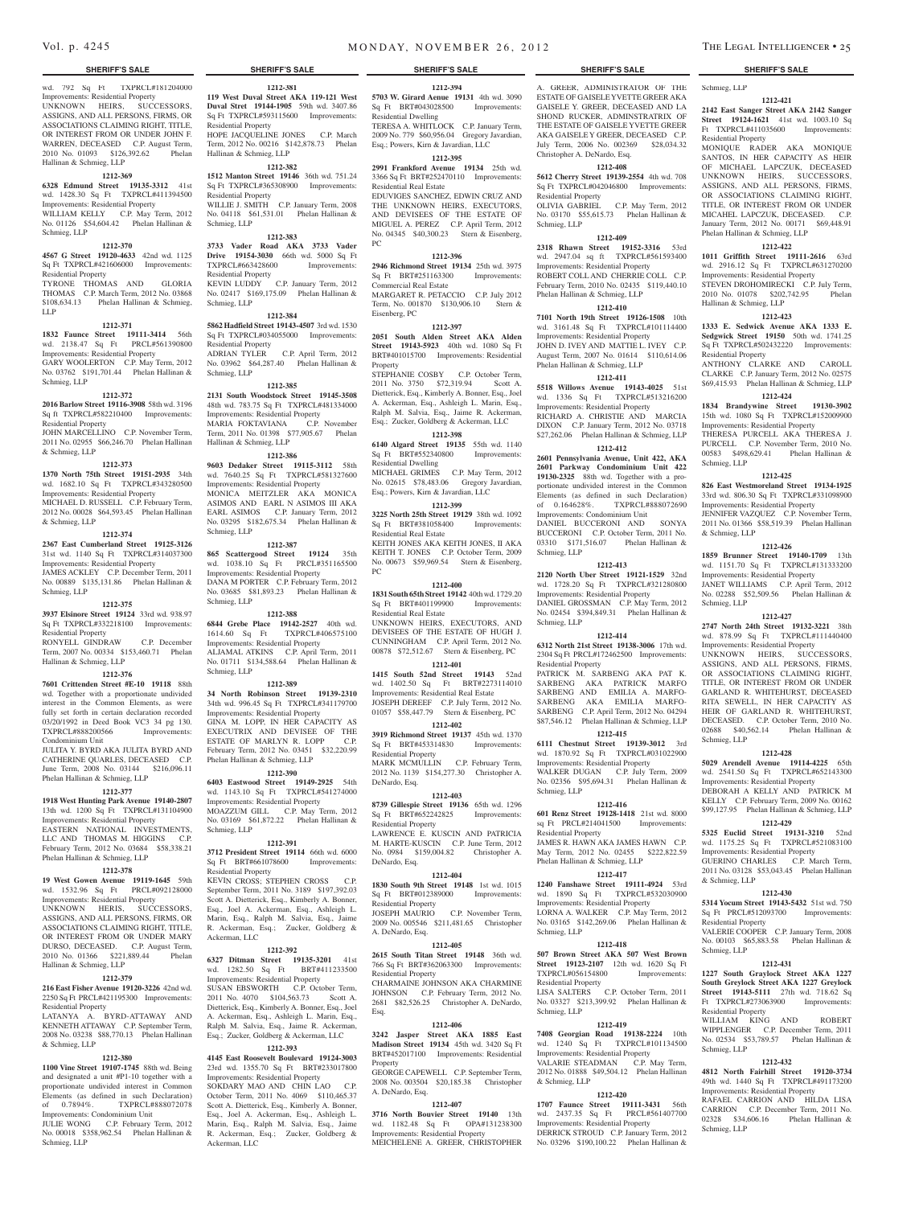wd. 792 Sq Ft TXPRCL#181204000 Improvements: Residential Property UNKNOWN HEIRS, SUCCESSORS, ASSIGNS, AND ALL PERSONS, FIRMS, OR ASSOCIATIONS CLAIMING RIGHT, TITLE, OR INTEREST FROM OR UNDER JOHN F. WARREN, DECEASED C.P. August Term,<br>
2010 No. 01093 \$126.392.62 Phelan 2010 No. 01093 \$126,392.62 Hallinan & Schmieg, LLP

#### **1212-369**

**6328 Edmund Street 19135-3312** 41st wd. 1428.30 Sq Ft TXPRCL#411394500 Improvements: Residential Property WILLIAM KELLY C.P. May Term, 2012 No. 01126 \$54,604.42 Phelan Hallinan &

#### Schmieg, LLP **1212-370**

**4567 G Street 19120-4633** 42nd wd. 1125 Sq Ft TXPRCL#421606000 Improvements: Residential Property TYRONE THOMAS AND GLORIA THOMAS C.P. March Term, 2012 No. 03868 \$108,634.13 Phelan Hallinan & Schmieg,

LLP **1212-371**

**1832 Faunce Street 19111-3414** 56th wd. 2138.47 Sq Ft PRCL#561390800 Improvements: Residential Property GARY WOOLERTON C.P. May Term, 2012 No. 03762 \$191,701.44 Phelan Hallinan & Schmieg, LLP

#### **1212-372**

**2016 Barlow Street 19116-3908** 58th wd. 3196 Sq ft TXPRCL#582210400 Improvements:

Residential Property JOHN MARCELLINO C.P. November Term, 2011 No. 02955 \$66,246.70 Phelan Hallinan

& Schmieg, LLP

## **1212-373**

**1370 North 75th Street 19151-2935** 34th wd. 1682.10 Sq Ft TXPRCL#343280500 Improvements: Residential Property MICHAEL D. RUSSELL C.P. February Term, 2012 No. 00028 \$64,593.45 Phelan Hallinan & Schmieg, LLP

#### **1212-374**

**2367 East Cumberland Street 19125-3126**  31st wd. 1140 Sq Ft TXPRCL#314037300 Improvements: Residential Property JAMES ACKLEY C.P. December Term, 2011 No. 00889 \$135,131.86 Phelan Hallinan & Schmieg, LLP

#### **1212-375**

**3937 Elsinore Street 19124** 33rd wd. 938.97 Sq Ft TXPRCL#332218100 Improvements: Residential Property RONYELL GINDRAW C.P. December

Term, 2007 No. 00334 \$153,460.71 Phelan Hallinan & Schmieg, LLP **1212-376**

**7601 Crittenden Street #E-10 19118** 88th wd. Together with a proportionate undivided interest in the Common Elements, as were fully set forth in certain declaration recorded 03/20/1992 in Deed Book VC3 34 pg 130. TXPRCL#888200566 Improvements: Condominium Unit

JULITA Y. BYRD AKA JULITA BYRD AND CATHERINE QUARLES, DECEASED C.P. June Term, 2008 No. 03144 \$216,096.11 Phelan Hallinan & Schmieg, LLP

## **1212-377**

**1918 West Hunting Park Avenue 19140-2807**  13th wd. 1200 Sq Ft TXPRCL#131104900 Improvements: Residential Property EASTERN NATIONAL INVESTMENTS, LLC AND THOMAS M. HIGGINS C.P. February Term, 2012 No. 03684 \$58,338.21 Phelan Hallinan & Schmieg, LLP

#### **1212-378**

**19 West Gowen Avenue 19119-1645** 59th wd. 1532.96 Sq Ft PRCL#092128000 Improvements: Residential Property UNKNOWN HERIS, SUCCESSORS, ASSIGNS, AND ALL PERSONS, FIRMS, OR ASSOCIATIONS CLAIMING RIGHT, TITLE, OR INTEREST FROM OR UNDER MARY DURSO, DECEASED. C.P. August Term, 2010 No. 01366 \$221,889.44 Phelan Hallinan & Schmieg, LLP

#### **1212-379 216 East Fisher Avenue 19120-3226** 42nd wd.

2250 Sq Ft PRCL#421195300 Improvements: Residential Property LATANYA A. BYRD-ATTAWAY AND

KENNETH ATTAWAY C.P. September Term, 2008 No. 03238 \$88,770.13 Phelan Hallinan & Schmieg, LLP

#### **1212-380**

**1100 Vine Street 19107-1745** 88th wd. Being and designated a unit #P1-10 together with a proportionate undivided interest in Common Elements (as defined in such Declaration) of 0.7894%. TXPRCL#888072078 Improvements: Condominium Unit

JULIE WONG C.P. February Term, 2012 No. 00018 \$358,962.54 Phelan Hallinan & Schmieg, LLP

## **SHERIFF'S SALE SHERIFF'S SALE SHERIFF'S SALE SHERIFF'S SALE SHERIFF'S SALE**

**1212-381 119 West Duval Street AKA 119-121 West Duval Stret 19144-1905** 59th wd. 3407.86 Sq Ft TXPRCL#593115600 Improvements: Residential Property HOPE JACQUELINE JONES C.P. March Term, 2012 No. 00216 \$142,878.73 Phelan Hallinan & Schmieg, LLP

## **1212-382**

**1512 Manton Street 19146** 36th wd. 751.24 Sq Ft TXPRCL#365308900 Improvements: Residential Property WILLIE J. SMITH C.P. January Term, 2008

No. 04118 \$61,531.01 Phelan Hallinan & Schmieg, LLP **1212-383**

**3733 Vader Road AKA 3733 Vader Drive 19154-3030** 66th wd. 5000 Sq Ft TXPRCL#663428600 Improvements: Residential Property KEVIN LUDDY C.P. January Term, 2012 No. 02417 \$169,175.09 Phelan Hallinan &

## **1212-384**

Schmieg, LLP

**5862 Hadfield Street 19143-4507** 3rd wd. 1530 Sq Ft TXPRCL#034055000 Improvements: Residential Property ADRIAN TYLER C.P. April Term, 2012 No. 03962 \$64,287.40 Phelan Hallinan & Schmieg, LLP

#### **1212-385**

**2131 South Woodstock Street 19145-3508**  48th wd. 783.75 Sq Ft TXPRCL#481334000 Improvements: Residential Property MARIA FOKTAVIANA C.P. November Term, 2011 No. 01398 \$77,905.67 Phelan Hallinan & Schmieg, LLP

### **1212-386**

**9603 Dedaker Street 19115-3112** 58th wd. 7640.25 Sq Ft TXPRCL#581327600 Improvements: Residential Property MONICA MEITZLER AKA MONICA ASIMOS AND EARL N ASIMOS III AKA EARL ASIMOS C.P. January Term, 2012 No. 03295 \$182,675.34 Phelan Hallinan & Schmieg, LLP

#### **1212-387**

**865 Scattergood Street 19124** 35th wd. 1038.10 Sq Ft PRCL#351165500 Improvements: Residential Property DANA M PORTER C.P. February Term, 2012 No. 03685 \$81,893.23 Phelan Hallinan & Schmieg, LLP

### **1212-388**

**6844 Grebe Place 19142-2527** 40th wd. 1614.60 Sq Ft TXPRCL#406575100 Improvements: Residential Property ALJAMAL ATKINS C.P. April Term, 2011 No. 01711 \$134,588.64 Phelan Hallinan & Schmieg, LLP

**1212-389**

**34 North Robinson Street 19139-2310**  34th wd. 996.45 Sq Ft TXPRCL#341179700 Improvements: Residential Property GINA M. LOPP, IN HER CAPACITY AS EXECUTRIX AND DEVISEE OF THE ESTATE OF MARLYN R. LOPP C.P. February Term, 2012 No. 03451 \$32,220.99 Phelan Hallinan & Schmieg, LLP

## **1212-390**

**6403 Eastwood Street 19149-2925** 54th wd. 1143.10 Sq Ft TXPRCL#541274000 Improvements: Residential Property MOAZZUM GILL C.P. May Term, 2012

No. 03169 \$61,872.22 Phelan Hallinan & Schmieg, LLP **1212-391**

**3712 President Street 19114** 66th wd. 6000 Sq Ft BRT#661078600 Improvements: Residential Property KEVIN CROSS; STEPHEN CROSS C.P. September Term, 2011 No. 3189 \$197,392.03 Scott A. Dietterick, Esq., Kimberly A. Bonner,

Esq., Joel A. Ackerman, Esq., Ashleigh L. Marin, Esq., Ralph M. Salvia, Esq., Jaime R. Ackerman, Esq.; Zucker, Goldberg & Ackerman, LLC

#### **1212-392**

**6327 Ditman Street 19135-3201** 41st wd. 1282.50 Sq Ft BRT#411233500 Improvements: Residential Property SUSAN EBSWORTH C.P. October Term, 2011 No. 4070 \$104,563.73 Scott A. Dietterick, Esq., Kimberly A. Bonner, Esq., Joel A. Ackerman, Esq., Ashleigh L. Marin, Esq., Ralph M. Salvia, Esq., Jaime R. Ackerman, Esq.; Zucker, Goldberg & Ackerman, LLC

#### **1212-393**

**4145 East Roosevelt Boulevard 19124-3003**  23rd wd. 1355.70 Sq Ft BRT#233017800 Improvements: Residential Property

SOKDARY MAO AND CHIN LAO C.P. October Term, 2011 No. 4069 \$110,465.37 Scott A. Dietterick, Esq., Kimberly A. Bonner, Esq., Joel A. Ackerman, Esq., Ashleigh L. Marin, Esq., Ralph M. Salvia, Esq., Jaime R. Ackerman, Esq.; Zucker, Goldberg & Ackerman, LLC

## Vol. p. 4245 MONDAY, NOVEMBER 26, 2012 THE LEGAL INTELLIGENCER • 25

**1212-394 5703 W. Girard Aenue 19131** 4th wd. 3090 Sq Ft BRT#043028500 Improvements: Residential Dwelling TERESA A. WHITLOCK C.P. January Term,

2009 No. 779 \$60,956.04 Gregory Javardian, Esq.; Powers, Kirn & Javardian, LLC **1212-395**

**2991 Frankford Avenue 19134** 25th wd. 3366 Sq Ft BRT#252470110 Improvements: Residential Real Estate EDUVIGES SANCHEZ, EDWIN CRUZ AND THE UNKNOWN HEIRS, EXECUTORS, AND DEVISEES OF THE ESTATE OF MIGUEL A. PEREZ C.P. April Term, 2012 No. 04345 \$40,300.23 Stern & Eisenberg, PC

#### **1212-396**

**2946 Richmond Street 19134** 25th wd. 3975 Sq Ft BRT#251163300 Improvements: Commercial Real Estate MARGARET R. PETACCIO C.P. July 2012 Term, No. 001870 \$130,906.10 Stern & Eisenberg, PC

#### **1212-397**

**2051 South Alden Street AKA Alden Street 19143-5923** 40th wd. 1080 Sq Ft BRT#401015700 Improvements: Residential Property

STEPHANIE COSBY C.P. October Term, 2011 No. 3750 \$72,319.94 Scott A. Dietterick, Esq., Kimberly A. Bonner, Esq., Joel A. Ackerman, Esq., Ashleigh L. Marin, Esq., Ralph M. Salvia, Esq., Jaime R. Ackerman, Esq.; Zucker, Goldberg & Ackerman, LLC

### **1212-398**

**6140 Algard Street 19135** 55th wd. 1140 Sq Ft BRT#552340800 Improvements: Residential Dwelling MICHAEL GRIMES C.P. May Term, 2012

No. 02615 \$78,483.06 Gregory Javardian, Esq.; Powers, Kirn & Javardian, LLC **1212-399**

**3225 North 25th Street 19129** 38th wd. 1092<br>
Sq Ft BRT#381058400 Improvements Sq Ft BRT#381058400 Residential Real Estate

KEITH JONES AKA KEITH JONES, II AKA KEITH T. JONES C.P. October Term, 2009 No. 00673 \$59,969.54 Stern & Eisenberg, PC

#### **1212-400**

**1831 South 65th Street 19142** 40th wd. 1729.20<br>
Sq Ft BRT#401199900 Improvements: Sq Ft BRT#401199900 Residential Real Estate UNKNOWN HEIRS, EXECUTORS, AND DEVISEES OF THE ESTATE OF HUGH J. CUNNINGHAM C.P. April Term, 2012 No. 00878 \$72,512.67 Stern & Eisenberg, PC **1212-401**

**1415 South 52nd Street 19143** 52nd wd. 1402.50 Sq Ft BRT#2273114010 Improvements: Residential Real Estate JOSEPH DEREEF C.P. July Term, 2012 No.

01057 \$58,447.79 Stern & Eisenberg, PC **1212-402**

**3919 Richmond Street 19137** 45th wd. 1370<br>Sq Ft BRT#453314830 Improvements: Sq Ft BRT#453314830 Residential Property MARK MCMULLIN C.P. February Term, 2012 No. 1139 \$154,277.30 Christopher A. DeNardo, Esq.

#### **1212-403**

**8739 Gillespie Street 19136** 65th wd. 1296<br>
Sq Ft BRT#652242825 Improvements: Sq Ft BRT#652242825 Residential Property LAWRENCE E. KUSCIN AND PATRICIA M. HARTE-KUSCIN C.P. June Term, 2012 No. 0984 \$159,004.82 Christopher A.

### DeNardo, Esq. **1212-404**

**1830 South 9th Street 19148** 1st wd. 1015 Sq Ft BRT#012389000 Improvements: Residential Property JOSEPH MAURIO C.P. November Term, 2009 No. 005546 \$211,481.65 Christopher

A. DeNardo, Esq. **1212-405**

**2615 South Titan Street 19148** 36th wd. 766 Sq Ft BRT#362063300 Improvements: Residential Property

CHARMAINE JOHNSON AKA CHARMINE JOHNSON C.P. February Term, 2012 No. 2681 \$82,526.25 Christopher A. DeNardo, Esq.

#### **1212-406**

**3242 Jasper Street AKA 1885 East Madison Street 19134** 45th wd. 3420 Sq Ft BRT#452017100 Improvements: Residential Property

GEORGE CAPEWELL C.P. September Term, 2008 No. 003504 \$20,185.38 Christopher A. DeNardo, Esq.

#### **1212-407**

**3716 North Bouvier Street 19140** 13th wd. 1182.48 Sq Ft OPA#131238300 Improvements: Residential Property MEICHELENE A. GREER, CHRISTOPHER

Schmieg, LLP

Residential Property

Phelan Hallinan & Schmieg, LLP

Hallinan & Schmieg, LLP

Residential Property

Schmieg, LLP

& Schmieg, LLP

Schmieg, LLP

Schmieg, LLP

& Schmieg, LLP

Residential Property

Schmieg, LLP

Residential Property

02328 \$34,606.16 Schmieg, LLP

Schmieg, LLP

**1212-421 2142 East Sanger Street AKA 2142 Sanger Street 19124-1621** 41st wd. 1003.10 Sq Ft TXPRCL#411035600 Improvements:

MONIQUE RADER AKA MONIQUE SANTOS, IN HER CAPACITY AS HEIR OF MICHAEL LAPCZUK, DECEASED UNKNOWN HEIRS, SUCCESSORS, ASSIGNS, AND ALL PERSONS, FIRMS, OR ASSOCIATIONS CLAIMING RIGHT, TITLE, OR INTEREST FROM OR UNDER MICAHEL LAPCZUK, DECEASED. C.P. January Term, 2012 No. 00171 \$69,448.91

**1212-422 1011 Griffith Street 19111-2616** 63rd wd. 2916.12 Sq Ft TXPRCL#631270200 Improvements: Residential Property STEVEN DROHOMIRECKI C.P. July Term, 2010 No. 01078 \$202,742.95 Phelan

**1212-423 1333 E. Sedwick Avenue AKA 1333 E. Sedgwick Street 19150** 50th wd. 1741.25 Sq Ft TXPRCL#502432220 Improvements:

ANTHONY CLARKE AND CAROLL CLARKE C.P. January Term, 2012 No. 02575 \$69,415.93 Phelan Hallinan & Schmieg, LLP **1212-424 1834 Brandywine Street 19130-3902**  15th wd. 1080 Sq Ft TXPRCL#152009900 Improvements: Residential Property THERESA PURCELL AKA THERESA J. PURCELL C.P. November Term, 2010 No. 00583 \$498,629.41 Phelan Hallinan &

**1212-425 826 East Westmoreland Street 19134-1925**  33rd wd. 806.30 Sq Ft TXPRCL#331098900 Improvements: Residential Property JENNIFER VAZQUEZ C.P. November Term, 2011 No. 01366 \$58,519.39 Phelan Hallinan

**1212-426 1859 Brunner Street 19140-1709** 13th wd. 1151.70 Sq Ft TXPRCL#131333200 Improvements: Residential Property JANET WILLIAMS C.P. April Term, 2012 No. 02288 \$52,509.56 Phelan Hallinan &

**1212-427 2747 North 24th Street 19132-3221** 38th wd. 878.99 Sq Ft TXPRCL#111440400 Improvements: Residential Property UNKNOWN HEIRS, SUCCESSORS, ASSIGNS, AND ALL PERSONS, FIRMS, OR ASSOCIATIONS CLAIMING RIGHT, TITLE, OR INTEREST FROM OR UNDER GARLAND R. WHITEHURST, DECEASED RITA SEWELL, IN HER CAPACITY AS HEIR OF GARLAND R. WHITEHURST, DECEASED. C.P. October Term, 2010 No. 02688 \$40,562.14 Phelan Hallinan &

**1212-428 5029 Arendell Avenue 19114-4225** 65th wd. 2541.50 Sq Ft TXPRCL#652143300 Improvements: Residential Property DEBORAH A KELLY AND PATRICK M KELLY C.P. February Term, 2009 No. 00162 \$99,127.95 Phelan Hallinan & Schmieg, LLP **1212-429 5325 Euclid Street 19131-3210** 52nd wd. 1175.25 Sq Ft TXPRCL#521083100 Improvements: Residential Property GUERINO CHARLES C.P. March Term, 2011 No. 03128 \$53,043.45 Phelan Hallinan

**1212-430 5314 Yocum Street 19143-5432** 51st wd. 750 Sq Ft PRCL#512093700 Improvements:

VALERIE COOPER C.P. January Term, 2008 No. 00103 \$65,883.58 Phelan Hallinan &

**1212-431 1227 South Graylock Street AKA 1227 South Greylock Street AKA 1227 Greylock Street 19143-5111** 27th wd. 718.62 Sq Ft TXPRCL#273063900 Improvements:

WILLIAM KING AND ROBERT WIPPLENGER C.P. December Term, 2011 No. 02534 \$53,789.57 Phelan Hallinan &

**1212-432 4812 North Fairhill Street 19120-3734**  49th wd. 1440 Sq Ft TXPRCL#491173200 Improvements: Residential Property RAFAEL CARRION AND HILDA LISA CARRION C.P. December Term, 2011 No.<br>02328 \$34,606.16 Phelan Hallinan &

A. GREER, ADMINISTRATOR OF THE ESTATE OF GAISELE YVETTE GREER AKA GAISELE Y. GREER, DECEASED AND LA SHOND RUCKER, ADMINSTRATRIX OF THE ESTATE OF GAISELE YVETTE GREER AKA GAISELE Y GREER, DECEASED C.P. July Term, 2006 No. 002369 \$28,034.32 Christopher A. DeNardo, Esq.

#### **1212-408**

**5612 Cherry Street 19139-2554** 4th wd. 708 Sq Ft TXPRCL#042046800 Improvements: Residential Property OLIVIA GABRIEL C.P. May Term, 2012 No. 03170 \$55,615.73 Phelan Hallinan & Schmieg, LLP

wd. 2947.04 sq ft TXPRCL#561593400 Improvements: Residential Property ROBERT COLL AND CHERRIE COLL C.P. February Term, 2010 No. 02435 \$119,440.10

#### **1212-409 2318 Rhawn Street 19152-3316** 53rd

Phelan Hallinan & Schmieg, LLP **1212-410 7101 North 19th Street 19126-1508** 10th wd. 3161.48 Sq Ft TXPRCL#101114400 Improvements: Residential Property JOHN D. IVEY AND MATTIE L. IVEY C.P. August Term, 2007 No. 01614 \$110,614.06

Phelan Hallinan & Schmieg, LLP **1212-411 5518 Willows Avenue 19143-4025** 51st wd. 1336 Sq Ft TXPRCL#513216200 Improvements: Residential Property RICHARD A. CHRISTIE AND MARCIA DIXON C.P. January Term, 2012 No. 03718 \$27,262.06 Phelan Hallinan & Schmieg, LLP **1212-412 2601 Pennsylvania Avenue, Unit 422, AKA 2601 Parkway Condominium Unit 422 19130-2325** 88th wd. Together with a proportionate undivided interest in the Common Elements (as defined in such Declaration) of 0.164628%. TXPRCL#888072690 Improvements: Condominium Unit DANIEL BUCCERONI AND SONYA BUCCERONI C.P. October Term, 2011 No. 03310 \$171,516.07 Phelan Hallinan &

Schmieg, LLP

Schmieg, LLP

Schmieg, LLP

Schmieg, LLP

Residential Property

Schmieg, LLP

& Schmieg, LLP

Residential Property

Phelan Hallinan & Schmieg, LLP

Residential Property

**1212-413 2120 North Uber Street 19121-1529** 32nd wd. 1728.20 Sq Ft TXPRCL#321280800 Improvements: Residential Property DANIEL GROSSMAN C.P. May Term, 2012 No. 02454 \$394,849.31 Phelan Hallinan &

**1212-414 6312 North 21st Street 19138-3006** 17th wd. 2304 Sq Ft PRCL#172462500 Improvements:

PATRICK M. SARBENG AKA PAT K. SARBENG AKA PATRICK MARFO SARBENG AND EMILIA A. MARFO-SARBENG AKA EMILIA MARFO-SARBENG C.P. April Term, 2012 No. 04294 \$87,546.12 Phelan Hallinan & Schmieg, LLP **1212-415 6111 Chestnut Street 19139-3012** 3rd wd. 1870.92 Sq Ft TXPRCL#031022900 Improvements: Residential Property WALKER DUGAN C.P. July Term, 2009 No. 02356 \$95,694.31 Phelan Hallinan &

**1212-416 601 Renz Street 19128-1418** 21st wd. 8000 sq Ft PRCL#214041500 Improvements:

JAMES R. HAWN AKA JAMES HAWN C.P. May Term, 2012 No. 02455 \$222,822.59

**1212-417 1240 Fanshawe Street 19111-4924** 53rd wd. 1890 Sq Ft TXPRCL#532030900 Improvements: Residential Property LORNA A. WALKER C.P. May Term, 2012 No. 03165 \$142,269.06 Phelan Hallinan &

**1212-418 507 Brown Street AKA 507 West Brown Street 19123-2107** 12th wd. 1620 Sq Ft TXPRCL#056154800 Improvements:

LISA SALTERS C.P. October Term, 2011 No. 03327 \$213,399.92 Phelan Hallinan &

**1212-419 7408 Georgian Road 19138-2224** 10th wd. 1240 Sq Ft TXPRCL#101134500 Improvements: Residential Property VALARIE STEADMAN C.P. May Term, 2012 No. 01888 \$49,504.12 Phelan Hallinan

**1212-420 1707 Faunce Street 19111-3431** 56th wd. 2437.35 Sq Ft PRCL#561407700 Improvements: Residential Property DERRICK STROUD C.P. January Term, 2012 No. 03296 \$190,100.22 Phelan Hallinan &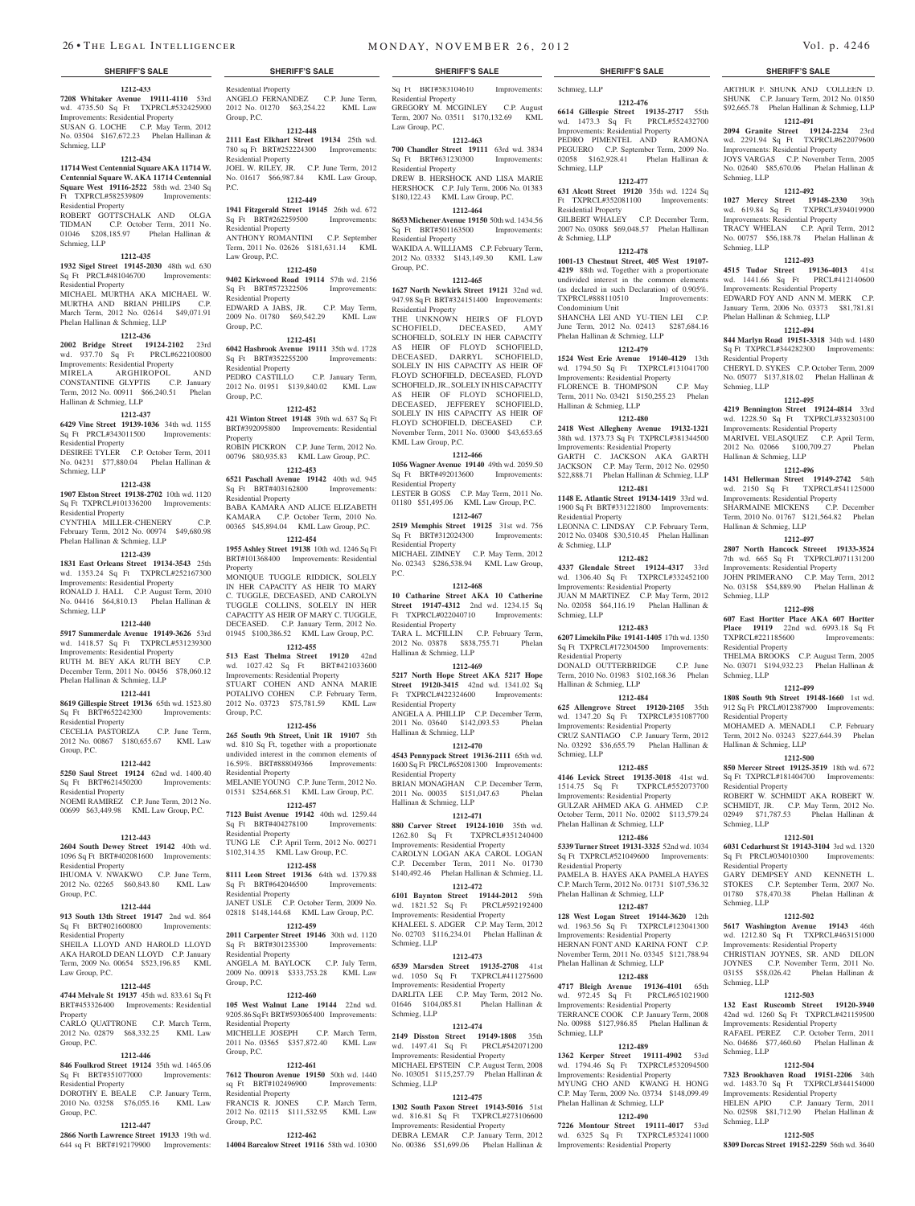Residential Property

Residential Property

Residential Property

Sq Ft BRT#572322506 Residential Property

Law Group, P.C.

Group, P.C.

Group, P.C.

Property

**Property** 

Group, P.C.

Residential Property

Residential Property

Residential Property

Residential Property

Residential Property

Group, P.C.

P.C.

ANGELO FERNANDEZ C.P. June Term, 2012 No. 01270 \$63,254.22 KML Law

**1212-448 2111 East Elkhart Street 19134** 25th wd. 780 sq Ft BRT#252224300 Improvements:

JOEL W. RILEY, JR. C.P. June Term, 2012 No. 01617 \$66,987.84 KML Law Group,

**1212-449 1941 Fitzgerald Street 19145** 26th wd. 672 Sq Ft BRT#262259500 Improvements:

ANTHONY ROMANTINI C.P. September Term, 2011 No. 02626 \$181,631.14 KML

**1212-450 9402 Kirkwood Road 19114** 57th wd. 2156

EDWARD A JABS, JR. C.P. May Term, 2009 No. 01780 \$69,542.29 KML Law

**1212-451 6042 Hasbrook Avenue 19111** 35th wd. 1728 Sq Ft BRT#352255200 Improvements:

PEDRO CASTILLO C.P. January Term, 2012 No. 01951 \$139,840.02 KML Law

**1212-452 421 Winton Street 19148** 39th wd. 637 Sq Ft BRT#392095800 Improvements: Residential

ROBIN PICKRON C.P. June Term, 2012 No. 00796 \$80,935.83 KML Law Group, P.C. **1212-453 6521 Paschall Avenue 19142** 40th wd. 945 Sq Ft BRT#403162800 Improvements:

BABA KAMARA AND ALICE ELIZABETH KAMARA C.P. October Term, 2010 No. 00365 \$45,894.04 KML Law Group, P.C. **1212-454 1955 Ashley Street 19138** 10th wd. 1246 Sq Ft BRT#101368400 Improvements: Residential

MONIQUE TUGGLE RIDDICK, SOLELY IN HER CAPACITY AS HEIR TO MARY C. TUGGLE, DECEASED, AND CAROLYN TUGGLE COLLINS, SOLELY IN HER CAPACITY AS HEIR OF MARY C. TUGGLE, DECEASED. C.P. January Term, 2012 No. 01945 \$100,386.52 KML Law Group, P.C. **1212-455 513 East Thelma Street 19120** 42nd wd. 1027.42 Sq Ft BRT#421033600 Improvements: Residential Property

STUART COHEN AND ANNA MARIE POTALIVO COHEN C.P. February Term, 2012 No. 03723 \$75,781.59 KML Law

**1212-456 265 South 9th Street, Unit 1R 19107** 5th wd. 810 Sq Ft, together with a proportionate undivided interest in the common elements of 16.59%. BRT#888049366 Improvements:

MELANIE YOUNG C.P. June Term, 2012 No. 01531 \$254,668.51 KML Law Group, P.C. **1212-457 7123 Buist Avenue 19142** 40th wd. 1259.44 Sq Ft BRT#404278100 Improvements:

TUNG LE C.P. April Term, 2012 No. 00271 \$102,314.35 KML Law Group, P.C. **1212-458 8111 Leon Street 19136** 64th wd. 1379.88 Sq Ft BRT#642046500 Improvements:

JANET USLE C.P. October Term, 2009 No. 02818 \$148,144.68 KML Law Group, P.C. **1212-459**

#### **1212-433 7208 Whitaker Avenue 19111-4110** 53rd wd. 4735.50 Sq Ft TXPRCL#532425900 Improvements: Residential Property SUSAN G. LOCHE C.P. May Term, 2012 No. 03504 \$167,672.23 Phelan Hallinan & Schmieg, LLP

#### **1212-434**

**11714 West Centennial Square AKA 11714 W. Centennial Square W. AKA 11714 Centennial Square West 19116-2522** 58th wd. 2340 Sq Ft TXPRCL#582539809 Improvements: Residential Property

ROBERT GOTTSCHALK AND OLGA TIDMAN C.P. October Term, 2011 No. 01046 \$208,185.97 Phelan Hallinan & Schmieg, LLP

#### **1212-435**

**1932 Sigel Street 19145-2030** 48th wd. 630 Sq Ft PRCL#481046700 Improvements: Residential Property

MICHAEL MURTHA AKA MICHAEL W. MURTHA AND BRIAN PHILIPS C.P. March Term, 2012 No. 02614 \$49,071.91 Phelan Hallinan & Schmieg, LLP

### **1212-436**

**2002 Bridge Street 19124-2102** 23rd wd. 937.70 Sq Ft PRCL#622100800 Improvements: Residential Property MIRELA ARGHIROPOL AND CONSTANTINE GLYPTIS C.P. January

Term, 2012 No. 00911 \$66,240.51 Phelan Hallinan & Schmieg, LLP **1212-437**

### **6429 Vine Street 19139-1036** 34th wd. 1155 Sq Ft PRCL#343011500 Improvements:

Residential Property DESIREE TYLER C.P. October Term, 2011 No. 04231 \$77,880.04 Phelan Hallinan & Schmieg, LLP

#### **1212-438**

**1907 Elston Street 19138-2702** 10th wd. 1120 Sq Ft TXPRCL#101336200 Improvements: Residential Property CYNTHIA MILLER-CHENERY C.P. February Term, 2012 No. 00974 \$49,680.98 Phelan Hallinan & Schmieg, LLP

## **1212-439**

**1831 East Orleans Street 19134-3543** 25th wd. 1353.24 Sq Ft TXPRCL#252167300 Improvements: Residential Property RONALD J. HALL C.P. August Term, 2010 No. 04416 \$64,810.13 Phelan Hallinan & Schmieg, LLP

#### **1212-440**

**5917 Summerdale Avenue 19149-3626** 53rd wd. 1418.57 Sq Ft TXPRCL#531239300

## Improvements: Residential Property

RUTH M. BEY AKA RUTH BEY C.P. December Term, 2011 No. 00456 \$78,060.12 Phelan Hallinan & Schmieg, LLP

#### **1212-441**

**8619 Gillespie Street 19136** 65th wd. 1523.80 Sq Ft BRT#652242300 Improvements: Residential Property CECELIA PASTORIZA C.P. June Term,

2012 No. 00867 \$180,655.67 KML Law Group, P.C.

## **1212-442**

**5250 Saul Street 19124** 62nd wd. 1400.40 Sq Ft BRT#621450200 Improvements: Residential Property

NOEMI RAMIREZ C.P. June Term, 2012 No. 00699 \$63,449.98 KML Law Group, P.C.

## **1212-443**

**2604 South Dewey Street 19142** 40th wd. 1096 Sq Ft BRT#402081600 Improvements: Residential Property IHUOMA V. NWAKWO C.P. June Term,

2012 No. 02265 \$60,843.80 KML Law Group, P.C.

## **1212-444**

Law Group, P.C.

Property

Group, P.C.

Group, P.C.

Residential Property

**913 South 13th Street 19147** 2nd wd. 864 Sq Ft BRT#021600800 Improvements: Residential Property

**1212-445**

BRT#453326400 Improvements: Residential

CARLO QUATTRONE C.P. March Term, 2012 No. 02879 \$68,332.25 KML Law

**1212-446 846 Foulkrod Street 19124** 35th wd. 1465.06 Sq Ft BRT#351077000 Improvements:

DOROTHY E. BEALE C.P. January Term, 2010 No. 03258 \$76,055.16 KML Law

**1212-447 2866 North Lawrence Street 19133** 19th wd. 644 sq Ft BRT#192179900 Improvements:

#### SHEILA LLOYD AND HAROLD LLOYD AKA HAROLD DEAN LLOYD C.P. January Term, 2009 No. 00654 \$523,196.85 KML **2011 Carpenter Street 19146** 30th wd. 1120 Sq Ft BRT#301235300 Improvements:

**4744 Melvale St 19137** 45th wd. 833.61 Sq Ft Residential Property ANGELA M. BAYLOCK C.P. July Term, 2009 No. 00918 \$333,753.28 KML Law Group, P.C.

#### **1212-460**<br>**t Lane 19144** 22nd wd. **105 West Walnut Lane** 9205.86 Sq Ft BRT#593065400 Improvements: Residential Property MICHELLE JOSEPH C.P. March Term,

2011 No. 03565 \$357,872.40 KML Law Group, P.C.

## **1212-461**

**7612 Thouron Avenue 19150** 50th wd. 1440 sq Ft BRT#102496900 Improvements: Residential Property FRANCIS R. JONES C.P. March Term,

2012 No. 02115 \$111,532.95 KML Law Group, P.C. **1212-462**

**14004 Barcalow Street 19116** 58th wd. 10300

Sq Ft BRT#583104610 Residential Property GREGORY M. MCGINLEY C.P. August Term, 2007 No. 03511 \$170,132.69 KML Law Group, P.C. Improvements: Schmieg, LLP

#### **1212-463 700 Chandler Street 19111** 63rd wd. 3834 Sq Ft BRT#631230300 Improvements:

Residential Property DREW B. HERSHOCK AND LISA MARIE HERSHOCK C.P. July Term, 2006 No. 01383 \$180,122.43 KML Law Group, P.C.

### **1212-464**

**8653 Michener Avenue 19150** 50th wd. 1434.56 Sq Ft BRT#501163500 Improvements: Residential Property WAKIDA A. WILLIAMS C.P. February Term,

2012 No. 03332 \$143,149.30 KML Law Group, P.C.

### **1212-465**

**1627 North Newkirk Street 19121** 32nd wd. 947.98 Sq Ft BRT#324151400 Improvements: Residential Property THE UNKNOWN HEIRS OF FLOYD SCHOFIELD, DECEASED, AMY SCHOFIELD, SOLELY IN HER CAPACITY

AS HEIR OF FLOYD SCHOFIELD, DECEASED, DARRYL SCHOFIELD, SOLELY IN HIS CAPACITY AS HEIR OF FLOYD SCHOFIELD, DECEASED, FLOYD SCHOFIELD, JR., SOLELY IN HIS CAPACITY AS HEIR OF FLOYD SCHOFIELD, DECEASED, JEFFEREY SCHOFIELD, SOLELY IN HIS CAPACITY AS HEIR OF FLOYD SCHOFIELD, DECEASED C.P. November Term, 2011 No. 03000 \$43,653.65 KML Law Group, P.C.

#### **1212-466**

**1056 Wagner Avenue 19140** 49th wd. 2059.50 Sq Ft BRT#492013600 Improvements: Residential Property LESTER B GOSS C.P. May Term, 2011 No.

01180 \$51,495.06 KML Law Group, P.C. **1212-467**

**2519 Memphis Street 19125** 31st wd. 756 Sq Ft BRT#312024300 Improvements: Residential Property

MICHAEL ZIMNEY C.P. May Term, 2012 No. 02343 \$286,538.94 KML Law Group, P.C.

#### **1212-468**

**10 Catharine Street AKA 10 Catherine Street 19147-4312** 2nd wd. 1234.15 Sq Ft TXPRCL#022040710 Improvements: Residential Property TARA L. MCFILLIN C.P. February Term, 2012 No. 03878 \$838,755.71 Phelan Hallinan & Schmieg, LLP

## **1212-469**

**5217 North Hope Street AKA 5217 Hope Street 19120-3415** 42nd wd. 1341.02 Sq Ft TXPRCL#422324600 Improvements: Residential Property ANGELA A. PHILLIP C.P. December Term,

2011 No. 03640 \$142,093.53 Phelan Hallinan & Schmieg, LLP **1212-470**

**4543 Pennypack Street 19136-2111** 65th wd. 1600 Sq Ft PRCL#652081300 Improvements: Residential Property BRIAN MONAGHAN C.P. December Term, 2011 No. 00035 \$151,047.63 Phelan Hallinan & Schmieg, LLP

#### **1212-471**

**880 Carver Street 19124-1010** 35th wd. 1262.80 Sq Ft TXPRCL#351240400 Improvements: Residential Property CAROLYN LOGAN AKA CAROL LOGAN C.P. December Term, 2011 No. 01730 \$140,492.46 Phelan Hallinan & Schmieg, LL **1212-472**

#### **6101 Baynton Street 19144-2012** 59th wd. 1821.52 Sq Ft PRCL#592192400 Improvements: Residential Property KHALEEL S. ADGER C.P. May Term, 2012 No. 02703 \$116,234.01 Phelan Hallinan & Schmieg, LLP

#### **1212-473**

**6539 Marsden Street 19135-2708** 41st wd. 1050 Sq Ft TXPRCL#411275600 Improvements: Residential Property DARLITA LEE C.P. May Term, 2012 No. 01646 \$104,085.81 Phelan Hallinan & Schmieg, LLP

#### **1212-474**

**2149 Disston Street 19149-1808** 35th wd. 1497.41 Sq Ft PRCL#542071200 Improvements: Residential Property MICHAEL EPSTEIN C.P. August Term, 2008 No. 103051 \$115,257.79 Phelan Hallinan & Schmieg, LLP

#### **1212-475**

**1302 South Paxon Street 19143-5016** 51st wd. 816.81 Sq Ft TXPRCL#273106600 Improvements: Residential Property DEBRA LEMAR C.P. January Term, 2012 No. 00386 \$51,699.06 Phelan Hallinan &

#### **SHERIFF'S SALE SHERIFF'S SALE SHERIFF'S SALE SHERIFF'S SALE SHERIFF'S SALE**

**1212-476 6614 Gillespie Street 19135-2717** 55th wd. 1473.3 Sq Ft PRCL#552432700 Improvements: Residential Property PEDRO PIMENTEL AND RAI PEGUERO C.P. September Term, 2009 No. ARTHUR F. SHUNK AND COLLEEN D. SHUNK C.P. January Term, 2012 No. 01850 \$92,665.78 Phelan Hallinan & Schmieg, LLP **1212-491 2094 Granite Street 19124-2234** 23rd wd. 2291.94 Sq Ft TXPRCL#622079600 Improvements: Residential Property JOYS VARGAS C.P. November Term, 2005 No. 02640 \$85,670.06 Phelan Hallinan &

**1212-492 1027 Mercy Street 19148-2330** 39th wd. 619.84 Sq Ft TXPRCL#394019900 Improvements: Residential Property TRACY WHELAN C.P. April Term, 2012 No. 00757 \$56,188.78 Phelan Hallinan &

**1212-493 4515 Tudor Street 19136-4013** 41st wd. 1441.66 Sq Ft PRCL#412140600 Improvements: Residential Property EDWARD FOY AND ANN M. MERK C.P. January Term, 2006 No. 03373 \$81,781.81

**1212-494 844 Marlyn Road 19151-3318** 34th wd. 1480 Sq Ft TXPRCL#344282300 Improvements:

CHERYL D. SYKES C.P. October Term, 2009 No. 05077 \$137,818.02 Phelan Hallinan &

**1212-495 4219 Bennington Street 19124-4814** 33rd wd. 1228.50 Sq Ft TXPRCL#332303100 Improvements: Residential Property MARIVEL VELASQUEZ C.P. April Term, 2012 No. 02066 \$100,709.27 Phelan

**1212-496 1431 Hellerman Street 19149-2742** 54th wd. 2150 Sq Ft TXPRCL#541125000 Improvements: Residential Property SHARMAINE MICKENS C.P. December Term, 2010 No. 01767 \$121,564.82 Phelan

**1212-497 2807 North Hancock Streeet 19133-3524**  7th wd. 665 Sq Ft TXPRCL#071131200 Improvements: Residential Property JOHN PRIMERANO C.P. May Term, 2012 No. 03158 \$54,889.90 Phelan Hallinan &

**1212-498 607 East Hortter Place AKA 607 Hortter Place 19119** 22nd wd. 6993.18 Sq Ft TXPRCL#221185600 Improvements:

THELMA BROOKS C.P. August Term, 2005 No. 03071 \$194,932.23 Phelan Hallinan &

**1212-499 1808 South 9th Street 19148-1660** 1st wd. 912 Sq Ft PRCL#012387900 Improvements:

MOHAMED A. MENADLI C.P. February Term, 2012 No. 03243 \$227,644.39 Phelan

**1212-500 850 Mercer Street 19125-3519** 18th wd. 672 Sq Ft TXPRCL#181404700 Improvements:

ROBERT W. SCHMIDT AKA ROBERT W. SCHMIDT, JR. C.P. May Term, 2012 No. 02949 \$71,787.53 Phelan Hallinan &

**1212-501 6031 Cedarhurst St 19143-3104** 3rd wd. 1320 Sq Ft PRCL#034010300 Improvements:

GARY DEMPSEY AND KENNETH L. STOKES C.P. September Term, 2007 No. 01780 \$78,470.38 Phelan Hallinan &

**1212-502 5617 Washington Avenue 19143** 46th wd. 1212.80 Sq Ft TXPRCL#463151000 Improvements: Residential Property CHRISTIAN JOYNES, SR. AND DILON JOYNES C.P. November Term, 2011 No. 03155 \$58,026.42 Phelan Hallinan &

**1212-503 132 East Ruscomb Street 19120-3940**  42nd wd. 1260 Sq Ft TXPRCL#421159500 Improvements: Residential Property RAFAEL PEREZ C.P. October Term, 2011 No. 04686 \$77,460.60 Phelan Hallinan &

**1212-504 7323 Brookhaven Road 19151-2206** 34th wd. 1483.70 Sq Ft TXPRCL#344154000 Improvements: Residential Property HELEN APIO C.P. January Term, 2011 No. 02598 \$81,712.90 Phelan Hallinan &

**1212-505 8309 Dorcas Street 19152-2259** 56th wd. 3640

Phelan Hallinan & Schmieg, LLP

Residential Property

Hallinan & Schmieg, LLP

Hallinan & Schmieg, LLP

Schmieg, LLP

Residential Property

Schmieg, LLP

Residential Property

Residential Property

Residential Property

Schmieg, LLP

Schmieg, LLP

Schmieg, LLP

Schmieg, LLP

Schmieg, LLP

Hallinan & Schmieg, LLP

Schmieg, LLP

Schmieg, LLP

Schmieg, LLP

02058 \$162,928.41 Phelan Hallinan & Schmieg, LLP **1212-477**

#### **631 Alcott Street 19120** 35th wd. 1224 Sq Ft TXPRCL#352081100 Improvements:

Residential Property GILBERT WHALEY C.P. December Term, 2007 No. 03088 \$69,048.57 Phelan Hallinan & Schmieg, LLP

## **1212-478**

**1001-13 Chestnut Street, 405 West 19107- 4219** 88th wd. Together with a proportionate undivided interest in the common elements (as declared in such Declaration) of 0.905%. TXPRCL#888110510 Improvements: Condominium Unit SHANCHA LEI AND YU-TIEN LEI C.P.

June Term, 2012 No. 02413 \$287,684.16 Phelan Hallinan & Schmieg, LLP **1212-479**

#### **1524 West Erie Avenue 19140-4129** 13th wd. 1794.50 Sq Ft TXPRCL#131041700 Improvements: Residential Property FLORENCE B. THOMPSON C.P. May Term, 2011 No. 03421 \$150,255.23 Phelan

Hallinan & Schmieg, LLP **1212-480**

#### **2418 West Allegheny Avenue 19132-1321**  38th wd. 1373.73 Sq Ft TXPRCL#381344500

Improvements: Residential Property GARTH C. JACKSON AKA GARTH JACKSON C.P. May Term, 2012 No. 02950 \$22,888.71 Phelan Hallinan & Schmieg, LLP **1212-481**

**1148 E. Atlantic Street 19134-1419** 33rd wd. 1900 Sq Ft BRT#331221800 Improvements: Residential Property

LEONNA C. LINDSAY C.P. February Term, 2012 No. 03408 \$30,510.45 Phelan Hallinan & Schmieg, LLP

### **1212-482**

**4337 Glendale Street 19124-4317** 33rd wd. 1306.40 Sq Ft TXPRCL#332452100 Improvements: Residential Property JUAN M MARTINEZ C.P. May Term, 2012 No. 02058 \$64,116.19 Phelan Hallinan & Schmieg, LLP

## **1212-483**

**6207 Limekiln Pike 19141-1405** 17th wd. 1350 Sq Ft TXPRCL#172304500 Improvements: Residential Property DONALD OUTTERBRIDGE C.P. June Term, 2010 No. 01983 \$102,168.36 Phelan

## Hallinan & Schmieg, LLP

**1212-484 625 Allengrove Street 19120-2105** 35th wd. 1347.20 Sq Ft TXPRCL#351087700 Improvements: Residential Property CRUZ SANTIAGO C.P. January Term, 2012 No. 03292 \$36,655.79 Phelan Hallinan & Schmieg, LLP

## **1212-485**

**4146 Levick Street 19135-3018** 41st wd. 1514.75 Sq Ft TXPRCL#552073700 Improvements: Residential Property GULZAR AHMED AKA G. AHMED C.P. October Term, 2011 No. 02002 \$113,579.24 Phelan Hallinan & Schmieg, LLP

## **1212-486**

**5339 Turner Street 19131-3325** 52nd wd. 1034 Sq Ft TXPRCL#521049600 Improvements: Residential Property PAMELA B. HAYES AKA PAMELA HAYES C.P. March Term, 2012 No. 01731 \$107,536.32 Phelan Hallinan & Schmieg, LLP

## **1212-487**

**128 West Logan Street 19144-3620** 12th wd. 1963.56 Sq Ft TXPRCL#123041300 Improvements: Residential Property HERNAN FONT AND KARINA FONT C.P. November Term, 2011 No. 03345 \$121,788.94 Phelan Hallinan & Schmieg, LLP

**1212-488 4717 Bleigh Avenue 19136-4101** 65th wd. 972.45 Sq Ft PRCL#651021900 Improvements: Residential Property TERRANCE COOK C.P. January Term, 2008 No. 00988 \$127,986.85 Phelan Hallinan &

**1212-489 1362 Kerper Street 19111-4902** 53rd wd. 1794.46 Sq Ft TXPRCL#532094500 Improvements: Residential Property MYUNG CHO AND KWANG H. HONG C.P. May Term, 2009 No. 03734 \$148,099.49

**1212-490 7226 Montour Street 19111-4017** 53rd wd. 6325 Sq Ft TXPRCL#532411000 Improvements: Residential Property

Phelan Hallinan & Schmieg, LLP

Schmieg, LLP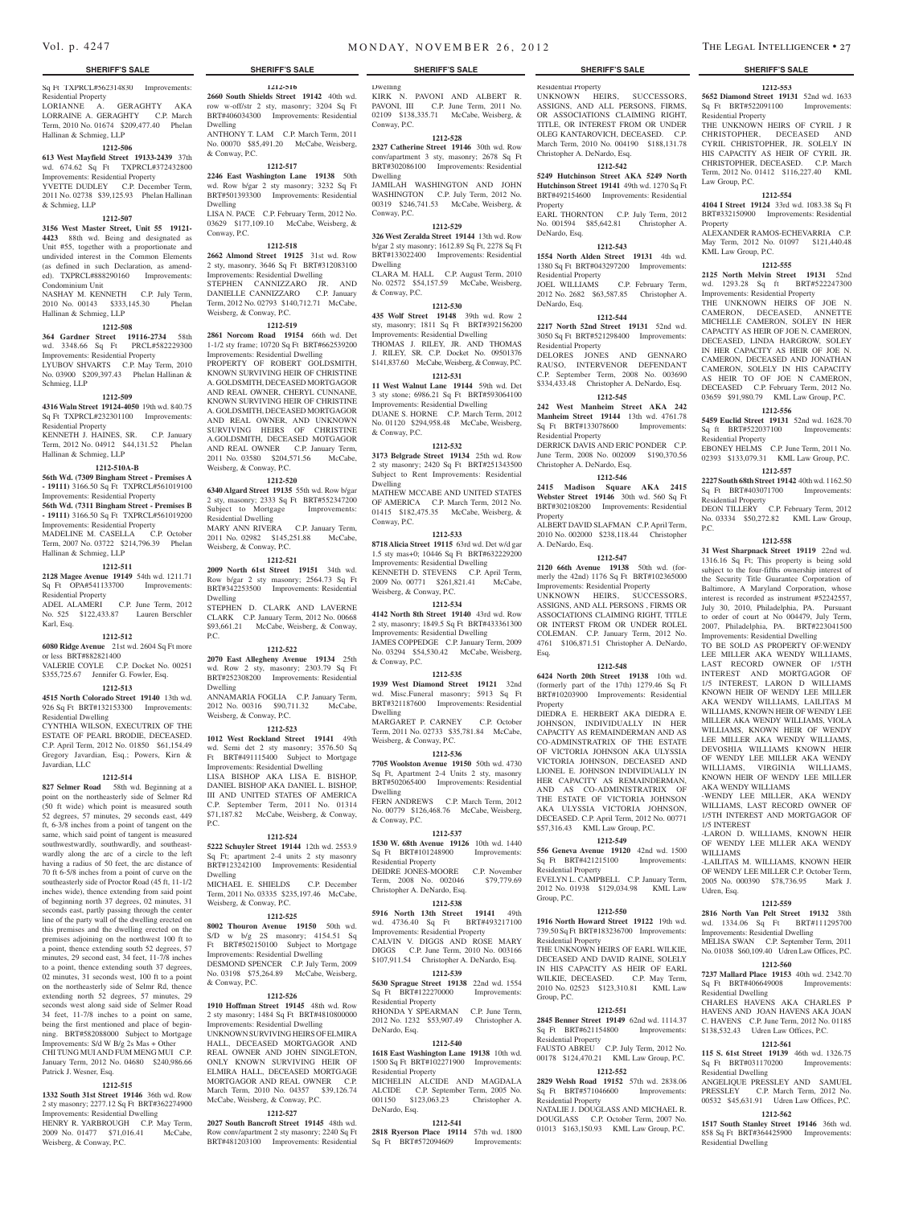#### Sq Ft TXPRCL#562314830 Improvements: Residential Property LORIANNE A. GERAGHTY AKA LORRAINE A. GERAGHTY C.P. March Term, 2010 No. 01674 \$209,477.40 Phelan

## Hallinan & Schmieg, LLP

**1212-506 613 West Mayfield Street 19133-2439** 37th

wd. 674.62 Sq Ft TXPRCL#372432800 Improvements: Residential Property YVETTE DUDLEY C.P. December Term, 2011 No. 02738 \$39,125.93 Phelan Hallinan & Schmieg, LLP

#### **1212-507**

**3156 West Master Street, Unit 55 19121- 4423** 88th wd. Being and designated as Unit #55, together with a proportionate and undivided interest in the Common Elements (as defined in such Declaration, as amended). TXPRCL#888290160 Improvements: Condominium Unit

NASHAY M. KENNETH C.P. July Term, 2010 No. 00143 \$333,145.30 Phelan Hallinan & Schmieg, LLP

#### **1212-508**

**364 Gardner Street 19116-2734** 58th wd. 3348.66 Sq Ft PRCL#582229300 Improvements: Residential Property LYUBOV SHVARTS C.P. May Term, 2010 No. 03900 \$209,397.43 Phelan Hallinan & Schmieg, LLP

#### **1212-509**

**4316 Waln Street 19124-4050** 19th wd. 840.75

Sq Ft TXPRCL#232301100 Improvements: Residential Property KENNETH J. HAINES, SR. C.P. January Term, 2012 No. 04912 \$44,131.52 Phelan

Hallinan & Schmieg, LLP

#### **1212-510A-B**

**56th Wd. (7309 Bingham Street - Premises A - 19111)** 3166.50 Sq Ft TXPRCL#561019100 Improvements: Residential Property

**56th Wd. (7311 Bingham Street - Premises B - 19111)** 3166.50 Sq Ft TXPRCL#561019200

Improvements: Residential Property MADELINE M. CASELLA C.P. October Term, 2007 No. 03722 \$214,796.39 Phelan Hallinan & Schmieg, LLP

## **1212-511**

**2128 Magee Avenue 19149** 54th wd. 1211.71 Sq Ft OPA#541133700 Improvements: Residential Property ADEL ALAMERI C.P. June Term, 2012.

No. 525 \$122,433.87 Lauren Berschler Karl, Esq.

## **1212-512**

**6080 Ridge Avenue** 21st wd. 2604 Sq Ft more or less BRT#882821400 VALERIE COYLE C.P. Docket No. 00251 \$355,725.67 Jennifer G. Fowler, Esq.

#### **1212-513**

**4515 North Colorado Street 19140** 13th wd. 926 Sq Ft BRT#132153300 Improvements: Residential Dwelling

CYNTHIA WILSON, EXECUTRIX OF THE ESTATE OF PEARL BRODIE, DECEASED. C.P. April Term, 2012 No. 01850 \$61,154.49 Gregory Javardian, Esq.; Powers, Kirn & Javardian, LLC

### **1212-514**

**827 Selmer Road** 58th wd. Beginning at a point on the northeasterly side of Selmer Rd (50 ft wide) which point is measured south 52 degrees, 57 minutes, 29 seconds east, 449 ft, 6-3/8 inches from a point of tangent on the same, which said point of tangent is measured southwestwardly, southwardly, and southeastwardly along the arc of a circle to the left having a radius of 50 feet, the arc distance of 70 ft 6-5/8 inches from a point of curve on the southeasterly side of Proctor Road (45 ft, 11-1/2 inches wide), thence extending from said point of beginning north 37 degrees, 02 minutes, 31 seconds east, partly passing through the center line of the party wall of the dwelling erected on this premises and the dwelling erected on the premises adjoining on the northwest 100 ft to a point, thence extending south 52 degrees, 57 minutes, 29 second east, 34 feet, 11-7/8 inches to a point, thence extending south 37 degrees, 02 minutes, 31 seconds west, 100 ft to a point on the northeasterly side of Selmr Rd, thence extending north 52 degrees, 57 minutes, 29 seconds west along said side of Selmer Road 34 feet, 11-7/8 inches to a point on same, being the first mentioned and place of beginning. BRT#582088000 Subject to Mortgage Improvements: S/d W B/g 2s Mas + Other CHI TUNG MUI AND FUM MENG MUI C.P.

January Term, 2012 No. 04680 \$240,986.66 Patrick J. Wesner, Esq.

## **1212-515**

**1332 South 31st Street 19146** 36th wd. Row 2 sty masonry; 2277.12 Sq Ft BRT#362274900 Improvements: Residential Dwelling HENRY R. YARBROUGH C.P. May Term, 2009 No. 01477 \$71,016.41 McCabe, Weisberg, & Conway, P.C.

**1212-516 2660 South Shields Street 19142** 40th wd. row w-off/str 2 sty, masonry; 3204 Sq Ft

BRT#406034300 Improvements: Residential Dwelling ANTHONY T. LAM C.P. March Term, 2011 No. 00070 \$85,491.20 McCabe, Weisberg, & Conway, P.C.

#### **1212-517**

**2246 East Washington Lane 19138** 50th wd. Row b/gar 2 sty masonry; 3232 Sq Ft BRT#501393300 Improvements: Residential Dwelling LISA N. PACE C.P. February Term, 2012 No.

03629 \$177,109.10 McCabe, Weisberg, & Conway, P.C. **1212-518**

#### **2662 Almond Street 19125** 31st wd. Row 2 sty, masonry, 3646 Sq Ft BRT#312083100 Improvements: Residential Dwelling STEPHEN CANNIZZARO JR. A DANIELLE CANNIZZARO C.P. January Term, 2012 No. 02793 \$140,712.71 McCabe, Weisberg, & Conway, P.C.

#### **1212-519**

**2861 Norcom Road 19154** 66th wd. Det 1-1/2 sty frame; 10720 Sq Ft BRT#662539200 Improvements: Residential Dwelling PROPERTY OF ROBERT GOLDSMITH. KNOWN SURVIVING HEIR OF CHRISTINE A. GOLDSMITH, DECEASED MORTGAGOR AND REAL OWNER, CHERYL CUNNANE, KNOWN SURVIVING HEIR OF CHRISTINE A. GOLDSMITH, DECEASED MORTGAGOR AND REAL OWNER, AND UNKNOWN SURVIVING HEIRS OF CHRISTINE A.GOLDSMITH, DECEASED MOTGAGOR AND REAL OWNER C.P. January Term, 2011 No. 03580 \$204,571.56 McCabe, Weisberg, & Conway, P.C.

#### **1212-520**

**6340 Algard Street 19135** 55th wd. Row b/gar 2 sty, masonry; 2333 Sq Ft BRT#552347200 Subject to Mortgage Residential Dwelling MARY ANN RIVERA C.P. January Term,

2011 No. 02982 \$145,251.88 McCabe. Weisberg, & Conway, P.C.

### **1212-521**

**2009 North 61st Street 19151** 34th wd. Row b/gar 2 sty masonry; 2564.73 Sq Ft BRT#342253500 Improvements: Residential Dwelling STEPHEN D. CLARK AND LAVERNE CLARK C.P. January Term, 2012 No. 00668

\$93,661.21 McCabe, Weisberg, & Conway, P.C.

### **1212-522**

**2070 East Allegheny Avenue 19134** 25th wd. Row 2 sty, masonry; 2303.79 Sq Ft BRT#252308200 Improvements: Residential Dwelling ANNAMARIA FOGLIA C.P. January Term,

2012 No. 00316 \$90,711.32 McCabe, Weisberg, & Conway, P.C.

#### **1212-523**

**1012 West Rockland Street 19141** 49th wd. Semi det 2 sty masonry; 3576.50 Sq Ft BRT#491115400 Subject to Mortgage Improvements: Residential Dwelling LISA BISHOP AKA LISA E. BISHOP, DANIEL BISHOP AKA DANIEL L. BISHOP, III AND UNITED STATES OF AMERICA C.P. September Term, 2011 No. 01314 \$71,187.82 McCabe, Weisberg, & Conway,

#### **1212-524**

P.C.

**5222 Schuyler Street 19144** 12th wd. 2553.9 Sq Ft; apartment 2-4 units 2 sty masonry BRT#123242100 Improvements: Residential Dwelling

MICHAEL E. SHIELDS C.P. December Term, 2011 No. 03335 \$235,197.46 McCabe, Weisberg, & Conway, P.C.

#### **1212-525**

**8002 Thouron Avenue 19150** 50th wd. S/D w b/g 2S masonry; 4154.51 Sq Ft BRT#502150100 Subject to Mortgage Improvements: Residential Dwelling DESMOND SPENCER C.P. July Term, 2009 No. 03198 \$75,264.89 McCabe, Weisberg, & Conway, P.C.

#### **1212-526**

**1910 Hoffman Street 19145** 48th wd. Row 2 sty masonry; 1484 Sq Ft BRT#4810800000 Improvements: Residential Dwelling UNKNOWN SURVIVING HEIRS OF ELMIRA HALL, DECEASED MORTGAGOR AND REAL OWNER AND JOHN SINGLETON, ONLY KNOWN SURVIVING HEIR OF ELMIRA HALL, DECEASED MORTGAGE MORTGAGOR AND REAL OWNER C.P. March Term, 2010 No. 04357 \$39,126.74 McCabe, Weisberg, & Conway, P.C.

#### **1212-527**

**2027 South Bancroft Street 19145** 48th wd. Row conv/apartment 2 sty masonry; 2240 Sq Ft BRT#481203100 Improvements: Residential

Dwelling KIRK N. PAVONI AND ALBERT R. PAVONI, III C.P. June Term, 2011 No. 02109 \$138,335.71 McCabe, Weisberg, & Conway, P.C.

#### **1212-528**

**2327 Catherine Street 19146** 30th wd. Row conv/apartment 3 sty, masonry; 2678 Sq Ft BRT#302086100 Improvements: Residential Dwelling

JAMILAH WASHINGTON AND JOHN WASHINGTON C.P. July Term, 2012 No. 00319 \$246,741.53 McCabe, Weisberg, &

#### **1212-529**

Conway, P.C.

**326 West Zeralda Street 19144** 13th wd. Row b/gar 2 sty masonry; 1612.89 Sq Ft, 2278 Sq Ft BRT#133022400 Improvements: Residential Dwelling CLARA M. HALL C.P. August Term, 2010

No. 02572 \$54,157.59 McCabe, Weisberg, & Conway, P.C.

#### **1212-530**

**435 Wolf Street 19148** 39th wd. Row 2 sty, masonry; 1811 Sq Ft BRT#392156200 Improvements: Residential Dwelling THOMAS J. RILEY, JR. AND THOMAS J. RILEY, SR. C.P. Docket No. 09501376 \$141,837.60 McCabe, Weisberg, & Conway, P.C.

### **1212-531**

**11 West Walnut Lane 19144** 59th wd. Det 3 sty stone; 6986.21 Sq Ft BRT#593064100 Improvements: Residential Dwelling DUANE S. HORNE C.P. March Term, 2012 No. 01120 \$294,958.48 McCabe, Weisberg, & Conway, P.C.

#### **1212-532**

**3173 Belgrade Street 19134** 25th wd. Row 2 sty masonry; 2420 Sq Ft BRT#251343500 Subject to Rent Improvements: Residential Dwelling

MATHEW MCCABE AND UNITED STATES OF AMERICA C.P. March Term, 2012 No. 01415 \$182,475.35 McCabe, Weisberg, & Conway, P.C.

#### **1212-533**

**8718 Alicia Street 19115** 63rd wd. Det w/d gar 1.5 sty mas+0; 10446 Sq Ft BRT#632229200 Improvements: Residential Dwelling KENNETH D. STEVENS C.P. April Term, 2009 No. 00771 \$261,821.41 McCabe, Weisberg, & Conway, P.C.

#### **1212-534**

**4142 North 8th Street 19140** 43rd wd. Row 2 sty, masonry; 1849.5 Sq Ft BRT#433361300 Improvements: Residential Dwelling JAMES COPPEDGE C.P. January Term, 2009 No. 03294 \$54,530.42 McCabe, Weisberg, & Conway, P.C.

#### **1212-535**

**1939 West Diamond Street 19121** 32nd wd. Misc.Funeral masonry; 5913 Sq Ft BRT#321187600 Improvements: Residential Dwelling MARGARET P. CARNEY C.P. October Term, 2011 No. 02733 \$35,781.84 McCabe, Weisberg, & Conway, P.C.

### **1212-536**

**7705 Woolston Avenue 19150** 50th wd. 4730 Sq Ft, Apartment 2-4 Units 2 sty, masonry BRT#502065400 Improvements: Residential Dwelling FERN ANDREWS C.P. March Term, 2012

No. 00779 \$126,468.76 McCabe, Weisberg, & Conway, P.C.

### **1212-537**

**1530 W. 68th Avenue 19126** 10th wd. 1440 Sq Ft BRT#101248900 Improvements: Residential Property DEIDRE JONES-MOORE C.P. November<br>Term. 2008 No. 002046 \$79.779.69 Term, 2008 No. 002046 Christopher A. DeNardo, Esq.

#### **1212-538 5916 North 13th Street 19141** 49th

wd. 4736.40 Sq Ft BRT#493217100 Improvements: Residential Property CALVIN V. DIGGS AND ROSE MARY DIGGS C.P. June Term, 2010 No. 003166 \$107,911.54 Christopher A. DeNardo, Esq.

### **1212-539**

**5630 Sprague Street 19138** 22nd wd. 1554 Sq Ft BRT#122270000 Improvements: Residential Property RHONDA Y SPEARMAN C.P. June Term,

2012 No. 1232 \$53,907.49 Christopher A. DeNardo, Esq. **1212-540**

**1618 East Washington Lane 19138** 10th wd. 1500 Sq Ft BRT#102271900 Improvements: Residential Property MICHELIN ALCIDE AND MAGDALA

ALCIDE C.P. September Term, 2005 No. 001150 \$123,063.23 Christopher A. DeNardo, Esq.

#### **1212-541**

**2818 Ryerson Place 19114** 57th wd. 1800 Sq Ft BRT#572094609 Improvements:

**SHERIFF'S SALE SHERIFF'S SALE SHERIFF'S SALE SHERIFF'S SALE SHERIFF'S SALE**

Residential Property UNKNOWN HEIRS, SUCCESSORS, ASSIGNS, AND ALL PERSONS, FIRMS, OR ASSOCIATIONS CLAIMING RIGHT, TITLE, OR INTEREST FROM OR UNDER OLEG KANTAROVICH, DECEASED. C.P. March Term, 2010 No. 004190 \$188,131.78 Christopher A. DeNardo, Esq.

#### **1212-542**

**5249 Hutchinson Street AKA 5249 North Hutchinson Street 19141** 49th wd. 1270 Sq Ft BRT#492154600 Improvements: Residential Property EARL THORNTON C.P. July Term, 2012

No. 001594 \$85,642.81 Christopher A. DeNardo, Esq. **1212-543**

**1554 North Alden Street 19131** 4th wd. 1380 Sq Ft BRT#043297200 Improvements:

2012 No. 2682 \$63,587.85 Christopher A.

**1212-544 2217 North 52nd Street 19131** 52nd wd. 3050 Sq Ft BRT#521298400 Improvements:

DELORES JONES AND GENNARO RAUSO, INTERVENOR DEFENDANT C.P. September Term, 2008 No. 003690 \$334,433.48 Christopher A. DeNardo, Esq. **1212-545 242 West Manheim Street AKA 242 Manheim Street 19144** 13th wd. 4761.78 Sq Ft BRT#133078600 Improvements:

DERRICK DAVIS AND ERIC PONDER C.P. June Term, 2008 No. 002009 \$190,370.56

**1212-546 2415 Madison Square AKA 2415 Webster Street 19146** 30th wd. 560 Sq Ft BRT#302108200 Improvements: Residential

ALBERT DAVID SLAFMAN C.P. April Term, 2010 No. 002000 \$238,118.44 Christopher

**1212-547 2120 66th Avenue 19138** 50th wd. (formerly the 42nd) 1176 Sq Ft BRT#102365000 Improvements: Residential Property UNKNOWN HEIRS, SUCCESSORS, ASSIGNS, AND ALL PERSONS , FIRMS OR ASSOCIATIONS CLAIMING RIGHT, TITLE OR INTERST FROM OR UNDER ROLEL COLEMAN. C.P. January Term, 2012 No. 4761 \$106,871.51 Christopher A. DeNardo,

**1212-548 6424 North 20th Street 19138** 10th wd. (formerly part of the 17th) 1279.46 Sq Ft BRT#10203900 Improvements: Residential

DIEDRA E. HERBERT AKA DIEDRA E. JOHNSON, INDIVIDUALLY IN HER CAPACITY AS REMAINDERMAN AND AS CO-ADMINSTRATRIX OF THE ESTATE OF VICTORIA JOHNSON AKA ULYSSIA VICTORIA JOHNSON, DECEASED AND LIONEL E. JOHNSON INDIVIDUALLY IN HER CAPACITY AS REMAINDERMAN, AND AS CO-ADMINISTRATRIX OF THE ESTATE OF VICTORIA JOHNSON AKA ULYSSIA VICTORIA JOHNSON, DECEASED. C.P. April Term, 2012 No. 00771 \$57,316.43 KML Law Group, P.C. **1212-549 556 Geneva Avenue 19120** 42nd wd. 1500 Sq Ft BRT#421215100 Improvements:

EVELYN L. CAMPBELL C.P. January Term, 2012 No. 01938 \$129,034.98 KML Law

**1212-550 1916 North Howard Street 19122** 19th wd. 739.50 Sq Ft BRT#183236700 Improvements:

THE UNKNOWN HEIRS OF EARL WILKIE, DECEASED AND DAVID RAINE, SOLELY IN HIS CAPACITY AS HEIR OF EARL WILKIE, DECEASED. C.P. May Term, 2010 No. 02523 \$123,310.81 KML Law

**1212-551 2845 Benner Street 19149** 62nd wd. 1114.37 Sq Ft BRT#621154800 Improvements:

FAUSTO ABREU C.P. July Term, 2012 No. 00178 \$124,470.21 KML Law Group, P.C. **1212-552 2829 Welsh Road 19152** 57th wd. 2838.06 Sq Ft BRT#571046600 Improvements:

NATALIE J. DOUGLASS AND MICHAEL R. DOUGLASS C.P. October Term, 2007 No. 01013 \$163,150.93 KML Law Group, P.C.

C.P. February Term,

**1212-553 5652 Diamond Street 19131** 52nd wd. 1633 Sq Ft BRT#522091100 Improvements:

THE UNKNOWN HEIRS OF CYRIL J R CHRISTOPHER, DECEASED A CYRIL CHRISTOPHER, JR. SOLELY IN HIS CAPACITY AS HEIR OF CYRIL JR. CHRISTOPHER, DECEASED. C.P. March Term, 2012 No. 01412 \$116,227.40 KML

**1212-554 4104 I Street 19124** 33rd wd. 1083.38 Sq Ft BRT#332150900 Improvements: Residential

ALEXANDER RAMOS-ECHEVARRIA C.P. May Term, 2012 No. 01097 \$121,440.48

**1212-555 2125 North Melvin Street 19131** 52nd wd. 1293.28 Sq ft BRT#522247300 Improvements: Residential Property THE UNKNOWN HEIRS OF JOE N. CAMERON, DECEASED, ANNETTE MICHELLE CAMERON, SOLEY IN HER CAPACITY AS HEIR OF JOE N. CAMERON, DECEASED, LINDA HARGROW, SOLEY IN HER CAPACITY AS HEIR OF JOE N. CAMERON, DECEASED AND JONATHAN CAMERON, SOLELY IN HIS CAPACITY AS HEIR TO OF JOE N CAMERON, DECEASED C.P. February Term, 2012 No. 03659 \$91,980.79 KML Law Group, P.C. **1212-556 5459 Euclid Street 19131** 52nd wd. 1628.70 Sq ft BRT#522037100 Improvements:

EBONEY HELMS C.P. June Term, 2011 No. 02393 \$133,079.31 KML Law Group, P.C. **1212-557 2227 South 68th Street 19142** 40th wd. 1162.50<br>Sq Ft BRT#403071700 Improvements:

DEON TILLERY C.P. February Term, 2012 No. 03334 \$50,272.82 KML Law Group,

**1212-558 31 West Sharpnack Street 19119** 22nd wd. 1316.16 Sq Ft; This property is being sold subject to the four-fifths ownership interest of the Security Title Guarantee Corporation of Baltimore, A Maryland Corporation, whose interest is recorded as instrument #52242557, July 30, 2010, Philadelphia, PA. Pursuant to order of court at No 004479, July Term, 2007, Philadelphia, PA. BRT#223041500 Improvements: Residential Dwelling TO BE SOLD AS PROPERTY OF:WEN LEE MILLER AKA WENDY WILLIAMS, LAST RECORD OWNER OF 1/5TH INTEREST AND MORTGAGOR OF 1/5 INTEREST, LARON D WILLIAMS KNOWN HEIR OF WENDY LEE MILLER AKA WENDY WILLIAMS, LAILITAS M WILLIAMS, KNOWN HEIR OF WENDY LEE MILLER AKA WENDY WILLIAMS, VIOLA WILLIAMS, KNOWN HEIR OF WENDY LEE MILLER AKA WENDY WILLIAMS, DEVOSHIA WILLIAMS KNOWN HEIR OF WENDY LEE MILLER AKA WEN WILLIAMS, VIRGINIA WILLIAMS, KNOWN HEIR OF WENDY LEE MILLER

Residential Property

Law Group, P.C.

KML Law Group, P.C.

Residential Property

Sq Ft BRT#403071700 Residential Property

AKA WENDY WILLIAMS

1/5 INTEREST

WILLIAMS

Udren, Esq.

Residential Dwelling

Residential Dwelling

Residential Dwelling

-WENDY LEE MILLER, AKA WENDY WILLIAMS, LAST RECORD OWNER OF 1/5TH INTEREST AND MORTGAGOR OF

-LARON D. WILLIAMS, KNOWN HEIR OF WENDY LEE MLLER AKA WENDY

-LAILITAS M. WILLIAMS, KNOWN HEIR OF WENDY LEE MILLER C.P. October Term, 2005 No. 000390 \$78,736.95 Mark J.

**1212-559 2816 North Van Pelt Street 19132** 38th wd. 1334.06 Sq Ft BRT#111295700 Improvements: Residential Dwelling MELISA SWAN C.P. September Term, 2011 No. 01038 \$60,109.40 Udren Law Offices, P.C. **1212-560 7237 Mallard Place 19153** 40th wd. 2342.70 Sq Ft BRT#406649008 Improvements:

CHARLES HAVENS AKA CHARLES P HAVENS AND JOAN HAVENS AKA JOAN C. HAVENS C.P. June Term, 2012 No. 01185 \$138,532.43 Udren Law Offices, P.C. **1212-561 115 S. 61st Street 19139** 46th wd. 1326.75 Sq Ft BRT#031170200 Improvements:

ANGELIQUE PRESSLEY AND SAMUEL PRESSLEY C.P. March Term, 2012 No. 00532 \$45,631.91 Udren Law Offices, P.C. **1212-562 1517 South Stanley Street 19146** 36th wd. 858 Sq Ft BRT#364425900 Improvements:

P.C.

Property

Residential Property<br>JOEL WILLIAMS

Residential Property

Residential Property

Property

Esq.

Property

Residential Property

Residential Property

Residential Property

Residential Property

Group, P.C.

Group, P.C.

A. DeNardo, Esq.

Christopher A. DeNardo, Esq.

DeNardo, Esq.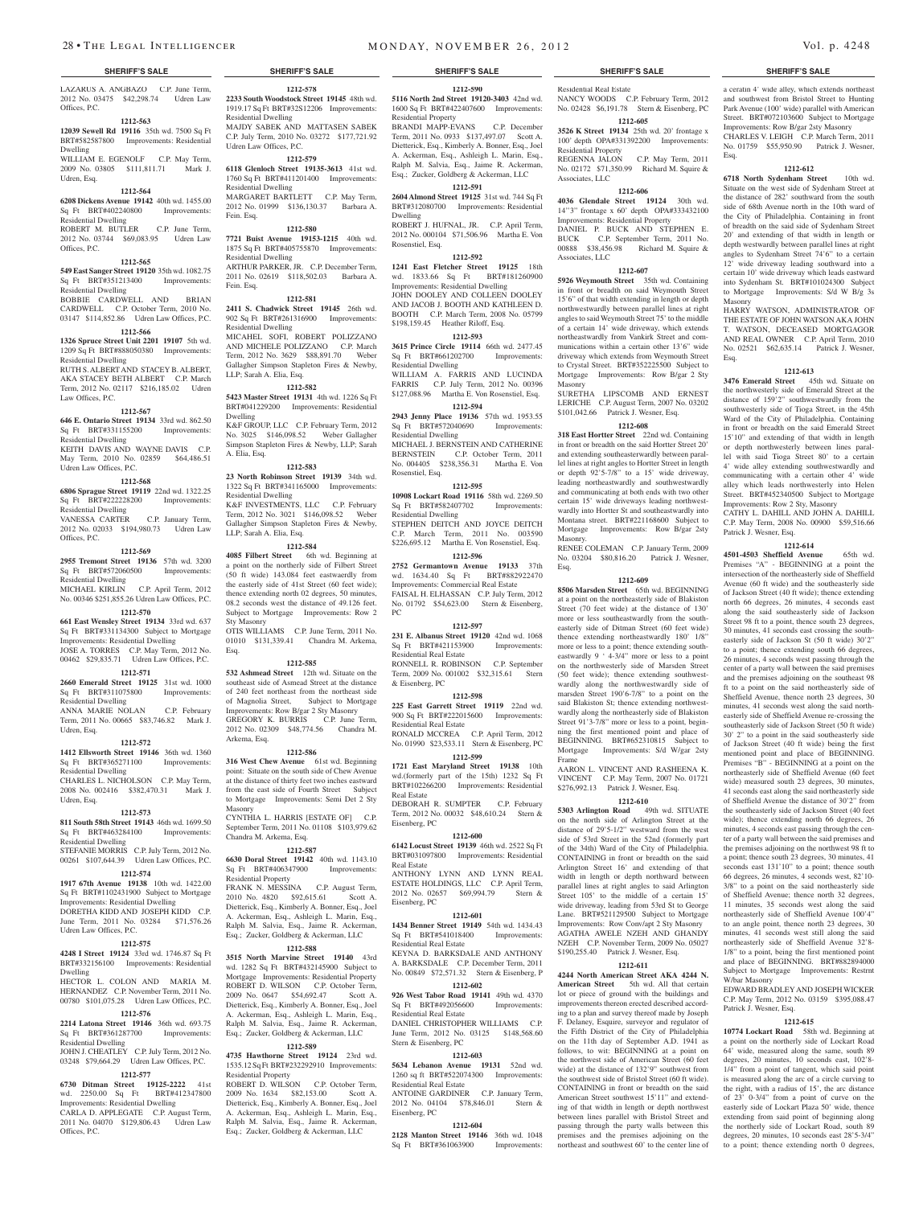LAZARUS A. ANGBAZO C.P. June Term, 2012 No. 03475 \$42,298.74 Udren Law Offices, P.C.

**1212-563 12039 Sewell Rd 19116** 35th wd. 7500 Sq Ft

#### BRT#582587800 Improvements: Residential Dwelling WILLIAM E. EGENOLF C.P. May Term,

2009 No. 03805 \$111,811.71 Mark J. Udren, Esq.

#### **1212-564 6208 Dickens Avenue 19142** 40th wd. 1455.00

Sq Ft BRT#402240800 Improvements: Residential Dwelling ROBERT M. BUTLER C.P. June Term,

2012 No. 03744 \$69,083.95 Udren Law Offices, P.C.

## **1212-565**

**549 East Sanger Street 19120** 35th wd. 1082.75 Sq Ft BRT#351213400 Improvements: Residential Dwelling

BOBBIE CARDWELL AND BRIA CARDWELL C.P. October Term, 2010 No. 03147 \$114,852.86 Udren Law Offices, P.C. **1212-566**

## **1326 Spruce Street Unit 2201 19107** 5th wd.

1209 Sq Ft BRT#888050380 Improvements: Residential Dwelling

RUTH S. ALBERT AND STACEY B. ALBERT, AKA STACEY BETH ALBERT C.P. March Term, 2012 No. 02117 \$216,185.02 Udren Law Offices, P.C.

#### **1212-567**

**646 E. Ontario Street 19134** 33rd wd. 862.50 Sq Ft BRT#331155200 Improvements: Residential Dwelling

KEITH DAVIS AND WAYNE DAVIS C.P. May Term, 2010 No. 02859 \$64,486.51 Udren Law Offices, P.C.

#### **1212-568**

**6806 Sprague Street 19119** 22nd wd. 1322.25 Sq Ft BRT#222228200 Improvements: Residential Dwelling VANESSA CARTER C.P. January Term, 2012 No. 02033 \$194,980.73 Udren Law

Offices, P.C. **1212-569**

#### **2955 Tremont Street 19136** 57th wd. 3200

Sq Ft BRT#572060500 Improvements: Residential Dwelling<br>MICHAEL KIRLIN C.P. April Term, 2012

No. 00346 \$251,855.26 Udren Law Offices, P.C. **1212-570**

**661 East Wensley Street 19134** 33rd wd. 637 Sq Ft BRT#331134300 Subject to Mortgage Improvements: Residential Dwelling JOSE A. TORRES C.P. May Term, 2012 No.

## 00462 \$29,835.71 Udren Law Offices, P.C.

**1212-571**

#### **2660 Emerald Street 19125** 31st wd. 1000 Sq Ft BRT#311075800 Improvements:

Residential Dwelling ANNA MARIE NOLAN C.P. February Term, 2011 No. 00665 \$83,746.82 Mark J.

### **1212-572**

Udren, Esq.

**1412 Ellsworth Street 19146** 36th wd. 1360 Sq Ft BRT#365271100 Improvements:

Residential Dwelling CHARLES L. NICHOLSON C.P. May Term, 2008 No. 002416 \$382,470.31 Mark J. Udren, Esq.

#### **1212-573**

**811 South 58th Street 19143** 46th wd. 1699.50 Sq Ft BRT#463284100 Improvements: Residential Dwelling STEFANIE MORRIS C.P. July Term, 2012 No.

00261 \$107,644.39 Udren Law Offices, P.C. **1212-574**

## **1917 67th Avenue 19138** 10th wd. 1422.00

Sq Ft BRT#1102431900 Subject to Mortgage Improvements: Residential Dwelling DORETHA KIDD AND JOSEPH KIDD C.P. June Term, 2011 No. 03284 \$71,576.26 Udren Law Offices, P.C.

### **1212-575**

**4248 I Street 19124** 33rd wd. 1746.87 Sq Ft BRT#332156100 Improvements: Residential Dwelling

HECTOR L. COLON AND MARIA M. HERNANDEZ C.P. November Term, 2011 No. 00780 \$101,075.28 Udren Law Offices, P.C.

## **1212-576**

**2214 Latona Street 19146** 36th wd. 693.75 Sq Ft BRT#361287700 Improvements: Residential Dwelling JOHN J. CHEATLEY C.P. July Term, 2012 No.

### 03248 \$79,664.29 Udren Law Offices, P.C. **1212-577**

Offices, P.C.

**6730 Ditman Street 19125-2222** 41st wd. 2250.00 Sq Ft BRT#412347800 Improvements: Residential Dwelling CARLA D. APPLEGATE C.P. August Term, 2011 No. 04070 \$129,806.43 Udren Law

#### **1212-578 2233 South Woodstock Street 19145** 48th wd. 1919.17 Sq Ft BRT#32S12206 Improvements: Residential Dwelling MAJDY SABEK AND MATTASEN SABEK C.P. July Term, 2010 No. 03272 \$177,721.92

Udren Law Offices, P.C. **1212-579 6118 Glenloch Street 19135-3613** 41st wd. 1760 Sq Ft BRT#411201400 Improvements:

#### Residential Dwelling MARGARET BARTLETT C.P. May Term, 2012 No. 01999 \$136,130.37 Barbara A.

Fein. Esq. **1212-580 7721 Buist Avenue 19153-1215** 40th wd. 1875 Sq Ft BRT#405755870 Improvements: Residential Dwelling ARTHUR PARKER, JR. C.P. December Term,

2011 No. 02619 \$118,502.03 Barbara A. Fein. Esq. **1212-581**

## **2411 S. Chadwick Street 19145** 26th wd.

902 Sq Ft BRT#261316900 Improvements: Residential Dwelling MICAHEL SOFI, ROBERT POLIZZANO AND MICHELE POLIZZANO C.P. March<br>Term. 2012 No. 3629 \$88.891.70 Weber

Term, 2012 No. 3629 \$88,891.70 Gallagher Simpson Stapleton Fires & Newby, LLP; Sarah A. Elia, Esq.

## **1212-582 5423 Master Street 19131** 4th wd. 1226 Sq Ft BRT#041229200 Improvements: Residential Dwelling K&F GROUP, LLC C.P. February Term, 2012

No. 3025 \$146,098.52 Weber Gallagher Simpson Stapleton Fires & Newby, LLP; Sarah A. Elia, Esq. **1212-583**

**23 North Robinson Street 19139** 34th wd. 1322 Sq Ft BRT#341165000 Improvements: Residential Dwelling K&F INVESTMENTS, LLC C.P. February

Term, 2012 No. 3021 \$146,098.52 Weber Gallagher Simpson Stapleton Fires & Newby, LLP; Sarah A. Elia, Esq.

## **1212-584**

**4085 Filbert Street** 6th wd. Beginning at a point on the northerly side of Filbert Street (50 ft wide) 143.084 feet eastwaerdly from the easterly side of 41st Street (60 feet wide); thence extending north 02 degrees, 50 minutes, 08.2 seconds west the distance of 49.126 feet. Subject to Mortgage Improvements: Row 2 Sty Masonry OTIS WILLIAMS C.P. June Term, 2011 No.

01010 \$131,339.41 Chandra M. Arkema, Esq.

#### **1212-585**

**532 Ashmead Street** 12th wd. Situate on the southeast side of Asmead Street at the distance of 240 feet northeast from the northeast side of Magnolia Street, Subject to Mortgage Improvements: Row B/gar 2 Sty Masonry GREGORY K. BURRIS C.P. June Term, 2012 No. 02309 \$48,774.56 Chandra M. Arkema, Esq.

#### **1212-586**

**316 West Chew Avenue** 61st wd. Beginning point: Situate on the south side of Chew Avenue at the distance of thirty feet two inches eastward from the east side of Fourth Street Subject to Mortgage Improvements: Semi Det 2 Sty Masonry CYNTHIA L. HARRIS [ESTATE OF] C.P.

September Term, 2011 No. 01108 \$103,979.62 Chandra M. Arkema, Esq. **1212-587**

#### **6630 Doral Street 19142** 40th wd. 1143.10 Sq Ft BRT#406347900 Improvements: Residential Property

FRANK N. MESSINA C.P. August Term, 2010 No. 4820 \$92,615.61 Scott A. Dietterick, Esq., Kimberly A. Bonner, Esq., Joel A. Ackerman, Esq., Ashleigh L. Marin, Esq., Ralph M. Salvia, Esq., Jaime R. Ackerman, Esq.; Zucker, Goldberg & Ackerman, LLC

#### **1212-588**

**3515 North Marvine Street 19140** 43rd wd. 1282 Sq Ft BRT#432145900 Subject to Mortgage Improvements: Residential Property ROBERT D. WILSON C.P. October Term 2009 No. 0647 \$54,692.47 Scott A. Dietterick, Esq., Kimberly A. Bonner, Esq., Joel A. Ackerman, Esq., Ashleigh L. Marin, Esq., Ralph M. Salvia, Esq., Jaime R. Ackerman, Esq.; Zucker, Goldberg & Ackerman, LLC

#### **1212-589**

**4735 Hawthorne Street 19124** 23rd wd. 1535.12 Sq Ft BRT#232292910 Improvements: Residential Property<br>ROBERT D WILSON

C.P. October Term, 2009 No. 1634 \$82,153.00 Scott A. Dietterick, Esq., Kimberly A. Bonner, Esq., Joel A. Ackerman, Esq., Ashleigh L. Marin, Esq., Ralph M. Salvia, Esq., Jaime R. Ackerman, Esq.; Zucker, Goldberg & Ackerman, LLC

Residential Real Estate

Residential Property

Associates, LLC

Associates, LLC

Masonry

Masonry.

Esq.

Frame

NANCY WOODS C.P. February Term, 2012 No. 02428 \$6,191.78 Stern & Eisenberg, PC **1212-605 3526 K Street 19134** 25th wd. 20' frontage x 100' depth OPA#331392200 Improvements:

REGENNA JALON C.P. May Term, 2011 No. 02172 \$71,350.99 Richard M. Squire &

**1212-606 4036 Glendale Street 19124** 30th wd. 14''3" frontage x 60' depth OPA#333432100 Improvements: Residential Property DANIEL P. BUCK AND STEPHEN E. BUCK C.P. September Term, 2011 No.<br>00888 \$38,456.98 Richard M. Squire &

**1212-607 5926 Weymouth Street** 35th wd. Containing in front or breadth on said Weymouth Street 15'6" of that width extending in length or depth northwestwardly between parallel lines at right angles to said Weymouth Street 75' to the middle of a certain 14' wide driveway, which extends northeastwardly from Vankirk Street and communications within a certain other 13'6" wide driveway which extends from Weymouth Street to Crystal Street. BRT#352225500 Subject to Mortgage Improvements: Row B/gar 2 Sty

SURETHA LIPSCOMB AND ERNEST LERICHE C.P. August Term, 2007 No. 03202 \$101,042.66 Patrick J. Wesner, Esq. **1212-608 318 East Hortter Street** 22nd wd. Containing in front or breadth on the said Hortter Street 20' and extending southeasterwardly between parallel lines at right angles to Hortter Street in length or depth 92'5-7/8" to a 15' wide driveway, leading northeastwardly and southwestwardly and communicating at both ends with two other certain 15' wide driveways leading northwestwardly into Hortter St and southeastwardly into Montana street. BRT#221168600 Subject to Mortgage Improvements: Row B/gar 2sty

RENEE COLEMAN C.P. January Term, 2009 No. 03204 \$80,816.20 Patrick J. Wesner,

**1212-609 8506 Marsden Street** 65th wd. BEGINNING at a point on the northeasterly side of Blakiston Street (70 feet wide) at the distance of 130' more or less southeastwardly from the southeasterly side of Ditman Street (60 feet wide) thence extending northeastwardly 180' 1/8" more or less to a point; thence extending southeastwardly 9 ' 4-3/4" more or less to a point on the northwesterly side of Marsden Street (50 feet wide); thence extending southwestwardly along the northwestwardly side of marsden Street 190'6-7/8" to a point on the said Blakiston St; thence extending northwestwardly along the northeasterly side of Blakiston Street 91'3-7/8" more or less to a point, beginning the first mentioned point and place of BEGINNING. BRT#652310815 Subject to Mortgage Improvements: S/d W/gar 2sty

AARON L. VINCENT AND RASHEENA K. VINCENT C.P. May Term, 2007 No. 01721 \$276,992.13 Patrick J. Wesner, Esq. **1212-610 5303 Arlington Road** 49th wd. SITUATE on the north side of Arlington Street at the distance of 29'5-1/2" westward from the west side of 53rd Street in the 52nd (formerly part of the 34th) Ward of the City of Philadelphia. CONTAINING in front or breadth on the said Arlington Street 16' and extending of that width in length or depth northward between parallel lines at right angles to said Arlington Street 105' to the middle of a certain 15' wide driveway, leading from 53rd St to George Lane. BRT#521129500 Subject to Mortgage Improvements: Row Conv/apt 2 Sty Masonry AGATHA AWELE NZEH AND GHANDY NZEH C.P. November Term, 2009 No. 05027 \$190,255.40 Patrick J. Wesner, Esq. **1212-611 4244 North American Street AKA 4244 N. American Street** 5th wd. All that certain lot or piece of ground with the buildings and improvements thereon erected described according to a plan and survey thereof made by Joseph F. Delaney, Esquire, surveyor and regulator of the Fifth District of the City of Philadelphia on the 11th day of September A.D. 1941 as follows, to wit: BEGINNING at a point on the northwest side of American Street (60 feet wide) at the distance of 132'9" southwest from the southwest side of Bristol Street (60 ft wide). CONTAINING in front or breadth on the said American Street southwest 15'11" and extending of that width in length or depth northwest between lines parallel with Bristol Street and passing through the party walls between this premises and the premises adjoining on the northeast and southwest 60' to the center line of

Richard M. Squire &

Esq.

Masonry

Esq.

Patrick J. Wesner, Esq.

W/bar Masonry

Patrick J. Wesner, Esq.

EDWARD BRADLEY AND JOSEPH WICKER C.P. May Term, 2012 No. 03159 \$395,088.47

**1212-615 10774 Lockart Road** 58th wd. Beginning at a point on the northerly side of Lockart Road 64' wide, measured along the same, south 89 degrees, 20 minutes, 10 seconds east, 102'8- 1/4" from a point of tangent, which said point is measured along the arc of a circle curving to the right, with a radius of 15', the arc distance of 23' 0-3/4" from a point of curve on the easterly side of Lockart Plaza 50' wide, thence extending from said point of beginning along the northerly side of Lockart Road, south 89 degrees, 20 minutes, 10 seconds east 28'5-3/4" to a point; thence extending north 0 degrees,

a ceratin 4' wide alley, which extends northeast and southwest from Bristol Street to Hunting Park Avenue (100' wide) parallel with American Street. BRT#072103600 Subject to Mortgage Improvements: Row B/gar 2sty Masonry CHARLES V. LEIGH C.P. March Term, 2011 No. 01759 \$55,950.90 Patrick J. Wesner,

**1212-612 6718 North Sydenham Street** 10th wd. Situate on the west side of Sydenham Street at the distance of 282' southward from the south side of 68th Avenue north in the 10th ward of the City of Philadelphia. Containing in front of breadth on the said side of Sydenham Street 20' and extending of that width in length or depth westwardly between parallel lines at right angles to Sydenham Street 74'6" to a certain 12' wide driveway leading southward into a certain 10' wide driveway which leads eastward into Sydenham St. BRT#101024300 Subject to Mortgage Improvements: S/d W B/g 3s

HARRY WATSON, ADMINISTRATOR OF THE ESTATE OF JOHN WATSON AKA JOHN T. WATSON, DECEASED MORTGAGOR AND REAL OWNER C.P. April Term, 2010 No. 02521 \$62,635.14 Patrick J. Wesner,

**1212-613 3476 Emerald Street** 45th wd. Situate on the northwesterly side of Emerald Street at the distance of 159'2" southwestwardly from the southwesterly side of Tioga Street, in the 45th Ward of the City of Philadelphia. Containing in front or breadth on the said Emerald Street 15'10" and extending of that width in length or depth northwesterly between lines parallel with said Tioga Street 80' to a certain 4' wide alley extending southwestwardly and communicating with a certain other 4' wide alley which leads northwesterly into Helen Street. BRT#452340500 Subject to Mortgage Improvements: Row 2 Sty, Masonry CATHY L. DAHILL AND JOHN A. DAHILL C.P. May Term, 2008 No. 00900 \$59,516.66

**1212-614 4501-4503 Sheffield Avenue** 65th wd. Premises "A" - BEGINNING at a point the intersection of the northeasterly side of Sheffield Avenue (60 ft wide) and the southeasterly side of Jackson Street (40 ft wide); thence extending north 66 degrees, 26 minutes, 4 seconds east along the said southeasterly side of Jackson Street 98 ft to a point, thence south 23 degrees, 30 minutes, 41 seconds east crossing the southeasterly side of Jackson St (50 ft wide) 30'2" to a point; thence extending south 66 degrees, 26 minutes, 4 seconds west passing through the center of a party wall between the said premises and the premises adjoining on the southeast 98 ft to a point on the said northeasterly side of Sheffield Avenue, thence north 23 degrees, 30 minutes, 41 seconds west along the said northeasterly side of Sheffield Avenue re-crossing the southeasterly side of Jackson Street (50 ft wide) 30' 2" to a point in the said southeasterly side of Jackson Street (40 ft wide) being the first mentioned point and place of BEGINNING. Premises "B" - BEGINNING at a point on the northeasterly side of Sheffield Avenue (60 feet wide) measured south 23 degrees, 30 minutes, 41 seconds east along the said northeasterly side of Sheffield Avenue the distance of 30'2" from the southeasterly side of Jackson Street (40 feet wide); thence extending north 66 degrees, 26 minutes, 4 seconds east passing through the center of a party wall between the said premises and the premises adjoining on the northwest 98 ft to a point; thence south 23 degrees, 30 minutes, 41 seconds east 131'10" to a point; thence south 66 degrees, 26 minutes, 4 seconds west, 82'10- 3/8" to a point on the said northeasterly side of Sheffield Avenue; thence north 32 degrees, 11 minutes, 35 seconds west along the said northeasterly side of Sheffield Avenue 100'4" to an angle point, thence north 23 degrees, 30 minutes, 41 seconds west still along the said northeasterly side of Sheffield Avenue 32'8- 1/8" to a point, being the first mentioned point and place of BEGINNING. BRT#882894000 Subject to Mortgage Improvements: Restrnt

**1212-590 5116 North 2nd Street 19120-3403** 42nd wd. 1600 Sq Ft BRT#422407600 Improvements:

Residential Property BRANDI MAPP-EVANS C.P. December Term, 2011 No. 0933 \$137,497.07 Scott A. Dietterick, Esq., Kimberly A. Bonner, Esq., Joel A. Ackerman, Esq., Ashleigh L. Marin, Esq., Ralph M. Salvia, Esq., Jaime R. Ackerman, Esq.; Zucker, Goldberg & Ackerman, LLC

#### **1212-591**

**2604 Almond Street 19125** 31st wd. 744 Sq Ft BRT#312080700 Improvements: Residential Dwelling

ROBERT J. HUFNAL, JR. C.P. April Term, 2012 No. 000104 \$71,506.96 Martha E. Von Rosenstiel, Esq.

#### **1212-592**

**1241 East Fletcher Street 19125** 18th wd. 1833.66 Sq Ft BRT#181260900 Improvements: Residential Dwelling JOHN DOOLEY AND COLLEEN DOOLEY AND JACOB J. BOOTH AND KATHLEEN D. BOOTH C.P. March Term, 2008 No. 05799 \$198,159.45 Heather Riloff, Esq.

## **1212-593**

**3615 Prince Circle 19114** 66th wd. 2477.45 Sq Ft BRT#661202700 Improvements: Residential Dwelling

WILLIAM A. FARRIS AND LUCINDA FARRIS C.P. July Term, 2012 No. 00396 \$127,088.96 Martha E. Von Rosenstiel, Esq. **1212-594**

**2943 Jenny Place 19136** 57th wd. 1953.55 Sq Ft BRT#572040690 Improvements: Residential Dwelling MICHAEL J. BERNSTEIN AND CATHERINE BERNSTEIN C.P. October Term, 2011 No. 004405 \$238,356.31 Martha E. Von Rosenstiel, Esq.

#### **1212-595**

**10908 Lockart Road 19116** 58th wd. 2269.50 Sq Ft BRT#582407702 Improvements: Residential Dwelling STEPHEN DEITCH AND JOYCE DEITCH C.P. March Term, 2011 No. 003590 \$226,695.12 Martha E. Von Rosenstiel, Esq.

**1212-596 2752 Germantown Avenue 19133** 37th

wd. 1634.40 Sq Ft BRT#882922470 Improvements: Commercial Real Estate FAISAL H. ELHASSAN C.P. July Term, 2012 No. 01792 \$54,623.00 Stern & Eisenberg,

#### **1212-597**

PC

& Eisenberg, PC

Real Estate

Eisenberg, PC

Sq Ft BRT#541018400 Residential Real Estate

Residential Real Estate

Stern & Eisenberg, PC

Residential Real Estate

Eisenberg, PC

**231 E. Albanus Street 19120** 42nd wd. 1068 Sq Ft BRT#421153900 Improvements: Residential Real Estate RONNELL R. ROBINSON C.P. September Term, 2009 No. 001002 \$32,315.61 Stern

## **1212-598**

**225 East Garrett Street 19119** 22nd wd. 900 Sq Ft BRT#222015600 Improvements: Residential Real Estate

RONALD MCCREA C.P. April Term, 2012 No. 01990 \$23,533.11 Stern & Eisenberg, PC

#### **1212-599**

**1721 East Maryland Street 19138** 10th wd.(formerly part of the 15th) 1232 Sq Ft BRT#102266200 Improvements: Residential Real Estate DEBORAH R. SUMPTER C.P. February

Term, 2012 No. 00032 \$48,610.24 Stern & Eisenberg, PC

BRT#031097800 Improvements: Residential

ANTHONY LYNN AND LYNN REAL ESTATE HOLDINGS, LLC C.P. April Term,<br>2012 No. 02657 \$69,994.79 Stern & 2012 No. 02657 \$69,994.79

**1212-601 1434 Benner Street 19149 54th wd. 1434.43**<br>Sq Ft BRT#541018400 Improvements:

KEYNA D. BARKSDALE AND ANTHONY A. BARKSDALE C.P. December Term, 2011 No. 00849 \$72,571.32 Stern & Eisenberg, P **1212-602 926 West Tabor Road 19141** 49th wd. 4370 BRT#492056600 Imp

DANIEL CHRISTOPHER WILLIAMS C.P. June Term, 2012 No. 03125 \$148,568.60

**1212-603 5634 Lebanon Avenue 19131** 52nd wd. 1260 sq ft BRT#522074300 Improvements:

ANTOINE GARDINER C.P. January Term, 2012 No. 04104 \$78,846.01 Stern &

**1212-604 2128 Manton Street 19146** 36th wd. 1048 Sq Ft BRT#361063900 Improvements:

#### **1212-600 6142 Locust Street 19139** 46th wd. 2522 Sq Ft